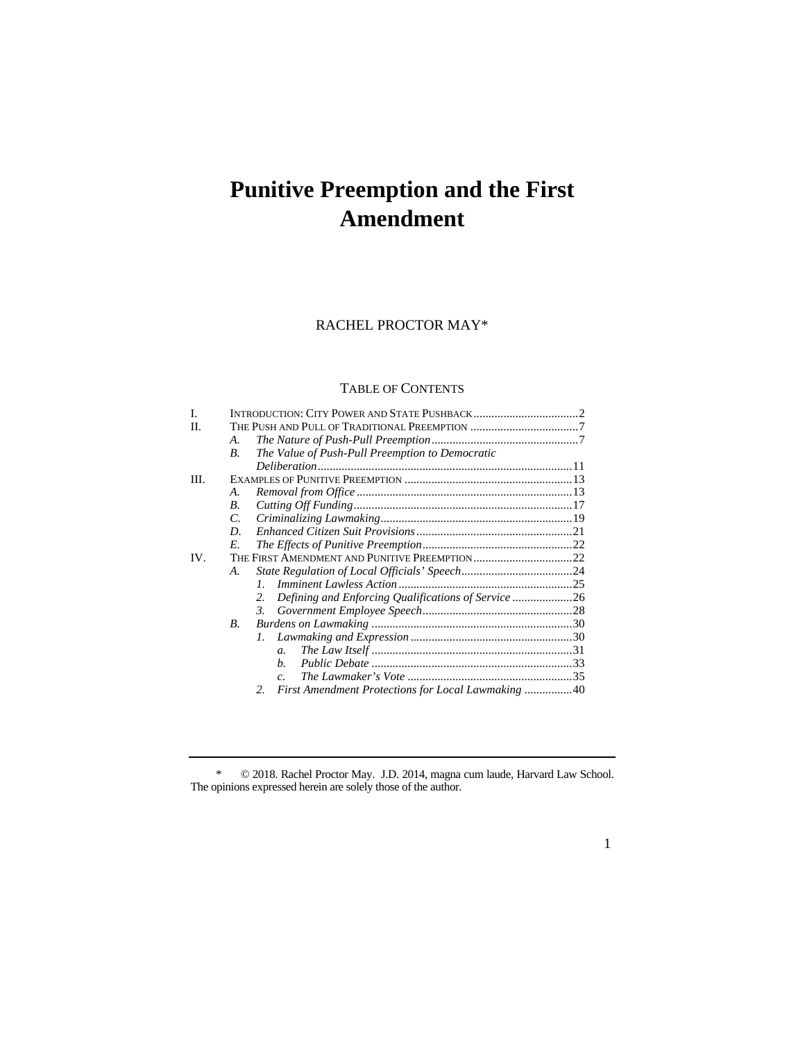# **Punitive Preemption and the First Amendment**

# RACHEL PROCTOR MAY\*

## TABLE OF CONTENTS

| Ī.  |    |                                                           |  |  |  |
|-----|----|-----------------------------------------------------------|--|--|--|
| П.  |    |                                                           |  |  |  |
|     | А. |                                                           |  |  |  |
|     | В. | The Value of Push-Pull Preemption to Democratic           |  |  |  |
|     |    |                                                           |  |  |  |
| HI. |    |                                                           |  |  |  |
|     | А. |                                                           |  |  |  |
|     | В. |                                                           |  |  |  |
|     | C. |                                                           |  |  |  |
|     | D. |                                                           |  |  |  |
|     | E. |                                                           |  |  |  |
| IV. |    |                                                           |  |  |  |
|     | А. |                                                           |  |  |  |
|     |    | $\mathcal{I}$                                             |  |  |  |
|     |    | Defining and Enforcing Qualifications of Service 26<br>2. |  |  |  |
|     |    | 3.                                                        |  |  |  |
|     | В. |                                                           |  |  |  |
|     |    | $l_{\cdot}$                                               |  |  |  |
|     |    | $\mathfrak{a}$ .                                          |  |  |  |
|     |    | b.                                                        |  |  |  |
|     |    | $\overline{c}$ .                                          |  |  |  |
|     |    | First Amendment Protections for Local Lawmaking 40<br>2.  |  |  |  |

\* © 2018. Rachel Proctor May. J.D. 2014, magna cum laude, Harvard Law School. The opinions expressed herein are solely those of the author.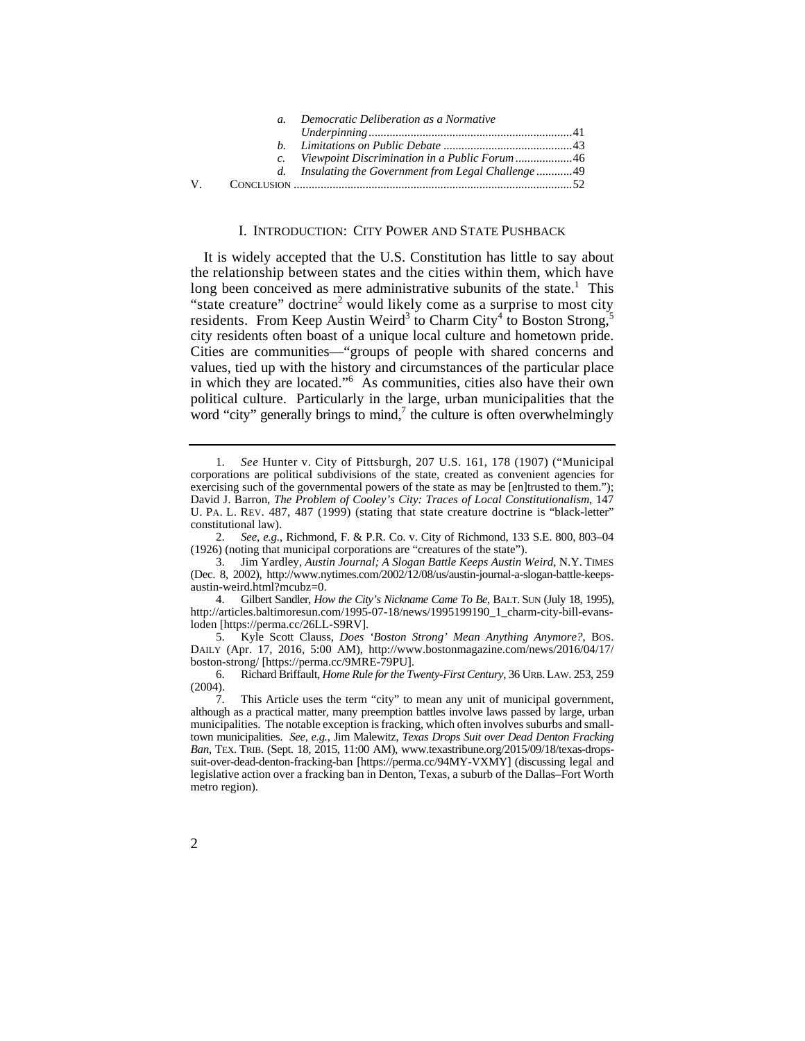|     | a. Democratic Deliberation as a Normative           |  |
|-----|-----------------------------------------------------|--|
|     |                                                     |  |
|     |                                                     |  |
|     |                                                     |  |
|     | d. Insulating the Government from Legal Challenge49 |  |
| V – |                                                     |  |

#### I. INTRODUCTION: CITY POWER AND STATE PUSHBACK

It is widely accepted that the U.S. Constitution has little to say about the relationship between states and the cities within them, which have long been conceived as mere administrative subunits of the state.<sup>1</sup> This "state creature" doctrine<sup>2</sup> would likely come as a surprise to most city residents. From Keep Austin Weird<sup>3</sup> to Charm City<sup>4</sup> to Boston Strong,<sup>5</sup> city residents often boast of a unique local culture and hometown pride. Cities are communities—"groups of people with shared concerns and values, tied up with the history and circumstances of the particular place in which they are located."<sup>6</sup> As communities, cities also have their own political culture. Particularly in the large, urban municipalities that the word "city" generally brings to mind, $^7$  the culture is often overwhelmingly

2. *See, e.g.*, Richmond, F. & P.R. Co. v. City of Richmond, 133 S.E. 800, 803–04 (1926) (noting that municipal corporations are "creatures of the state").

3. Jim Yardley, *Austin Journal; A Slogan Battle Keeps Austin Weird*, N.Y. TIMES (Dec. 8, 2002), http://www.nytimes.com/2002/12/08/us/austin-journal-a-slogan-battle-keepsaustin-weird.html?mcubz=0.

 4. Gilbert Sandler, *How the City's Nickname Came To Be*, BALT. SUN (July 18, 1995), http://articles.baltimoresun.com/1995-07-18/news/1995199190\_1\_charm-city-bill-evansloden [https://perma.cc/26LL-S9RV].

5. Kyle Scott Clauss, *Does 'Boston Strong' Mean Anything Anymore?*, BOS. DAILY (Apr. 17, 2016, 5:00 AM), http://www.bostonmagazine.com/news/2016/04/17/ boston-strong/ [https://perma.cc/9MRE-79PU].

6. 6. Richard Briffault, *Home Rule for the Twenty-First Century*, 36 URB. LAW. 253, 259 (2004).

 town municipalities. *See, e.g.*, Jim Malewitz, *Texas Drops Suit over Dead Denton Fracking*  7. This Article uses the term "city" to mean any unit of municipal government, although as a practical matter, many preemption battles involve laws passed by large, urban municipalities. The notable exception is fracking, which often involves suburbs and small-*Ban*, TEX. TRIB. (Sept. 18, 2015, 11:00 AM), www.texastribune.org/2015/09/18/texas-dropssuit-over-dead-denton-fracking-ban [https://perma.cc/94MY-VXMY] (discussing legal and legislative action over a fracking ban in Denton, Texas, a suburb of the Dallas–Fort Worth metro region).

 U. PA. L. REV. 487, 487 (1999) (stating that state creature doctrine is "black-letter" 1. *See* Hunter v. City of Pittsburgh, 207 U.S. 161, 178 (1907) ("Municipal corporations are political subdivisions of the state, created as convenient agencies for exercising such of the governmental powers of the state as may be [en]trusted to them."); David J. Barron, *The Problem of Cooley's City: Traces of Local Constitutionalism*, 147 constitutional law).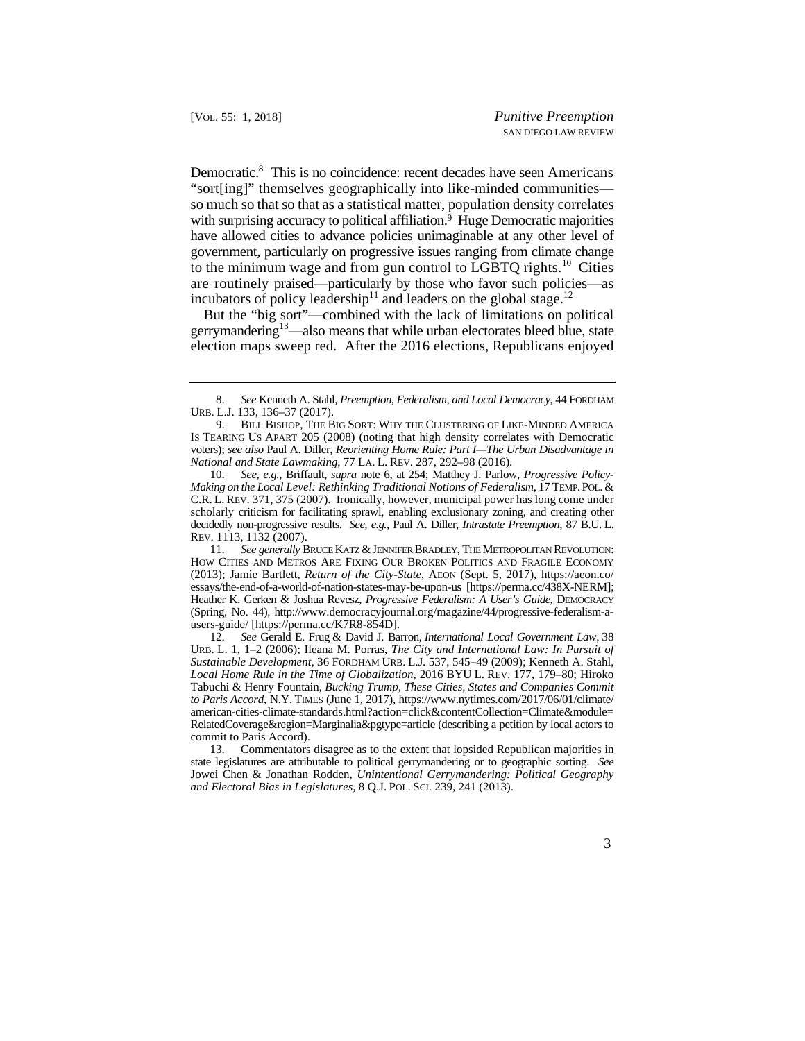Democratic.<sup>8</sup> This is no coincidence: recent decades have seen Americans have allowed cities to advance policies unimaginable at any other level of government, particularly on progressive issues ranging from climate change to the minimum wage and from gun control to LGBTQ rights.<sup>10</sup> Cities are routinely praised—particularly by those who favor such policies—as "sort[ing]" themselves geographically into like-minded communities so much so that so that as a statistical matter, population density correlates with surprising accuracy to political affiliation.<sup>9</sup> Huge Democratic majorities incubators of policy leadership<sup>11</sup> and leaders on the global stage.<sup>12</sup>

But the "big sort"—combined with the lack of limitations on political gerrymandering<sup>13</sup>—also means that while urban electorates bleed blue, state election maps sweep red. After the 2016 elections, Republicans enjoyed

 *Making on the Local Level: Rethinking Traditional Notions of Federalism*, 17 TEMP. POL. & C.R. L. REV. 371, 375 (2007). Ironically, however, municipal power has long come under decidedly non-progressive results. *See, e.g.*, Paul A. Diller, *Intrastate Preemption*, 87 B.U. L. 10. *See, e.g.*, Briffault, *supra* note 6, at 254; Matthey J. Parlow, *Progressive Policy*scholarly criticism for facilitating sprawl, enabling exclusionary zoning, and creating other REV. 1113, 1132 (2007).

<sup>8.</sup> *See* Kenneth A. Stahl, *Preemption, Federalism, and Local Democracy*, 44 FORDHAM URB. L.J. 133, 136–37 (2017).

 voters); *see also* Paul A. Diller, *Reorienting Home Rule: Part I—The Urban Disadvantage in National and State Lawmaking*, 77 LA. L. REV. 287, 292–98 (2016). 9. BILL BISHOP, THE BIG SORT: WHY THE CLUSTERING OF LIKE-MINDED AMERICA IS TEARING US APART 205 (2008) (noting that high density correlates with Democratic

<sup>11.</sup> *See generally* BRUCE KATZ & JENNIFER BRADLEY, THE METROPOLITAN REVOLUTION: HOW CITIES AND METROS ARE FIXING OUR BROKEN POLITICS AND FRAGILE ECONOMY (2013); Jamie Bartlett, *Return of the City-State*, AEON (Sept. 5, 2017), https://aeon.co/ essays/the-end-of-a-world-of-nation-states-may-be-upon-us [https://perma.cc/438X-NERM]; Heather K. Gerken & Joshua Revesz, *Progressive Federalism: A User's Guide*, DEMOCRACY (Spring, No. 44), http://www.democracyjournal.org/magazine/44/progressive-federalism-ausers-guide/ [https://perma.cc/K7R8-854D].

 12. *See* Gerald E. Frug & David J. Barron, *International Local Government Law*, 38 *Local Home Rule in the Time of Globalization*, 2016 BYU L. REV. 177, 179–80; Hiroko RelatedCoverage&region=Marginalia&pgtype=article (describing a petition by local actors to URB. L. 1, 1–2 (2006); Ileana M. Porras, *The City and International Law: In Pursuit of Sustainable Development*, 36 FORDHAM URB. L.J. 537, 545–49 (2009); Kenneth A. Stahl, Tabuchi & Henry Fountain, *Bucking Trump, These Cities, States and Companies Commit to Paris Accord*, N.Y. TIMES (June 1, 2017), https://www.nytimes.com/2017/06/01/climate/ american-cities-climate-standards.html?action=click&contentCollection=Climate&module= commit to Paris Accord).

 state legislatures are attributable to political gerrymandering or to geographic sorting. *See and Electoral Bias in Legislatures*, 8 Q.J. POL. SCI. 239, 241 (2013). 13. Commentators disagree as to the extent that lopsided Republican majorities in Jowei Chen & Jonathan Rodden, *Unintentional Gerrymandering: Political Geography*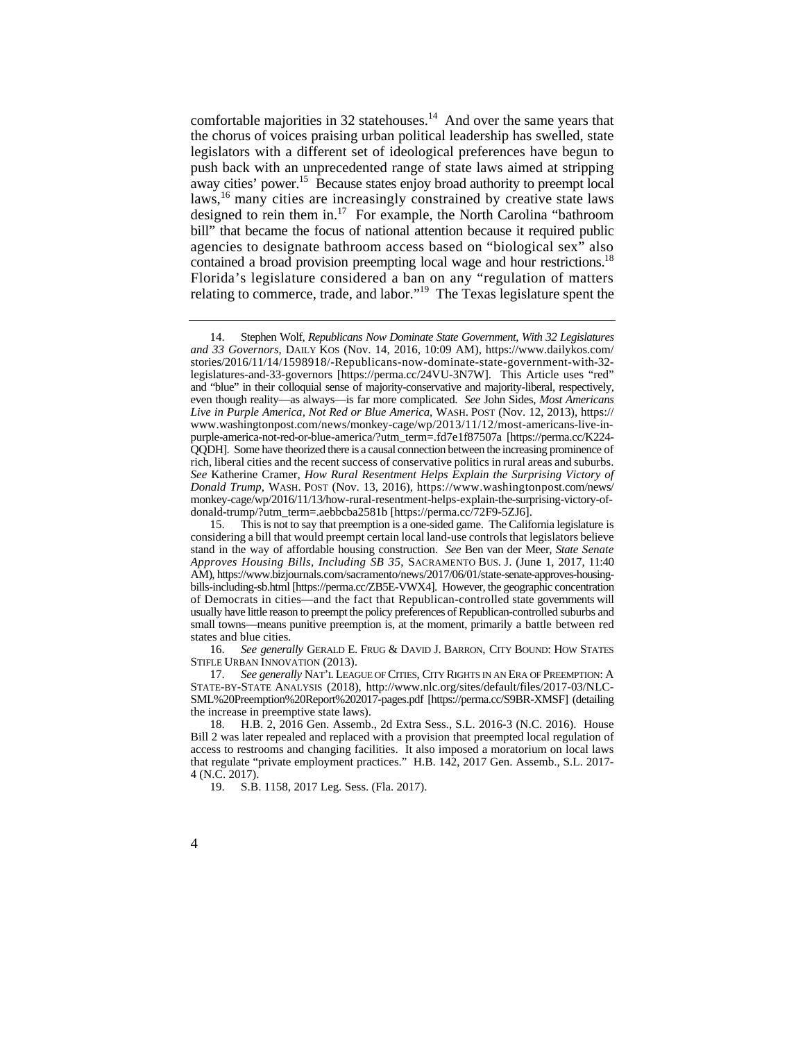laws,<sup>16</sup> many cities are increasingly constrained by creative state laws contained a broad provision preempting local wage and hour restrictions.<sup>18</sup> comfortable majorities in 32 statehouses.<sup>14</sup> And over the same years that the chorus of voices praising urban political leadership has swelled, state legislators with a different set of ideological preferences have begun to push back with an unprecedented range of state laws aimed at stripping away cities' power.<sup>15</sup> Because states enjoy broad authority to preempt local designed to rein them in.<sup>17</sup> For example, the North Carolina "bathroom bill" that became the focus of national attention because it required public agencies to designate bathroom access based on "biological sex" also Florida's legislature considered a ban on any "regulation of matters relating to commerce, trade, and labor."19 The Texas legislature spent the

 14. Stephen Wolf, *Republicans Now Dominate State Government, With 32 Legislatures*  legislatures-and-33-governors [https://perma.cc/24VU-3N7W]. This Article uses "red" even though reality—as always—is far more complicated. *See* John Sides, *Most Americans and 33 Governors*, DAILY KOS (Nov. 14, 2016, 10:09 AM), https://www.dailykos.com/ stories/2016/11/14/1598918/-Republicans-now-dominate-state-government-with-32 and "blue" in their colloquial sense of majority-conservative and majority-liberal, respectively, *Live in Purple America, Not Red or Blue America*, WASH. POST (Nov. 12, 2013), https:// www.washingtonpost.com/news/monkey-cage/wp/2013/11/12/most-americans-live-inpurple-america-not-red-or-blue-america/?utm\_term=.fd7e1f87507a [https://perma.cc/K224- QQDH]. Some have theorized there is a causal connection between the increasing prominence of rich, liberal cities and the recent success of conservative politics in rural areas and suburbs. *See* Katherine Cramer, *How Rural Resentment Helps Explain the Surprising Victory of Donald Trump*, WASH. POST (Nov. 13, 2016), https://www.washingtonpost.com/news/ monkey-cage/wp/2016/11/13/how-rural-resentment-helps-explain-the-surprising-victory-ofdonald-trump/?utm\_term=.aebbcba2581b [https://perma.cc/72F9-5ZJ6].

 stand in the way of affordable housing construction. *See* Ben van der Meer, *State Senate*  of Democrats in cities—and the fact that Republican-controlled state governments will usually have little reason to preempt the policy preferences of Republican-controlled suburbs and small towns—means punitive preemption is, at the moment, primarily a battle between red 15. This is not to say that preemption is a one-sided game. The California legislature is considering a bill that would preempt certain local land-use controls that legislators believe *Approves Housing Bills, Including SB 35*, SACRAMENTO BUS. J. (June 1, 2017, 11:40 AM), https://www.bizjournals.com/sacramento/news/2017/06/01/state-senate-approves-housingbills-including-sb.html [https://perma.cc/ZB5E-VWX4]. However, the geographic concentration states and blue cities.

 16. *See generally* GERALD E. FRUG & DAVID J. BARRON, CITY BOUND: HOW STATES STIFLE URBAN INNOVATION (2013).

 17. *See generally* NAT'L LEAGUE OF CITIES, CITY RIGHTS IN AN ERA OF PREEMPTION: A STATE-BY-STATE ANALYSIS (2018), http://www.nlc.org/sites/default/files/2017-03/NLC-SML%20Preemption%20Report%202017-pages.pdf [https://perma.cc/S9BR-XMSF] (detailing the increase in preemptive state laws).

<sup>18.</sup> H.B. 2, 2016 Gen. Assemb., 2d Extra Sess., S.L. 2016-3 (N.C. 2016). House Bill 2 was later repealed and replaced with a provision that preempted local regulation of access to restrooms and changing facilities. It also imposed a moratorium on local laws that regulate "private employment practices." H.B. 142, 2017 Gen. Assemb., S.L. 2017- 4 (N.C. 2017).

<sup>19.</sup> S.B. 1158, 2017 Leg. Sess. (Fla. 2017).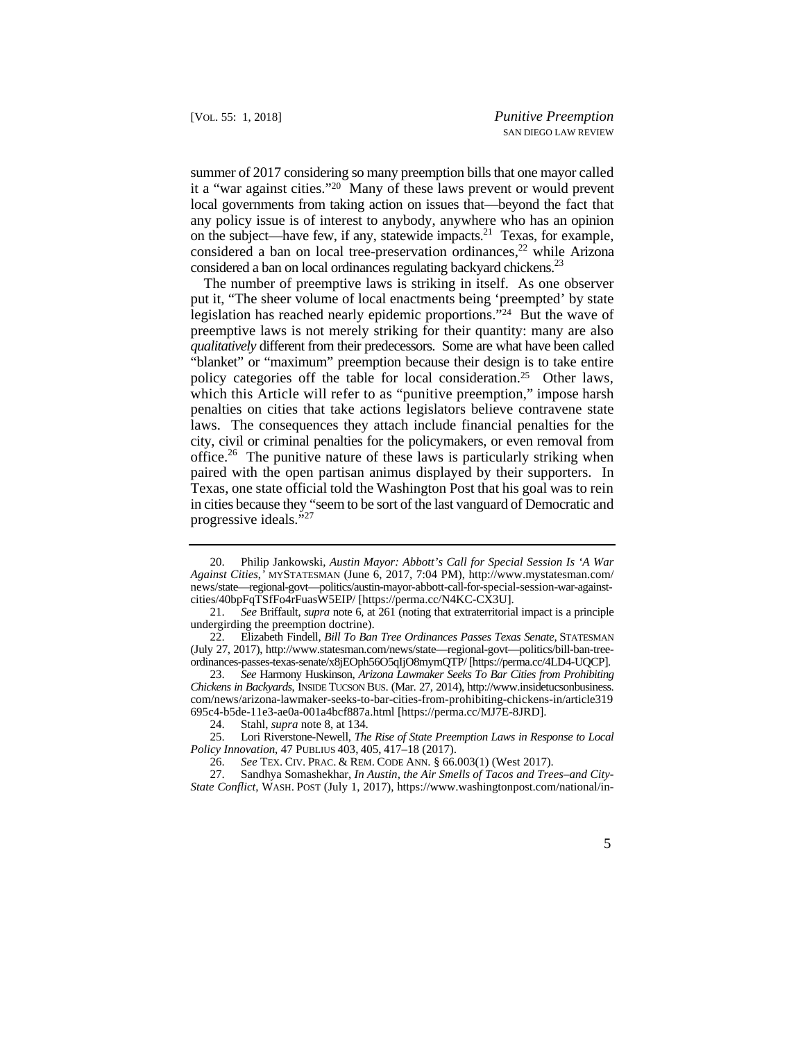summer of 2017 considering so many preemption bills that one mayor called it a "war against cities."20 Many of these laws prevent or would prevent local governments from taking action on issues that—beyond the fact that on the subject—have few, if any, statewide impacts.<sup>21</sup> Texas, for example, any policy issue is of interest to anybody, anywhere who has an opinion considered a ban on local tree-preservation ordinances,<sup>22</sup> while Arizona considered a ban on local ordinances regulating backyard chickens.<sup>23</sup>

 *qualitatively* different from their predecessors. Some are what have been called which this Article will refer to as "punitive preemption," impose harsh The number of preemptive laws is striking in itself. As one observer put it, "The sheer volume of local enactments being 'preempted' by state legislation has reached nearly epidemic proportions."24 But the wave of preemptive laws is not merely striking for their quantity: many are also "blanket" or "maximum" preemption because their design is to take entire policy categories off the table for local consideration.25 Other laws, penalties on cities that take actions legislators believe contravene state laws. The consequences they attach include financial penalties for the city, civil or criminal penalties for the policymakers, or even removal from office.<sup>26</sup> The punitive nature of these laws is particularly striking when paired with the open partisan animus displayed by their supporters. In Texas, one state official told the Washington Post that his goal was to rein in cities because they "seem to be sort of the last vanguard of Democratic and progressive ideals."<sup>27</sup>

 <sup>20.</sup> Philip Jankowski, *Austin Mayor: Abbott's Call for Special Session Is 'A War Against Cities*,*'* MYSTATESMAN (June 6, 2017, 7:04 PM), http://www.mystatesman.com/ news/state—regional-govt—politics/austin-mayor-abbott-call-for-special-session-war-againstcities/40bpFqTSfFo4rFuasW5EIP/ [https://perma.cc/N4KC-CX3U].

<sup>21.</sup> *See* Briffault, *supra* note 6, at 261 (noting that extraterritorial impact is a principle undergirding the preemption doctrine).

 22. Elizabeth Findell, *Bill To Ban Tree Ordinances Passes Texas Senate*, STATESMAN (July 27, 2017), http://www.statesman.com/news/state—regional-govt—politics/bill-ban-treeordinances-passes-texas-senate/x8jEOph56O5qIjO8mymQTP/ [https://perma.cc/4LD4-UQCP].

<sup>23.</sup> *See* Harmony Huskinson, *Arizona Lawmaker Seeks To Bar Cities from Prohibiting Chickens in Backyards*, INSIDE TUCSON BUS. (Mar. 27, 2014), http://www.insidetucsonbusiness. com/news/arizona-lawmaker-seeks-to-bar-cities-from-prohibiting-chickens-in/article319 695c4-b5de-11e3-ae0a-001a4bcf887a.html [https://perma.cc/MJ7E-8JRD].

<sup>24.</sup> Stahl, *supra* note 8, at 134.

<sup>25.</sup>  *Policy Innovation*, 47 PUBLIUS 403, 405, 417–18 (2017). 25. Lori Riverstone-Newell, *The Rise of State Preemption Laws in Response to Local* 

 26. *See* TEX. CIV. PRAC. & REM. CODE ANN. § 66.003(1) (West 2017).

 27. Sandhya Somashekhar, *In Austin, the Air Smells of Tacos and Trees–and City-State Conflict*, WASH. POST (July 1, 2017), https://www.washingtonpost.com/national/in-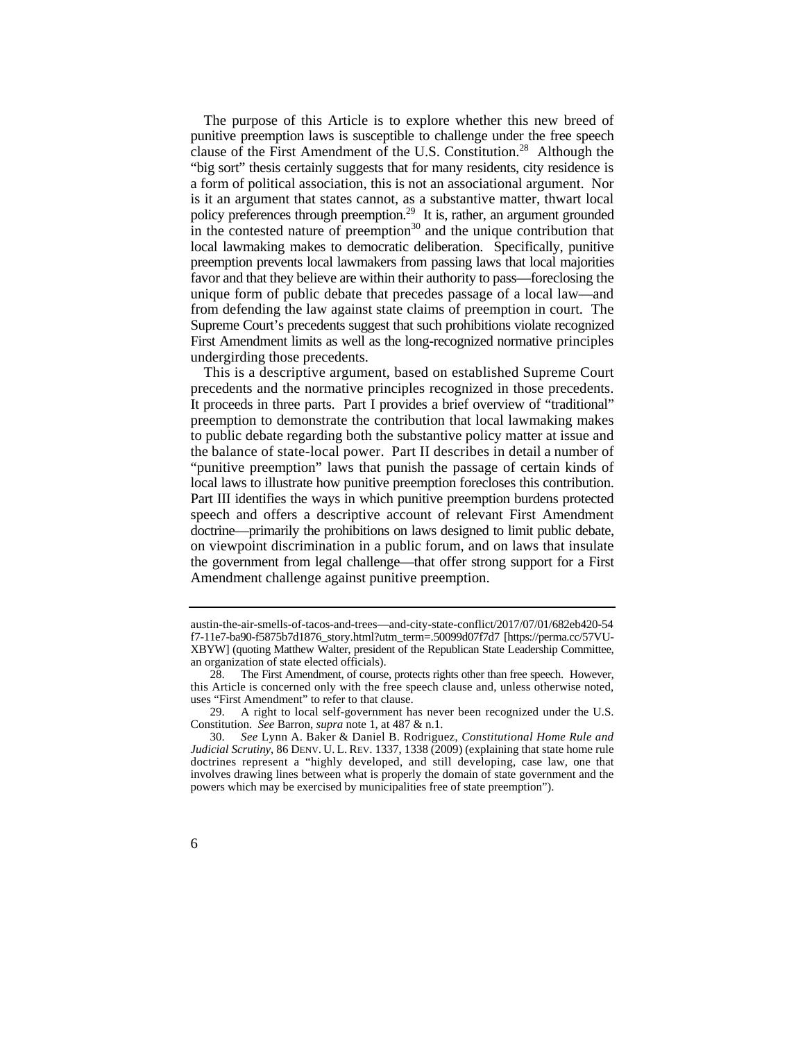"big sort" thesis certainly suggests that for many residents, city residence is favor and that they believe are within their authority to pass—foreclosing the The purpose of this Article is to explore whether this new breed of punitive preemption laws is susceptible to challenge under the free speech clause of the First Amendment of the U.S. Constitution.<sup>28</sup> Although the a form of political association, this is not an associational argument. Nor is it an argument that states cannot, as a substantive matter, thwart local policy preferences through preemption.<sup>29</sup> It is, rather, an argument grounded in the contested nature of preemption<sup>30</sup> and the unique contribution that local lawmaking makes to democratic deliberation. Specifically, punitive preemption prevents local lawmakers from passing laws that local majorities unique form of public debate that precedes passage of a local law—and from defending the law against state claims of preemption in court. The Supreme Court's precedents suggest that such prohibitions violate recognized First Amendment limits as well as the long-recognized normative principles undergirding those precedents.

 This is a descriptive argument, based on established Supreme Court It proceeds in three parts. Part I provides a brief overview of "traditional" the balance of state-local power. Part II describes in detail a number of local laws to illustrate how punitive preemption forecloses this contribution. precedents and the normative principles recognized in those precedents. preemption to demonstrate the contribution that local lawmaking makes to public debate regarding both the substantive policy matter at issue and "punitive preemption" laws that punish the passage of certain kinds of Part III identifies the ways in which punitive preemption burdens protected speech and offers a descriptive account of relevant First Amendment doctrine—primarily the prohibitions on laws designed to limit public debate, on viewpoint discrimination in a public forum, and on laws that insulate the government from legal challenge—that offer strong support for a First Amendment challenge against punitive preemption.

 XBYW] (quoting Matthew Walter, president of the Republican State Leadership Committee, austin-the-air-smells-of-tacos-and-trees—and-city-state-conflict/2017/07/01/682eb420-54 f7-11e7-ba90-f5875b7d1876\_story.html?utm\_term=.50099d07f7d7 [https://perma.cc/57VUan organization of state elected officials).

<sup>28.</sup> The First Amendment, of course, protects rights other than free speech. However, this Article is concerned only with the free speech clause and, unless otherwise noted, uses "First Amendment" to refer to that clause.

 Constitution. *See* Barron, *supra* note 1, at 487 & n.1. 29. A right to local self-government has never been recognized under the U.S.

 *Judicial Scrutiny*, 86 DENV. U. L. REV. 1337, 1338 (2009) (explaining that state home rule 30. *See* Lynn A. Baker & Daniel B. Rodriguez, *Constitutional Home Rule and*  doctrines represent a "highly developed, and still developing, case law, one that involves drawing lines between what is properly the domain of state government and the powers which may be exercised by municipalities free of state preemption").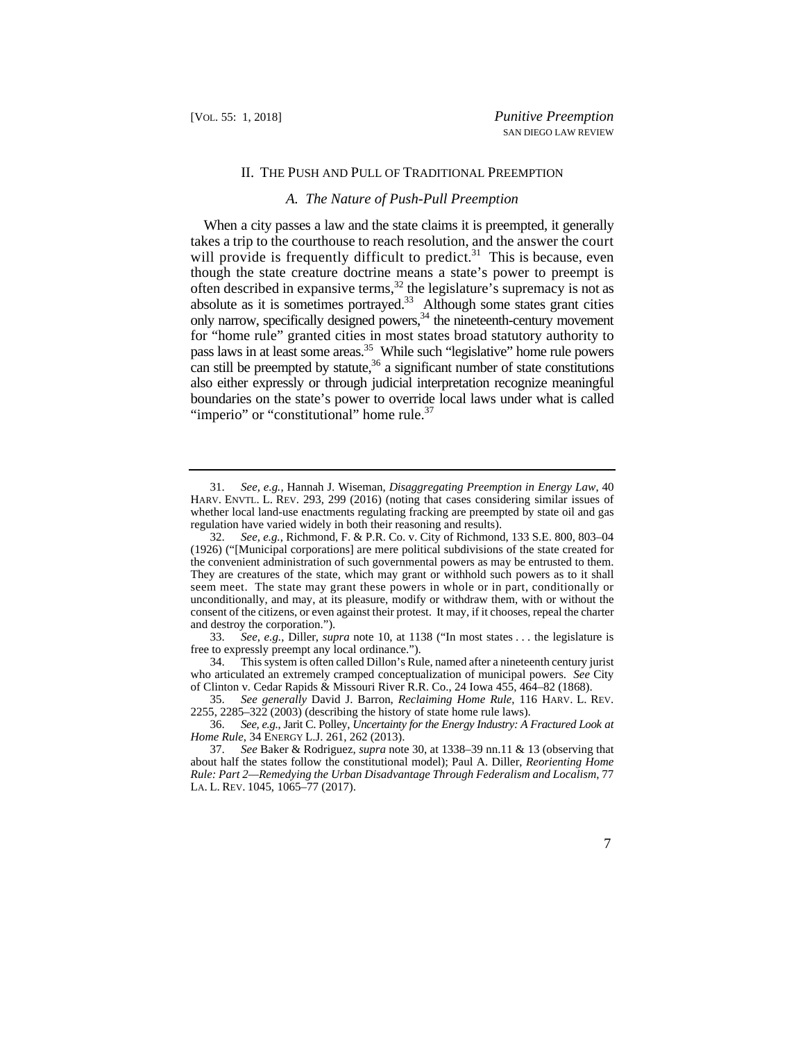#### II. THE PUSH AND PULL OF TRADITIONAL PREEMPTION

#### *A. The Nature of Push-Pull Preemption*

 $\ddot{\phantom{a}}$ When a city passes a law and the state claims it is preempted, it generally takes a trip to the courthouse to reach resolution, and the answer the court will provide is frequently difficult to predict.<sup>31</sup> This is because, even though the state creature doctrine means a state's power to preempt is often described in expansive terms,<sup>32</sup> the legislature's supremacy is not as absolute as it is sometimes portrayed.<sup>33</sup> Although some states grant cities only narrow, specifically designed powers,<sup>34</sup> the nineteenth-century movement for "home rule" granted cities in most states broad statutory authority to pass laws in at least some areas.<sup>35</sup> While such "legislative" home rule powers can still be preempted by statute, $36$  a significant number of state constitutions also either expressly or through judicial interpretation recognize meaningful boundaries on the state's power to override local laws under what is called "imperio" or "constitutional" home rule.<sup>37</sup>

 HARV. ENVTL. L. REV. 293, 299 (2016) (noting that cases considering similar issues of regulation have varied widely in both their reasoning and results). 31. *See, e.g.*, Hannah J. Wiseman, *Disaggregating Preemption in Energy Law*, 40 whether local land-use enactments regulating fracking are preempted by state oil and gas

 consent of the citizens, or even against their protest. It may, if it chooses, repeal the charter 32. *See, e.g.*, Richmond, F. & P.R. Co. v. City of Richmond, 133 S.E. 800, 803–04 (1926) ("[Municipal corporations] are mere political subdivisions of the state created for the convenient administration of such governmental powers as may be entrusted to them. They are creatures of the state, which may grant or withhold such powers as to it shall seem meet. The state may grant these powers in whole or in part, conditionally or unconditionally, and may, at its pleasure, modify or withdraw them, with or without the and destroy the corporation.").

<sup>33.</sup> *See, e.g.*, Diller, *supra* note 10, at 1138 ("In most states . . . the legislature is free to expressly preempt any local ordinance.").

 who articulated an extremely cramped conceptualization of municipal powers. *See* City 34. This system is often called Dillon's Rule, named after a nineteenth century jurist of Clinton v. Cedar Rapids & Missouri River R.R. Co., 24 Iowa 455, 464–82 (1868).

 35. *See generally* David J. Barron, *Reclaiming Home Rule*, 116 HARV. L. REV. 2255, 2285–322 (2003) (describing the history of state home rule laws).

 36. *See, e.g.*, Jarit C. Polley, *Uncertainty for the Energy Industry: A Fractured Look at Home Rule*, 34 ENERGY L.J. 261, 262 (2013).

 LA. L. REV. 1045, 1065–77 (2017). 37. *See* Baker & Rodriguez, *supra* note 30, at 1338–39 nn.11 & 13 (observing that about half the states follow the constitutional model); Paul A. Diller, *Reorienting Home Rule: Part 2—Remedying the Urban Disadvantage Through Federalism and Localism*, 77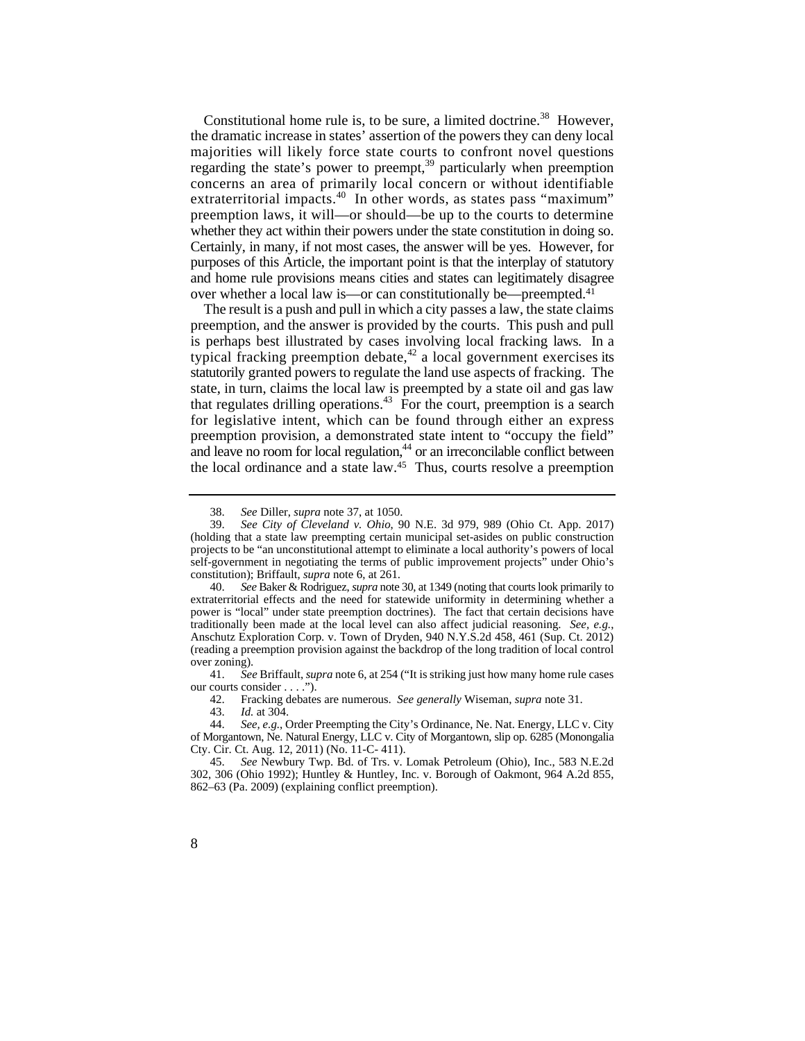extraterritorial impacts.<sup>40</sup> In other words, as states pass "maximum" whether they act within their powers under the state constitution in doing so. Certainly, in many, if not most cases, the answer will be yes. However, for purposes of this Article, the important point is that the interplay of statutory and home rule provisions means cities and states can legitimately disagree Constitutional home rule is, to be sure, a limited doctrine.<sup>38</sup> However, the dramatic increase in states' assertion of the powers they can deny local majorities will likely force state courts to confront novel questions regarding the state's power to preempt,<sup>39</sup> particularly when preemption concerns an area of primarily local concern or without identifiable preemption laws, it will—or should—be up to the courts to determine over whether a local law is—or can constitutionally be—preempted.41

 preemption, and the answer is provided by the courts. This push and pull is perhaps best illustrated by cases involving local fracking laws. In a typical fracking preemption debate, $42$  a local government exercises its The result is a push and pull in which a city passes a law, the state claims statutorily granted powers to regulate the land use aspects of fracking. The state, in turn, claims the local law is preempted by a state oil and gas law that regulates drilling operations.<sup>43</sup> For the court, preemption is a search for legislative intent, which can be found through either an express preemption provision, a demonstrated state intent to "occupy the field" and leave no room for local regulation, $44$  or an irreconcilable conflict between the local ordinance and a state law.45 Thus, courts resolve a preemption

42. Fracking debates are numerous. *See generally* Wiseman, *supra* note 31.

 <sup>38.</sup> *See* Diller, *supra* note 37, at 1050.

<sup>39.</sup> *See City of Cleveland v. Ohio*, 90 N.E. 3d 979, 989 (Ohio Ct. App. 2017) (holding that a state law preempting certain municipal set-asides on public construction projects to be "an unconstitutional attempt to eliminate a local authority's powers of local self-government in negotiating the terms of public improvement projects" under Ohio's constitution); Briffault, *supra* note 6, at 261.

 40. *See* Baker & Rodriguez, *supra* note 30, at 1349 (noting that courts look primarily to extraterritorial effects and the need for statewide uniformity in determining whether a power is "local" under state preemption doctrines). The fact that certain decisions have traditionally been made at the local level can also affect judicial reasoning. *See, e.g.*, Anschutz Exploration Corp. v. Town of Dryden, 940 N.Y.S.2d 458, 461 (Sup. Ct. 2012) (reading a preemption provision against the backdrop of the long tradition of local control over zoning).

<sup>41.</sup> *See* Briffault, *supra* note 6, at 254 ("It is striking just how many home rule cases our courts consider . . . .").

<sup>43.</sup> *Id.* at 304.

 44. *See, e.g.*, Order Preempting the City's Ordinance, Ne. Nat. Energy, LLC v. City of Morgantown, Ne. Natural Energy, LLC v. City of Morgantown, slip op. 6285 (Monongalia Cty. Cir. Ct. Aug. 12, 2011) (No. 11-C- 411).

<sup>45.</sup> *See* Newbury Twp. Bd. of Trs. v. Lomak Petroleum (Ohio), Inc., 583 N.E.2d 302, 306 (Ohio 1992); Huntley & Huntley, Inc. v. Borough of Oakmont, 964 A.2d 855, 862–63 (Pa. 2009) (explaining conflict preemption).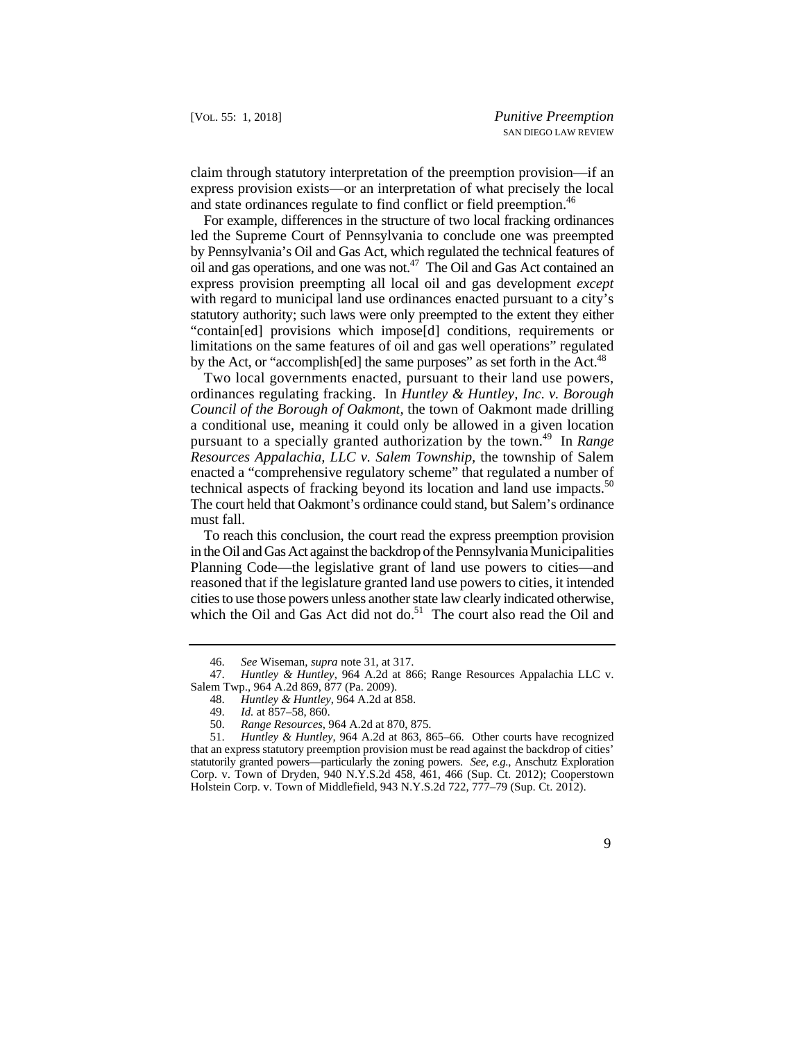claim through statutory interpretation of the preemption provision—if an express provision exists—or an interpretation of what precisely the local and state ordinances regulate to find conflict or field preemption.<sup>46</sup>

 by Pennsylvania's Oil and Gas Act, which regulated the technical features of statutory authority; such laws were only preempted to the extent they either For example, differences in the structure of two local fracking ordinances led the Supreme Court of Pennsylvania to conclude one was preempted oil and gas operations, and one was not.47 The Oil and Gas Act contained an express provision preempting all local oil and gas development *except*  with regard to municipal land use ordinances enacted pursuant to a city's "contain[ed] provisions which impose[d] conditions, requirements or limitations on the same features of oil and gas well operations" regulated by the Act, or "accomplish[ed] the same purposes" as set forth in the Act.<sup>48</sup>

 ordinances regulating fracking. In *Huntley & Huntley, Inc. v. Borough*  technical aspects of fracking beyond its location and land use impacts.<sup>50</sup> Two local governments enacted, pursuant to their land use powers, *Council of the Borough of Oakmont,* the town of Oakmont made drilling a conditional use, meaning it could only be allowed in a given location pursuant to a specially granted authorization by the town.49 In *Range Resources Appalachia, LLC v. Salem Township,* the township of Salem enacted a "comprehensive regulatory scheme" that regulated a number of The court held that Oakmont's ordinance could stand, but Salem's ordinance must fall.

To reach this conclusion, the court read the express preemption provision in the Oil and Gas Act against the backdrop of the Pennsylvania Municipalities Planning Code—the legislative grant of land use powers to cities—and reasoned that if the legislature granted land use powers to cities, it intended cities to use those powers unless another state law clearly indicated otherwise, which the Oil and Gas Act did not do.<sup>51</sup> The court also read the Oil and

<sup>46.</sup> *See* Wiseman, *supra* note 31, at 317.

<sup>47.</sup> *Huntley & Huntley*, 964 A.2d at 866; Range Resources Appalachia LLC v. Salem Twp., 964 A.2d 869, 877 (Pa. 2009).

<sup>48.</sup> *Huntley & Huntley*, 964 A.2d at 858.

Id. at 857–58, 860.

<sup>50.</sup> *Range Resources*, 964 A.2d at 870, 875.

 statutorily granted powers—particularly the zoning powers. *See, e.g.*, Anschutz Exploration 51. *Huntley & Huntley*, 964 A.2d at 863, 865–66. Other courts have recognized that an express statutory preemption provision must be read against the backdrop of cities' Corp. v. Town of Dryden, 940 N.Y.S.2d 458, 461, 466 (Sup. Ct. 2012); Cooperstown Holstein Corp. v. Town of Middlefield, 943 N.Y.S.2d 722, 777–79 (Sup. Ct. 2012).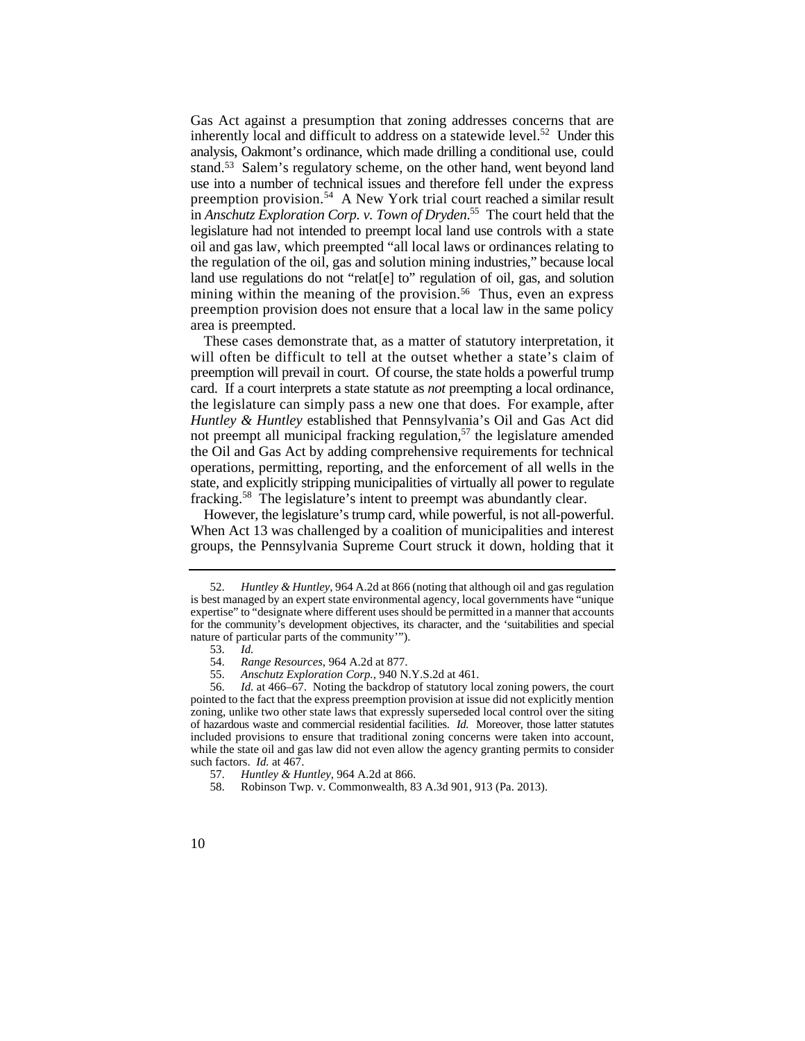analysis, Oakmont's ordinance, which made drilling a conditional use, could stand.<sup>53</sup> Salem's regulatory scheme, on the other hand, went beyond land use into a number of technical issues and therefore fell under the express in *Anschutz Exploration Corp. v. Town of Dryden*. 55 The court held that the legislature had not intended to preempt local land use controls with a state the regulation of the oil, gas and solution mining industries," because local land use regulations do not "relat[e] to" regulation of oil, gas, and solution mining within the meaning of the provision.<sup>56</sup> Thus, even an express Gas Act against a presumption that zoning addresses concerns that are inherently local and difficult to address on a statewide level.<sup>52</sup> Under this preemption provision.<sup>54</sup> A New York trial court reached a similar result oil and gas law, which preempted "all local laws or ordinances relating to preemption provision does not ensure that a local law in the same policy area is preempted.

 card. If a court interprets a state statute as *not* preempting a local ordinance, the legislature can simply pass a new one that does. For example, after These cases demonstrate that, as a matter of statutory interpretation, it will often be difficult to tell at the outset whether a state's claim of preemption will prevail in court. Of course, the state holds a powerful trump *Huntley & Huntley* established that Pennsylvania's Oil and Gas Act did not preempt all municipal fracking regulation, $57$  the legislature amended the Oil and Gas Act by adding comprehensive requirements for technical operations, permitting, reporting, and the enforcement of all wells in the state, and explicitly stripping municipalities of virtually all power to regulate fracking.58 The legislature's intent to preempt was abundantly clear.

 However, the legislature's trump card, while powerful, is not all-powerful. When Act 13 was challenged by a coalition of municipalities and interest groups, the Pennsylvania Supreme Court struck it down, holding that it

<sup>52.</sup> *Huntley & Huntley*, 964 A.2d at 866 (noting that although oil and gas regulation is best managed by an expert state environmental agency, local governments have "unique expertise" to "designate where different uses should be permitted in a manner that accounts for the community's development objectives, its character, and the 'suitabilities and special nature of particular parts of the community'").

<sup>53.</sup> *Id.*

 <sup>54.</sup> *Range Resources*, 964 A.2d at 877.

<sup>55.</sup> *Anschutz Exploration Corp.*, 940 N.Y.S.2d at 461.

 pointed to the fact that the express preemption provision at issue did not explicitly mention such factors. *Id.* at 467. 56. *Id.* at 466–67. Noting the backdrop of statutory local zoning powers, the court zoning, unlike two other state laws that expressly superseded local control over the siting of hazardous waste and commercial residential facilities. *Id.* Moreover, those latter statutes included provisions to ensure that traditional zoning concerns were taken into account, while the state oil and gas law did not even allow the agency granting permits to consider

<sup>57.</sup> *Huntley & Huntley*, 964 A.2d at 866.

<sup>58.</sup> Robinson Twp. v. Commonwealth, 83 A.3d 901, 913 (Pa. 2013).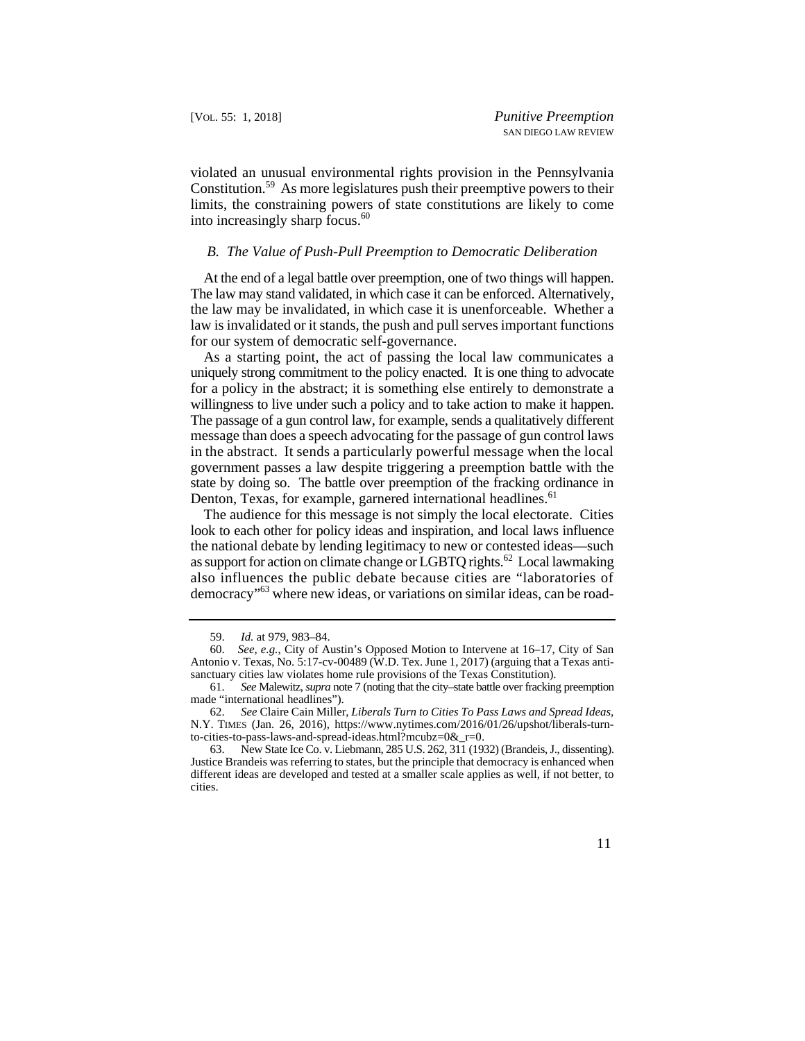violated an unusual environmental rights provision in the Pennsylvania Constitution.59 As more legislatures push their preemptive powers to their limits, the constraining powers of state constitutions are likely to come into increasingly sharp focus.<sup>60</sup>

#### *B. The Value of Push-Pull Preemption to Democratic Deliberation*

 At the end of a legal battle over preemption, one of two things will happen. The law may stand validated, in which case it can be enforced. Alternatively, the law may be invalidated, in which case it is unenforceable. Whether a law is invalidated or it stands, the push and pull serves important functions for our system of democratic self-governance.

 in the abstract. It sends a particularly powerful message when the local state by doing so. The battle over preemption of the fracking ordinance in As a starting point, the act of passing the local law communicates a uniquely strong commitment to the policy enacted. It is one thing to advocate for a policy in the abstract; it is something else entirely to demonstrate a willingness to live under such a policy and to take action to make it happen. The passage of a gun control law, for example, sends a qualitatively different message than does a speech advocating for the passage of gun control laws government passes a law despite triggering a preemption battle with the Denton, Texas, for example, garnered international headlines.<sup>61</sup>

The audience for this message is not simply the local electorate. Cities look to each other for policy ideas and inspiration, and local laws influence the national debate by lending legitimacy to new or contested ideas—such as support for action on climate change or LGBTQ rights.<sup>62</sup> Local lawmaking also influences the public debate because cities are "laboratories of democracy"63 where new ideas, or variations on similar ideas, can be road-

<sup>59.</sup> *Id.* at 979, 983–84.

 60. *See, e.g.*, City of Austin's Opposed Motion to Intervene at 16–17, City of San Antonio v. Texas, No. 5:17-cv-00489 (W.D. Tex. June 1, 2017) (arguing that a Texas antisanctuary cities law violates home rule provisions of the Texas Constitution).

<sup>61.</sup> *See* Malewitz, *supra* note 7 (noting that the city–state battle over fracking preemption made "international headlines").

 62. *See* Claire Cain Miller, *Liberals Turn to Cities To Pass Laws and Spread Ideas*, N.Y. TIMES (Jan. 26, 2016), https://www.nytimes.com/2016/01/26/upshot/liberals-turnto-cities-to-pass-laws-and-spread-ideas.html?mcubz=0&\_r=0.

<sup>63.</sup> New State Ice Co. v. Liebmann, 285 U.S. 262, 311 (1932) (Brandeis, J., dissenting). Justice Brandeis was referring to states, but the principle that democracy is enhanced when different ideas are developed and tested at a smaller scale applies as well, if not better, to cities.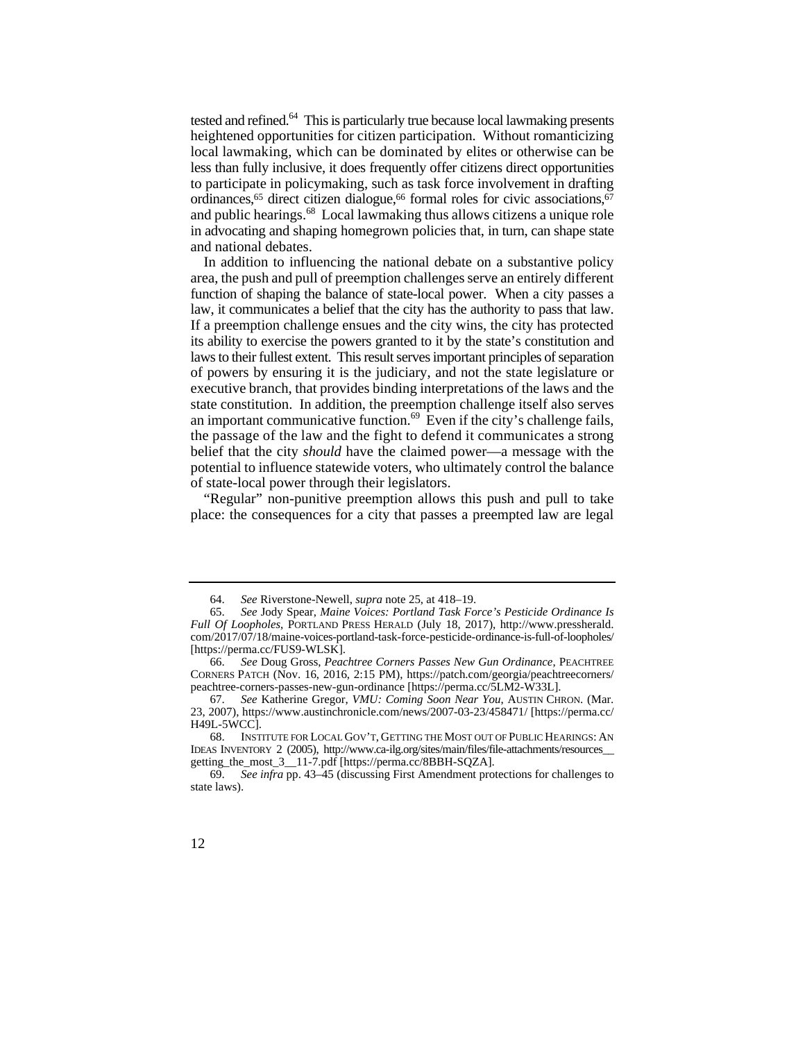tested and refined.<sup>64</sup> This is particularly true because local lawmaking presents heightened opportunities for citizen participation. Without romanticizing local lawmaking, which can be dominated by elites or otherwise can be less than fully inclusive, it does frequently offer citizens direct opportunities to participate in policymaking, such as task force involvement in drafting ordinances,<sup>65</sup> direct citizen dialogue,<sup>66</sup> formal roles for civic associations,<sup>67</sup> and public hearings.<sup>68</sup> Local lawmaking thus allows citizens a unique role in advocating and shaping homegrown policies that, in turn, can shape state and national debates.

law, it communicates a belief that the city has the authority to pass that law. its ability to exercise the powers granted to it by the state's constitution and an important communicative function.<sup>69</sup> Even if the city's challenge fails, the passage of the law and the fight to defend it communicates a strong In addition to influencing the national debate on a substantive policy area, the push and pull of preemption challenges serve an entirely different function of shaping the balance of state-local power. When a city passes a If a preemption challenge ensues and the city wins, the city has protected laws to their fullest extent. This result serves important principles of separation of powers by ensuring it is the judiciary, and not the state legislature or executive branch, that provides binding interpretations of the laws and the state constitution. In addition, the preemption challenge itself also serves belief that the city *should* have the claimed power—a message with the potential to influence statewide voters, who ultimately control the balance of state-local power through their legislators.

"Regular" non-punitive preemption allows this push and pull to take place: the consequences for a city that passes a preempted law are legal

 <sup>64.</sup> *See* Riverstone-Newell, *supra* note 25, at 418–19.

<sup>65.</sup> *See* Jody Spear, *Maine Voices: Portland Task Force's Pesticide Ordinance Is Full Of Loopholes*, PORTLAND PRESS HERALD (July 18, 2017), http://www.pressherald. com/2017/07/18/maine-voices-portland-task-force-pesticide-ordinance-is-full-of-loopholes/ [https://perma.cc/FUS9-WLSK].

<sup>66.</sup> *See* Doug Gross, *Peachtree Corners Passes New Gun Ordinance*, PEACHTREE CORNERS PATCH (Nov. 16, 2016, 2:15 PM), https://patch.com/georgia/peachtreecorners/ peachtree-corners-passes-new-gun-ordinance [https://perma.cc/5LM2-W33L].

<sup>67.</sup> *See* Katherine Gregor, *VMU: Coming Soon Near You*, AUSTIN CHRON. (Mar. 23, 2007), https://www.austinchronicle.com/news/2007-03-23/458471/ [https://perma.cc/ H49L-5WCC].

<sup>68.</sup> INSTITUTE FOR LOCAL GOV'T, GETTING THE MOST OUT OF PUBLIC HEARINGS: AN IDEAS INVENTORY 2 (2005), http://www.ca-ilg.org/sites/main/files/file-attachments/resources\_\_ getting\_the\_most\_3\_\_11-7.pdf [https://perma.cc/8BBH-SQZA].

<sup>69.</sup> *See infra* pp. 43–45 (discussing First Amendment protections for challenges to state laws).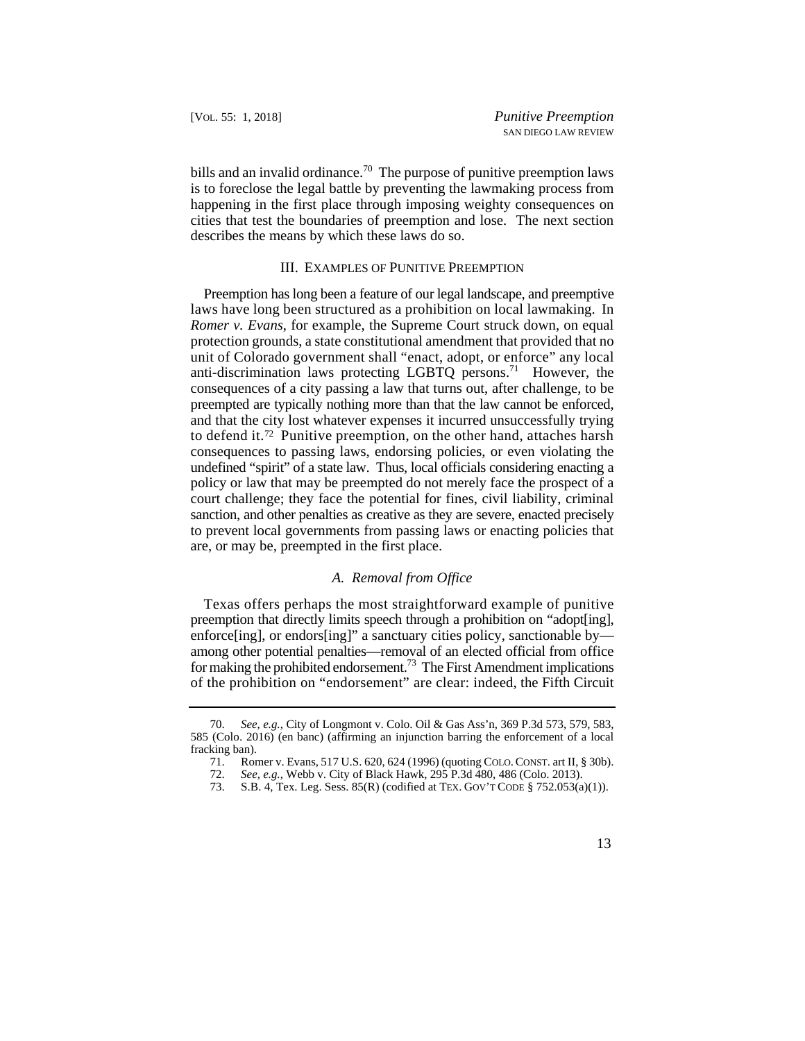bills and an invalid ordinance.<sup>70</sup> The purpose of punitive preemption laws is to foreclose the legal battle by preventing the lawmaking process from happening in the first place through imposing weighty consequences on cities that test the boundaries of preemption and lose. The next section describes the means by which these laws do so.

#### III. EXAMPLES OF PUNITIVE PREEMPTION

 Preemption has long been a feature of our legal landscape, and preemptive laws have long been structured as a prohibition on local lawmaking. In *Romer v. Evans*, for example, the Supreme Court struck down, on equal protection grounds, a state constitutional amendment that provided that no unit of Colorado government shall "enact, adopt, or enforce" any local anti-discrimination laws protecting LGBTQ persons.<sup>71</sup> However, the consequences of a city passing a law that turns out, after challenge, to be preempted are typically nothing more than that the law cannot be enforced, and that the city lost whatever expenses it incurred unsuccessfully trying to defend it.72 Punitive preemption, on the other hand, attaches harsh consequences to passing laws, endorsing policies, or even violating the undefined "spirit" of a state law. Thus, local officials considering enacting a policy or law that may be preempted do not merely face the prospect of a court challenge; they face the potential for fines, civil liability, criminal sanction, and other penalties as creative as they are severe, enacted precisely to prevent local governments from passing laws or enacting policies that are, or may be, preempted in the first place.

## *A. Removal from Office*

 of the prohibition on "endorsement" are clear: indeed, the Fifth Circuit Texas offers perhaps the most straightforward example of punitive preemption that directly limits speech through a prohibition on "adopt[ing], enforce[ing], or endors[ing]" a sanctuary cities policy, sanctionable by among other potential penalties—removal of an elected official from office for making the prohibited endorsement.<sup>73</sup> The First Amendment implications

 <sup>70.</sup> *See, e.g.*, City of Longmont v. Colo. Oil & Gas Ass'n, 369 P.3d 573, 579, 583, 585 (Colo. 2016) (en banc) (affirming an injunction barring the enforcement of a local fracking ban).

<sup>71.</sup> Romer v. Evans, 517 U.S. 620, 624 (1996) (quoting COLO. CONST. art II, § 30b).

<sup>72.</sup> *See, e.g.*, Webb v. City of Black Hawk, 295 P.3d 480, 486 (Colo. 2013).

<sup>73.</sup> S.B. 4, Tex. Leg. Sess. 85(R) (codified at TEX. GOV'T CODE § 752.053(a)(1)).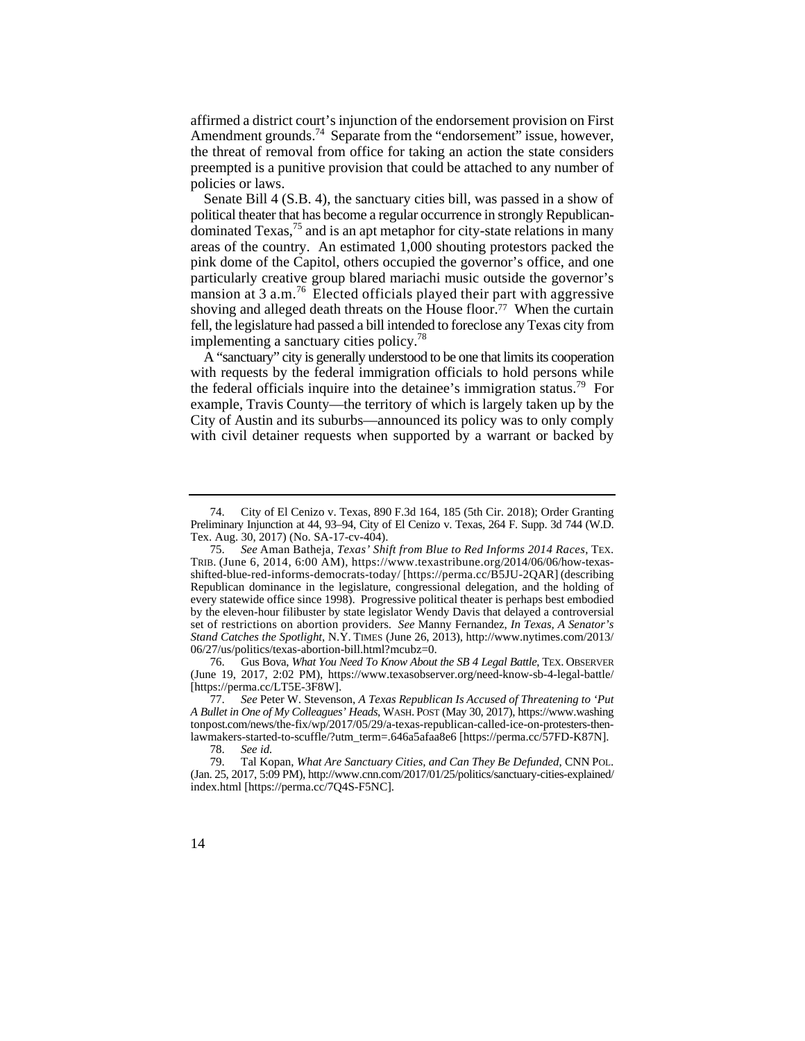affirmed a district court's injunction of the endorsement provision on First Amendment grounds.<sup>74</sup> Separate from the "endorsement" issue, however, the threat of removal from office for taking an action the state considers preempted is a punitive provision that could be attached to any number of policies or laws.

 political theater that has become a regular occurrence in strongly Republican-Senate Bill 4 (S.B. 4), the sanctuary cities bill, was passed in a show of dominated  $T$ exas, $75$  and is an apt metaphor for city-state relations in many areas of the country. An estimated 1,000 shouting protestors packed the pink dome of the Capitol, others occupied the governor's office, and one particularly creative group blared mariachi music outside the governor's mansion at  $3$  a.m.<sup>76</sup> Elected officials played their part with aggressive shoving and alleged death threats on the House floor.<sup>77</sup> When the curtain fell, the legislature had passed a bill intended to foreclose any Texas city from implementing a sanctuary cities policy.<sup>78</sup>

A "sanctuary" city is generally understood to be one that limits its cooperation with requests by the federal immigration officials to hold persons while the federal officials inquire into the detainee's immigration status.<sup>79</sup> For example, Travis County—the territory of which is largely taken up by the City of Austin and its suburbs—announced its policy was to only comply with civil detainer requests when supported by a warrant or backed by

 76. Gus Bova, *What You Need To Know About the SB 4 Legal Battle*, TEX. OBSERVER (June 19, 2017, 2:02 PM), https://www.texasobserver.org/need-know-sb-4-legal-battle/ [https://perma.cc/LT5E-3F8W].

<sup>74.</sup> City of El Cenizo v. Texas, 890 F.3d 164, 185 (5th Cir. 2018); Order Granting Preliminary Injunction at 44, 93–94, City of El Cenizo v. Texas, 264 F. Supp. 3d 744 (W.D. Tex. Aug. 30, 2017) (No. SA-17-cv-404).

 by the eleven-hour filibuster by state legislator Wendy Davis that delayed a controversial set of restrictions on abortion providers. *See* Manny Fernandez, *In Texas, A Senator's*  75. *See* Aman Batheja, *Texas' Shift from Blue to Red Informs 2014 Races*, TEX. TRIB. (June 6, 2014, 6:00 AM), https://www.texastribune.org/2014/06/06/how-texasshifted-blue-red-informs-democrats-today/ [https://perma.cc/B5JU-2QAR] (describing Republican dominance in the legislature, congressional delegation, and the holding of every statewide office since 1998). Progressive political theater is perhaps best embodied *Stand Catches the Spotlight*, N.Y. TIMES (June 26, 2013), http://www.nytimes.com/2013/ 06/27/us/politics/texas-abortion-bill.html?mcubz=0.

<sup>77.</sup> *See* Peter W. Stevenson, *A Texas Republican Is Accused of Threatening to 'Put A Bullet in One of My Colleagues' Heads*, WASH. POST (May 30, 2017), https://www.washing tonpost.com/news/the-fix/wp/2017/05/29/a-texas-republican-called-ice-on-protesters-thenlawmakers-started-to-scuffle/?utm\_term=.646a5afaa8e6 [https://perma.cc/57FD-K87N].

<sup>78.</sup> *See id.*

 (Jan. 25, 2017, 5:09 PM), http://www.cnn.com/2017/01/25/politics/sanctuary-cities-explained/ 79. Tal Kopan, *What Are Sanctuary Cities, and Can They Be Defunded*, CNN POL. index.html [https://perma.cc/7Q4S-F5NC].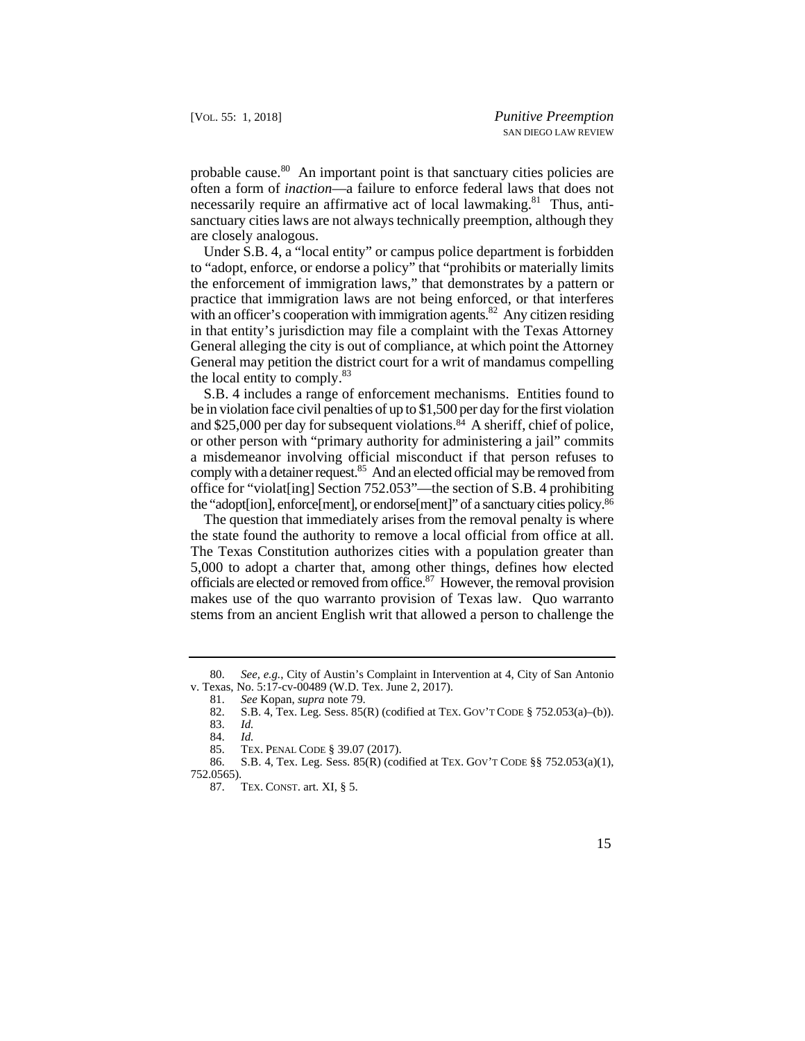probable cause.<sup>80</sup> An important point is that sanctuary cities policies are often a form of *inaction*—a failure to enforce federal laws that does not necessarily require an affirmative act of local lawmaking.<sup>81</sup> Thus, antisanctuary cities laws are not always technically preemption, although they are closely analogous.

Under S.B. 4, a "local entity" or campus police department is forbidden to "adopt, enforce, or endorse a policy" that "prohibits or materially limits the enforcement of immigration laws," that demonstrates by a pattern or practice that immigration laws are not being enforced, or that interferes with an officer's cooperation with immigration agents.<sup>82</sup> Any citizen residing in that entity's jurisdiction may file a complaint with the Texas Attorney General alleging the city is out of compliance, at which point the Attorney General may petition the district court for a writ of mandamus compelling the local entity to comply.<sup>83</sup>

S.B. 4 includes a range of enforcement mechanisms. Entities found to be in violation face civil penalties of up to \$1,500 per day for the first violation and \$25,000 per day for subsequent violations.<sup>84</sup> A sheriff, chief of police, or other person with "primary authority for administering a jail" commits a misdemeanor involving official misconduct if that person refuses to comply with a detainer request.<sup>85</sup> And an elected official may be removed from office for "violat[ing] Section 752.053"—the section of S.B. 4 prohibiting the "adopt[ion], enforce[ment], or endorse[ment]" of a sanctuary cities policy.86

The question that immediately arises from the removal penalty is where the state found the authority to remove a local official from office at all. The Texas Constitution authorizes cities with a population greater than 5,000 to adopt a charter that, among other things, defines how elected officials are elected or removed from office.87 However, the removal provision makes use of the quo warranto provision of Texas law. Quo warranto stems from an ancient English writ that allowed a person to challenge the

 80. *See, e.g.*, City of Austin's Complaint in Intervention at 4, City of San Antonio v. Texas, No. 5:17-cv-00489 (W.D. Tex. June 2, 2017).

<sup>81.</sup> *See* Kopan, *supra* note 79.

<sup>82.</sup> S.B. 4, Tex. Leg. Sess. 85(R) (codified at TEX. GOV'T CODE § 752.053(a)–(b)).

<sup>83.</sup> *Id.*

 <sup>84.</sup> *Id.*

 <sup>85.</sup> TEX. PENAL CODE § 39.07 (2017).

<sup>86.</sup> S.B. 4, Tex. Leg. Sess. 85(R) (codified at TEX. GOV'T CODE §§ 752.053(a)(1), 752.0565).

<sup>87.</sup> TEX. CONST. art. XI, § 5.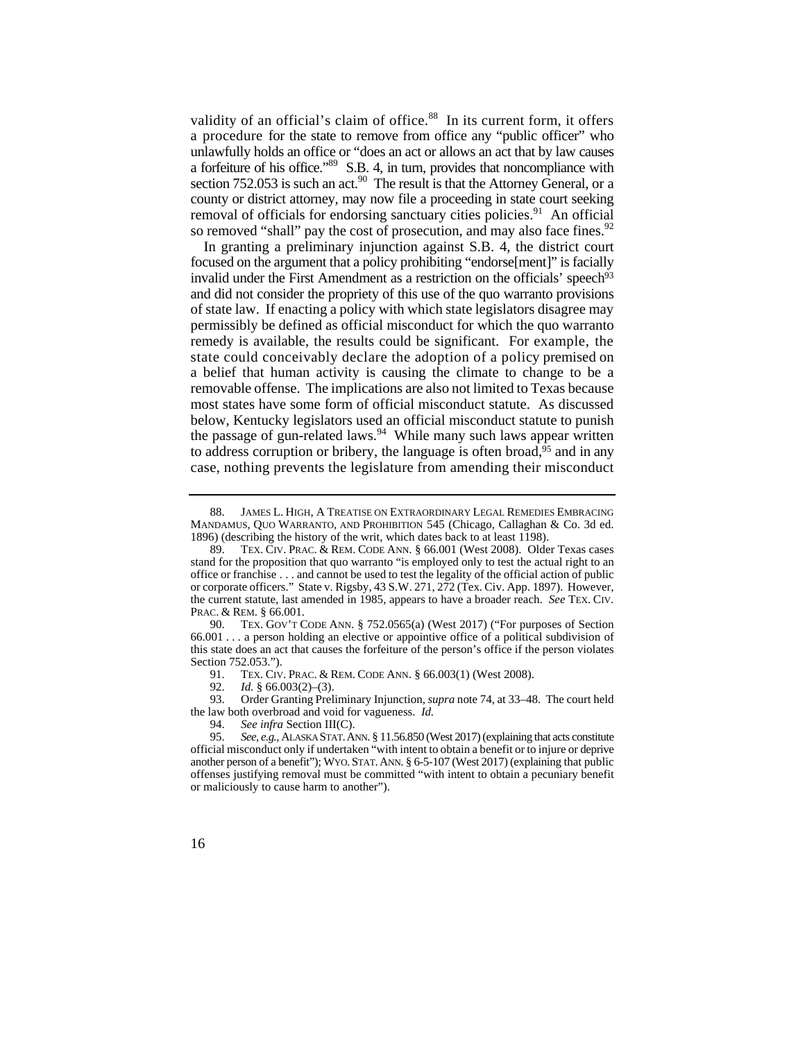a procedure for the state to remove from office any "public officer" who unlawfully holds an office or "does an act or allows an act that by law causes section 752.053 is such an act.<sup>90</sup> The result is that the Attorney General, or a validity of an official's claim of office.<sup>88</sup> In its current form, it offers a forfeiture of his office."89 S.B. 4, in turn, provides that noncompliance with county or district attorney, may now file a proceeding in state court seeking removal of officials for endorsing sanctuary cities policies.<sup>91</sup> An official so removed "shall" pay the cost of prosecution, and may also face fines.<sup>92</sup>

 remedy is available, the results could be significant. For example, the state could conceivably declare the adoption of a policy premised on to address corruption or bribery, the language is often broad,<sup>95</sup> and in any In granting a preliminary injunction against S.B. 4, the district court focused on the argument that a policy prohibiting "endorse[ment]" is facially invalid under the First Amendment as a restriction on the officials' speech<sup>93</sup> and did not consider the propriety of this use of the quo warranto provisions of state law. If enacting a policy with which state legislators disagree may permissibly be defined as official misconduct for which the quo warranto a belief that human activity is causing the climate to change to be a removable offense. The implications are also not limited to Texas because most states have some form of official misconduct statute. As discussed below, Kentucky legislators used an official misconduct statute to punish the passage of gun-related laws.<sup>94</sup> While many such laws appear written case, nothing prevents the legislature from amending their misconduct

91. TEX. CIV. PRAC. & REM. CODE ANN. § 66.003(1) (West 2008).

92. *Id.* § 66.003(2)–(3).

93. Order Granting Preliminary Injunction, *supra* note 74, at 33–48. The court held the law both overbroad and void for vagueness. *Id.* 

 88. JAMES L. HIGH, A TREATISE ON EXTRAORDINARY LEGAL REMEDIES EMBRACING MANDAMUS, QUO WARRANTO, AND PROHIBITION 545 (Chicago, Callaghan & Co. 3d ed. 1896) (describing the history of the writ, which dates back to at least 1198).

 89. TEX. CIV. PRAC. & REM. CODE ANN. § 66.001 (West 2008). Older Texas cases the current statute, last amended in 1985, appears to have a broader reach. *See* TEX. CIV. PRAC. & REM. § 66.001. stand for the proposition that quo warranto "is employed only to test the actual right to an office or franchise . . . and cannot be used to test the legality of the official action of public or corporate officers." State v. Rigsby, 43 S.W. 271, 272 (Tex. Civ. App. 1897). However,

<sup>90.</sup> TEX. GOV'T CODE ANN. § 752.0565(a) (West 2017) ("For purposes of Section 66.001 . . . a person holding an elective or appointive office of a political subdivision of this state does an act that causes the forfeiture of the person's office if the person violates Section 752.053.").

 another person of a benefit"); WYO. STAT. ANN. § 6-5-107 (West 2017) (explaining that public 94. *See infra* Section III(C).<br>95. *See, e.g.*, ALASKA STAT. A See, e.g., ALASKA STAT. ANN. § 11.56.850 (West 2017) (explaining that acts constitute official misconduct only if undertaken "with intent to obtain a benefit or to injure or deprive offenses justifying removal must be committed "with intent to obtain a pecuniary benefit or maliciously to cause harm to another").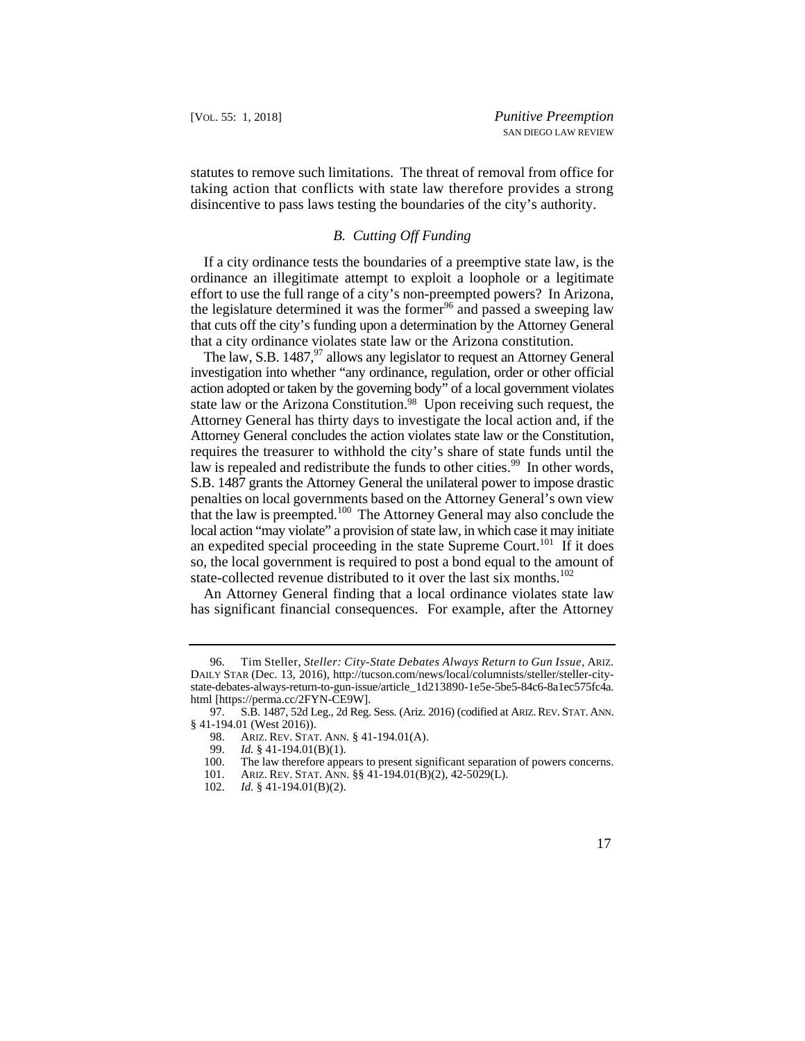statutes to remove such limitations. The threat of removal from office for taking action that conflicts with state law therefore provides a strong disincentive to pass laws testing the boundaries of the city's authority.

## *B. Cutting Off Funding*

If a city ordinance tests the boundaries of a preemptive state law, is the ordinance an illegitimate attempt to exploit a loophole or a legitimate effort to use the full range of a city's non-preempted powers? In Arizona, the legislature determined it was the former<sup>96</sup> and passed a sweeping law that cuts off the city's funding upon a determination by the Attorney General that a city ordinance violates state law or the Arizona constitution.

 investigation into whether "any ordinance, regulation, order or other official that the law is preempted.<sup>100</sup> The Attorney General may also conclude the The law, S.B. 1487, $97$  allows any legislator to request an Attorney General action adopted or taken by the governing body" of a local government violates state law or the Arizona Constitution.98 Upon receiving such request, the Attorney General has thirty days to investigate the local action and, if the Attorney General concludes the action violates state law or the Constitution, requires the treasurer to withhold the city's share of state funds until the law is repealed and redistribute the funds to other cities.<sup>99</sup> In other words, S.B. 1487 grants the Attorney General the unilateral power to impose drastic penalties on local governments based on the Attorney General's own view local action "may violate" a provision of state law, in which case it may initiate an expedited special proceeding in the state Supreme Court.<sup>101</sup> If it does so, the local government is required to post a bond equal to the amount of state-collected revenue distributed to it over the last six months.<sup>102</sup>

An Attorney General finding that a local ordinance violates state law has significant financial consequences. For example, after the Attorney

 96. Tim Steller, *Steller: City-State Debates Always Return to Gun Issue*, ARIZ. DAILY STAR (Dec. 13, 2016), http://tucson.com/news/local/columnists/steller/steller-citystate-debates-always-return-to-gun-issue/article\_1d213890-1e5e-5be5-84c6-8a1ec575fc4a. html [https://perma.cc/2FYN-CE9W].

<sup>97.</sup> S.B. 1487, 52d Leg., 2d Reg. Sess. (Ariz. 2016) (codified at ARIZ. REV. STAT. ANN. § 41-194.01 (West 2016)).

 98. ARIZ. REV. STAT. ANN. § 41-194.01(A).

<sup>99.</sup> *Id.* § 41-194.01(B)(1).

<sup>100.</sup> The law therefore appears to present significant separation of powers concerns.<br>101. ARIZ. REV. STAT. ANN. §§ 41-194.01(B)(2), 42-5029(L).

 101. ARIZ. REV. STAT. ANN. §§ 41-194.01(B)(2), 42-5029(L).

<sup>102.</sup> *Id.* § 41-194.01(B)(2).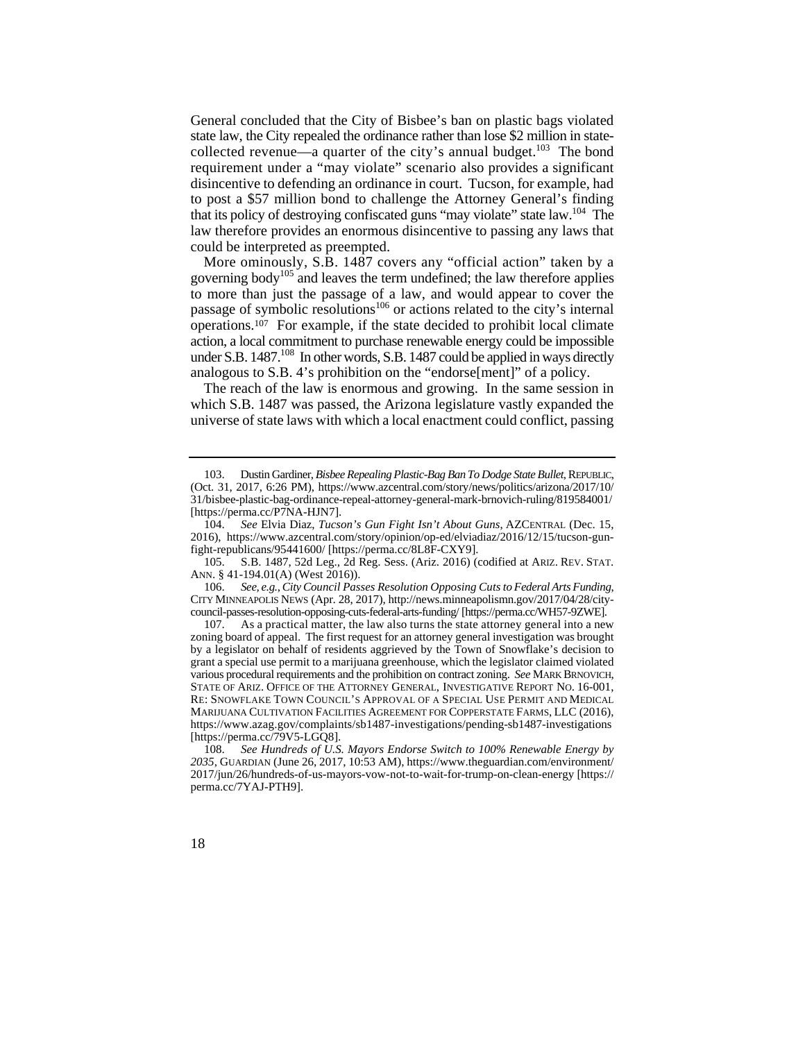requirement under a "may violate" scenario also provides a significant General concluded that the City of Bisbee's ban on plastic bags violated state law, the City repealed the ordinance rather than lose \$2 million in statecollected revenue—a quarter of the city's annual budget. $^{103}$  The bond disincentive to defending an ordinance in court. Tucson, for example, had to post a \$57 million bond to challenge the Attorney General's finding that its policy of destroying confiscated guns "may violate" state law.104 The law therefore provides an enormous disincentive to passing any laws that could be interpreted as preempted.

 More ominously, S.B. 1487 covers any "official action" taken by a under S.B. 1487.<sup>108</sup> In other words, S.B. 1487 could be applied in ways directly governing body<sup>105</sup> and leaves the term undefined; the law therefore applies to more than just the passage of a law, and would appear to cover the passage of symbolic resolutions<sup>106</sup> or actions related to the city's internal operations.107 For example, if the state decided to prohibit local climate action, a local commitment to purchase renewable energy could be impossible analogous to S.B. 4's prohibition on the "endorse[ment]" of a policy.

The reach of the law is enormous and growing. In the same session in which S.B. 1487 was passed, the Arizona legislature vastly expanded the universe of state laws with which a local enactment could conflict, passing

 103. Dustin Gardiner, *Bisbee Repealing Plastic-Bag Ban To Dodge State Bullet*, REPUBLIC, (Oct. 31, 2017, 6:26 PM), https://www.azcentral.com/story/news/politics/arizona/2017/10/ 31/bisbee-plastic-bag-ordinance-repeal-attorney-general-mark-brnovich-ruling/819584001/ [https://perma.cc/P7NA-HJN7].

<sup>104.</sup> *See* Elvia Diaz, *Tucson's Gun Fight Isn't About Guns*, AZCENTRAL (Dec. 15, 2016), https://www.azcentral.com/story/opinion/op-ed/elviadiaz/2016/12/15/tucson-gunfight-republicans/95441600/ [https://perma.cc/8L8F-CXY9].

<sup>105.</sup> S.B. 1487, 52d Leg., 2d Reg. Sess. (Ariz. 2016) (codified at ARIZ. REV. STAT. ANN. § 41-194.01(A) (West 2016)).

 106. *See, e.g.*, *City Council Passes Resolution Opposing Cuts to Federal Arts Funding*, CITY MINNEAPOLIS NEWS (Apr. 28, 2017), http://news.minneapolismn.gov/2017/04/28/city-

council-passes-resolution-opposing-cuts-federal-arts-funding/ [https://perma.cc/WH57-9ZWE]. As a practical matter, the law also turns the state attorney general into a new zoning board of appeal. The first request for an attorney general investigation was brought by a legislator on behalf of residents aggrieved by the Town of Snowflake's decision to grant a special use permit to a marijuana greenhouse, which the legislator claimed violated various procedural requirements and the prohibition on contract zoning. *See* MARK BRNOVICH, STATE OF ARIZ. OFFICE OF THE ATTORNEY GENERAL, INVESTIGATIVE REPORT NO. 16-001, RE: SNOWFLAKE TOWN COUNCIL'S APPROVAL OF A SPECIAL USE PERMIT AND MEDICAL MARIJUANA CULTIVATION FACILITIES AGREEMENT FOR COPPERSTATE FARMS, LLC (2016), https://www.azag.gov/complaints/sb1487-investigations/pending-sb1487-investigations [https://perma.cc/79V5-LGQ8].

<sup>108.</sup> *See Hundreds of U.S. Mayors Endorse Switch to 100% Renewable Energy by 2035*, GUARDIAN (June 26, 2017, 10:53 AM), https://www.theguardian.com/environment/ 2017/jun/26/hundreds-of-us-mayors-vow-not-to-wait-for-trump-on-clean-energy [https:// perma.cc/7YAJ-PTH9].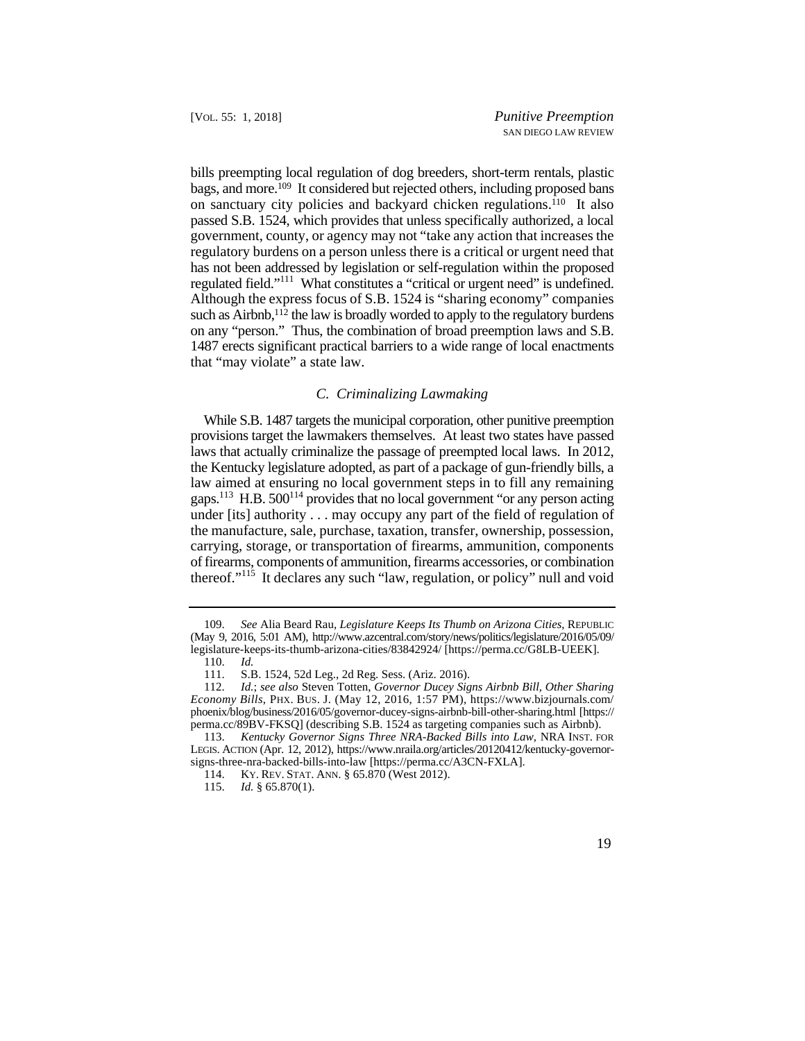bills preempting local regulation of dog breeders, short-term rentals, plastic bags, and more.109 It considered but rejected others, including proposed bans regulated field."<sup>111</sup> What constitutes a "critical or urgent need" is undefined. on sanctuary city policies and backyard chicken regulations.110 It also passed S.B. 1524, which provides that unless specifically authorized, a local government, county, or agency may not "take any action that increases the regulatory burdens on a person unless there is a critical or urgent need that has not been addressed by legislation or self-regulation within the proposed Although the express focus of S.B. 1524 is "sharing economy" companies such as Airbnb,<sup>112</sup> the law is broadly worded to apply to the regulatory burdens on any "person." Thus, the combination of broad preemption laws and S.B. 1487 erects significant practical barriers to a wide range of local enactments that "may violate" a state law.

## *C. Criminalizing Lawmaking*

gaps.<sup>113</sup> H.B.  $500^{114}$  provides that no local government "or any person acting under [its] authority . . . may occupy any part of the field of regulation of While S.B. 1487 targets the municipal corporation, other punitive preemption provisions target the lawmakers themselves. At least two states have passed laws that actually criminalize the passage of preempted local laws. In 2012, the Kentucky legislature adopted, as part of a package of gun-friendly bills, a law aimed at ensuring no local government steps in to fill any remaining the manufacture, sale, purchase, taxation, transfer, ownership, possession, carrying, storage, or transportation of firearms, ammunition, components of firearms, components of ammunition, firearms accessories, or combination thereof."115 It declares any such "law, regulation, or policy" null and void

 109. *See* Alia Beard Rau, *Legislature Keeps Its Thumb on Arizona Cities*, REPUBLIC (May 9, 2016, 5:01 AM), http://www.azcentral.com/story/news/politics/legislature/2016/05/09/ legislature-keeps-its-thumb-arizona-cities/83842924/ [https://perma.cc/G8LB-UEEK].

<sup>110.</sup> *Id.* 

<sup>111.</sup> S.B. 1524, 52d Leg., 2d Reg. Sess. (Ariz. 2016).

 *Economy Bills*, PHX. BUS. J. (May 12, 2016, 1:57 PM), https://www.bizjournals.com/ 112. *Id.*; *see also* Steven Totten, *Governor Ducey Signs Airbnb Bill, Other Sharing*  phoenix/blog/business/2016/05/governor-ducey-signs-airbnb-bill-other-sharing.html [https:// perma.cc/89BV-FKSQ] (describing S.B. 1524 as targeting companies such as Airbnb).

<sup>113.</sup> *Kentucky Governor Signs Three NRA-Backed Bills into Law*, NRA INST. FOR LEGIS. ACTION (Apr. 12, 2012), https://www.nraila.org/articles/20120412/kentucky-governorsigns-three-nra-backed-bills-into-law [https://perma.cc/A3CN-FXLA].

 114. KY. REV. STAT. ANN. § 65.870 (West 2012).

<sup>115.</sup> *Id.* § 65.870(1).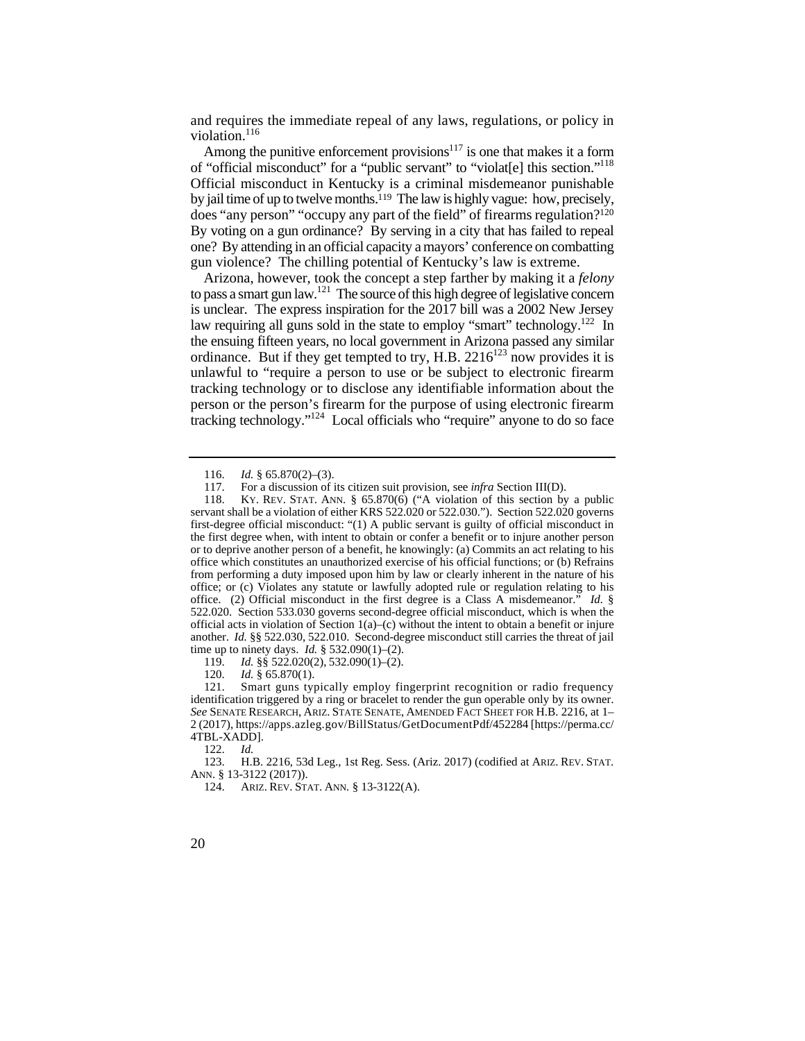and requires the immediate repeal of any laws, regulations, or policy in violation.<sup>116</sup>

 of "official misconduct" for a "public servant" to "violat[e] this section."118 does "any person" "occupy any part of the field" of firearms regulation?120 By voting on a gun ordinance? By serving in a city that has failed to repeal Among the punitive enforcement provisions<sup>117</sup> is one that makes it a form Official misconduct in Kentucky is a criminal misdemeanor punishable by jail time of up to twelve months.119 The law is highly vague: how, precisely, one? By attending in an official capacity a mayors' conference on combatting gun violence? The chilling potential of Kentucky's law is extreme.

Arizona, however, took the concept a step farther by making it a *felony*  to pass a smart gun law.<sup>121</sup> The source of this high degree of legislative concern is unclear. The express inspiration for the 2017 bill was a 2002 New Jersey law requiring all guns sold in the state to employ "smart" technology.<sup>122</sup> In the ensuing fifteen years, no local government in Arizona passed any similar ordinance. But if they get tempted to try, H.B.  $2216^{123}$  now provides it is unlawful to "require a person to use or be subject to electronic firearm tracking technology or to disclose any identifiable information about the person or the person's firearm for the purpose of using electronic firearm tracking technology."124 Local officials who "require" anyone to do so face

119. *Id.* §§ 522.020(2), 532.090(1)–(2).

120. *Id.* § 65.870(1).

122. *Id.* 

123. H.B. 2216, 53d Leg., 1st Reg. Sess. (Ariz. 2017) (codified at ARIZ. REV. STAT. ANN. § 13-3122 (2017)).

124. ARIZ. REV. STAT. ANN. § 13-3122(A).

 <sup>116.</sup> *Id.* § 65.870(2)–(3).

<sup>117.</sup> For a discussion of its citizen suit provision, see *infra* Section III(D).

 118. KY. REV. STAT. ANN. § 65.870(6) ("A violation of this section by a public from performing a duty imposed upon him by law or clearly inherent in the nature of his another. *Id.* §§ 522.030, 522.010. Second-degree misconduct still carries the threat of jail servant shall be a violation of either KRS 522.020 or 522.030."). Section 522.020 governs first-degree official misconduct: "(1) A public servant is guilty of official misconduct in the first degree when, with intent to obtain or confer a benefit or to injure another person or to deprive another person of a benefit, he knowingly: (a) Commits an act relating to his office which constitutes an unauthorized exercise of his official functions; or (b) Refrains office; or (c) Violates any statute or lawfully adopted rule or regulation relating to his office. (2) Official misconduct in the first degree is a Class A misdemeanor." *Id.* § 522.020. Section 533.030 governs second-degree official misconduct, which is when the official acts in violation of Section  $1(a)$ –(c) without the intent to obtain a benefit or injure time up to ninety days. *Id.* § 532.090(1)–(2).

 121. Smart guns typically employ fingerprint recognition or radio frequency identification triggered by a ring or bracelet to render the gun operable only by its owner. *See* SENATE RESEARCH, ARIZ. STATE SENATE, AMENDED FACT SHEET FOR H.B. 2216, at 1– 2 (2017), https://apps.azleg.gov/BillStatus/GetDocumentPdf/452284 [https://perma.cc/ 4TBL-XADD].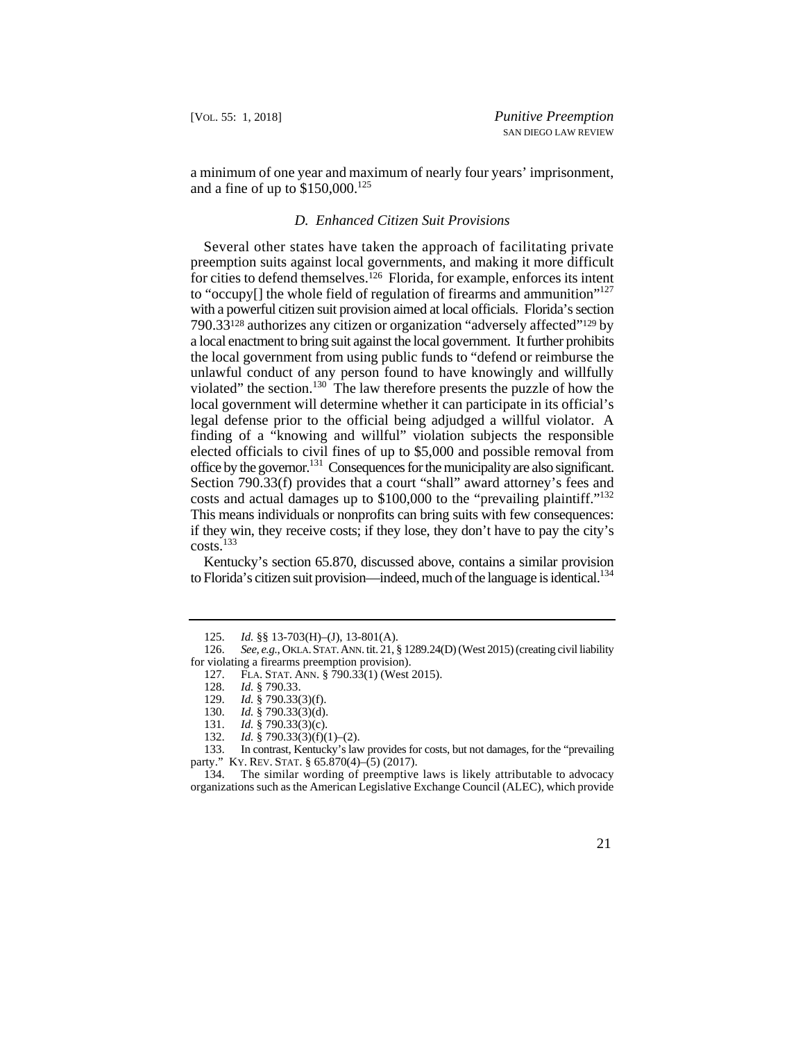a minimum of one year and maximum of nearly four years' imprisonment, and a fine of up to  $$150,000$ .<sup>125</sup>

#### *D. Enhanced Citizen Suit Provisions*

costs and actual damages up to \$100,000 to the "prevailing plaintiff."<sup>132</sup> Several other states have taken the approach of facilitating private preemption suits against local governments, and making it more difficult for cities to defend themselves.126 Florida, for example, enforces its intent to "occupy<sup>[]</sup> the whole field of regulation of firearms and ammunition"<sup>127</sup> with a powerful citizen suit provision aimed at local officials. Florida's section 790.33128 authorizes any citizen or organization "adversely affected"129 by a local enactment to bring suit against the local government. It further prohibits the local government from using public funds to "defend or reimburse the unlawful conduct of any person found to have knowingly and willfully violated" the section.130 The law therefore presents the puzzle of how the local government will determine whether it can participate in its official's legal defense prior to the official being adjudged a willful violator. A finding of a "knowing and willful" violation subjects the responsible elected officials to civil fines of up to \$5,000 and possible removal from office by the governor.<sup>131</sup> Consequences for the municipality are also significant. Section 790.33(f) provides that a court "shall" award attorney's fees and This means individuals or nonprofits can bring suits with few consequences: if they win, they receive costs; if they lose, they don't have to pay the city's  $costs.<sup>133</sup>$ 

to Florida's citizen suit provision—indeed, much of the language is identical.<sup>134</sup> Kentucky's section 65.870, discussed above, contains a similar provision

 <sup>125.</sup> *Id.* §§ 13-703(H)–(J), 13-801(A).

 126. *See, e.g.*, OKLA.STAT.ANN. tit. 21, § 1289.24(D) (West 2015) (creating civil liability for violating a firearms preemption provision).

 127. FLA. STAT. ANN. § 790.33(1) (West 2015).

<sup>128.</sup> *Id.* § 790.33.

Id. § 790.33(3)(f).

<sup>130.</sup> *Id.* § 790.33(3)(d).

<sup>131.</sup> *Id.* § 790.33(3)(c).<br>132. *Id.* § 790.33(3)(f)(

 party." KY. REV. STAT. § 65.870(4)–(5) (2017). 132. *Id.* § 790.33(3)(f)(1)–(2).<br>133. In contrast, Kentucky's lav In contrast, Kentucky's law provides for costs, but not damages, for the "prevailing"

<sup>134.</sup> The similar wording of preemptive laws is likely attributable to advocacy organizations such as the American Legislative Exchange Council (ALEC), which provide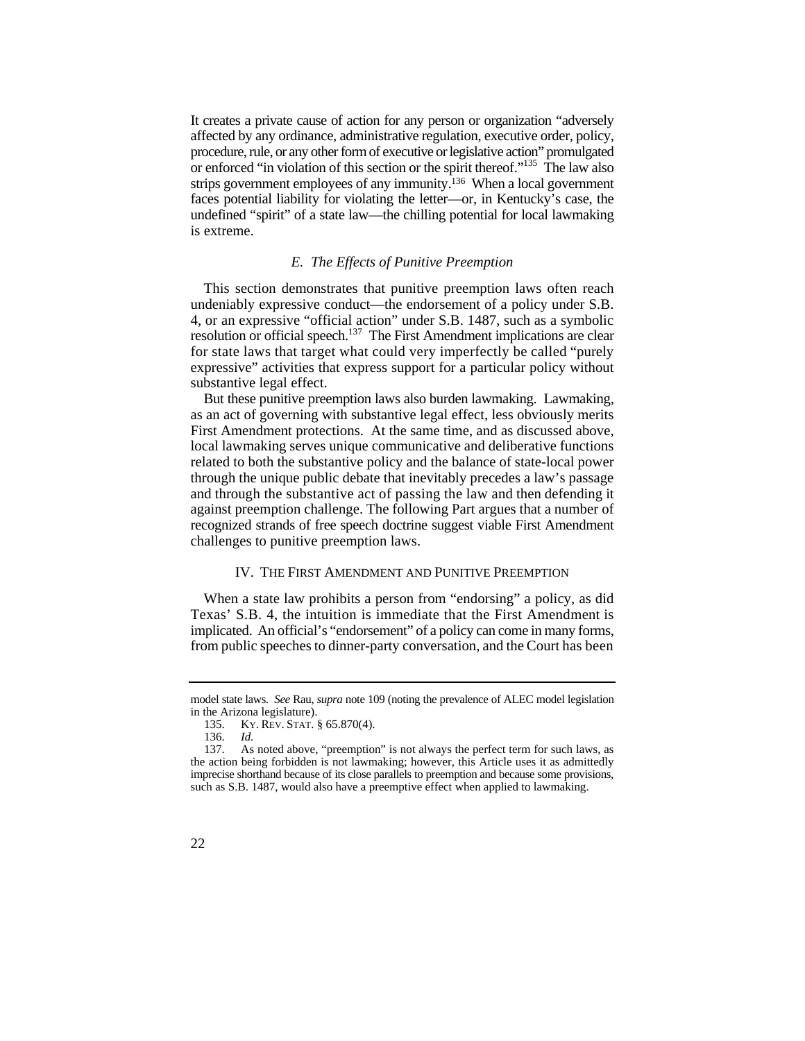affected by any ordinance, administrative regulation, executive order, policy, or enforced "in violation of this section or the spirit thereof."<sup>135</sup> The law also undefined "spirit" of a state law—the chilling potential for local lawmaking It creates a private cause of action for any person or organization "adversely procedure, rule, or any other form of executive or legislative action" promulgated strips government employees of any immunity.136 When a local government faces potential liability for violating the letter—or, in Kentucky's case, the is extreme.

## *E. The Effects of Punitive Preemption*

 undeniably expressive conduct—the endorsement of a policy under S.B. for state laws that target what could very imperfectly be called "purely expressive" activities that express support for a particular policy without This section demonstrates that punitive preemption laws often reach 4, or an expressive "official action" under S.B. 1487, such as a symbolic resolution or official speech.<sup>137</sup> The First Amendment implications are clear substantive legal effect.

 and through the substantive act of passing the law and then defending it But these punitive preemption laws also burden lawmaking. Lawmaking, as an act of governing with substantive legal effect, less obviously merits First Amendment protections. At the same time, and as discussed above, local lawmaking serves unique communicative and deliberative functions related to both the substantive policy and the balance of state-local power through the unique public debate that inevitably precedes a law's passage against preemption challenge. The following Part argues that a number of recognized strands of free speech doctrine suggest viable First Amendment challenges to punitive preemption laws.

#### IV. THE FIRST AMENDMENT AND PUNITIVE PREEMPTION

 Texas' S.B. 4, the intuition is immediate that the First Amendment is from public speeches to dinner-party conversation, and the Court has been When a state law prohibits a person from "endorsing" a policy, as did implicated. An official's "endorsement" of a policy can come in many forms,

 model state laws. *See* Rau, *supra* note 109 (noting the prevalence of ALEC model legislation in the Arizona legislature).

 135. KY. REV. STAT. § 65.870(4).

<sup>136.</sup> *Id.* 

 the action being forbidden is not lawmaking; however, this Article uses it as admittedly imprecise shorthand because of its close parallels to preemption and because some provisions, 137. As noted above, "preemption" is not always the perfect term for such laws, as such as S.B. 1487, would also have a preemptive effect when applied to lawmaking.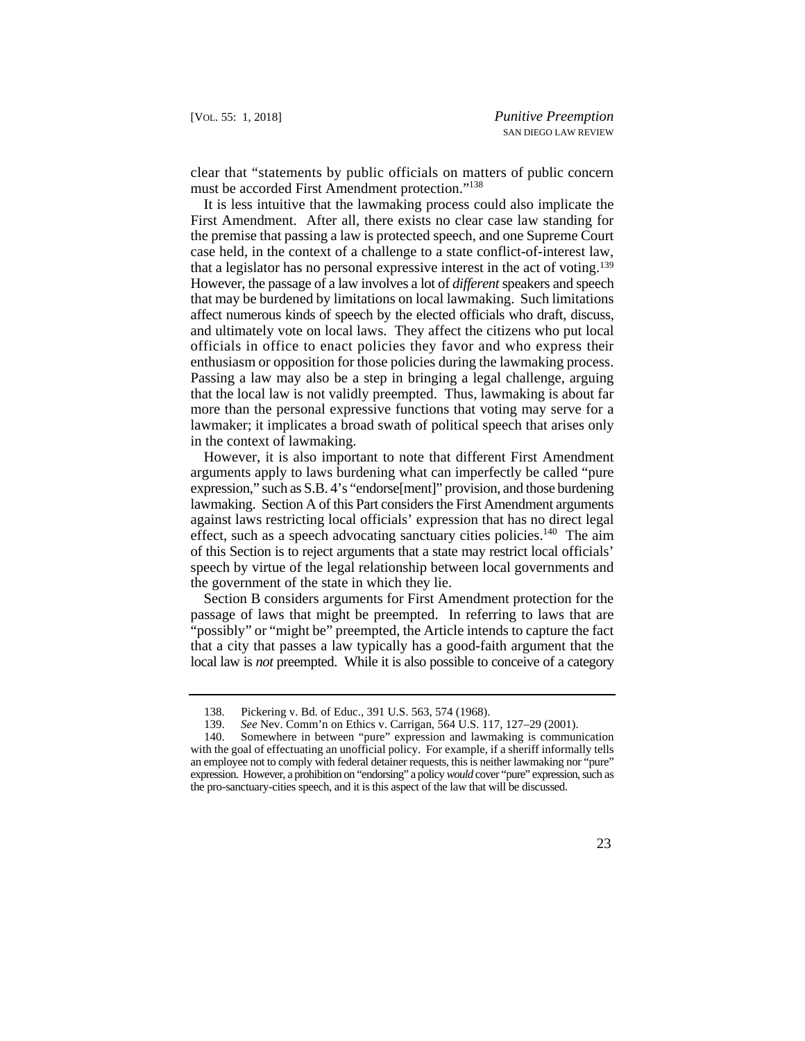clear that "statements by public officials on matters of public concern must be accorded First Amendment protection."<sup>138</sup>

 that a legislator has no personal expressive interest in the act of voting.139 It is less intuitive that the lawmaking process could also implicate the First Amendment. After all, there exists no clear case law standing for the premise that passing a law is protected speech, and one Supreme Court case held, in the context of a challenge to a state conflict-of-interest law, However, the passage of a law involves a lot of *different* speakers and speech that may be burdened by limitations on local lawmaking. Such limitations affect numerous kinds of speech by the elected officials who draft, discuss, and ultimately vote on local laws. They affect the citizens who put local officials in office to enact policies they favor and who express their enthusiasm or opposition for those policies during the lawmaking process. Passing a law may also be a step in bringing a legal challenge, arguing that the local law is not validly preempted. Thus, lawmaking is about far more than the personal expressive functions that voting may serve for a lawmaker; it implicates a broad swath of political speech that arises only in the context of lawmaking.

However, it is also important to note that different First Amendment arguments apply to laws burdening what can imperfectly be called "pure expression," such as S.B. 4's "endorse[ment]" provision, and those burdening lawmaking. Section A of this Part considers the First Amendment arguments against laws restricting local officials' expression that has no direct legal effect, such as a speech advocating sanctuary cities policies.<sup>140</sup> The aim of this Section is to reject arguments that a state may restrict local officials' speech by virtue of the legal relationship between local governments and the government of the state in which they lie.

Section B considers arguments for First Amendment protection for the passage of laws that might be preempted. In referring to laws that are "possibly" or "might be" preempted, the Article intends to capture the fact that a city that passes a law typically has a good-faith argument that the local law is *not* preempted. While it is also possible to conceive of a category

<sup>138.</sup> Pickering v. Bd. of Educ., 391 U.S. 563, 574 (1968).

<sup>139.</sup> *See* Nev. Comm'n on Ethics v. Carrigan, 564 U.S. 117, 127–29 (2001).

 with the goal of effectuating an unofficial policy. For example, if a sheriff informally tells an employee not to comply with federal detainer requests, this is neither lawmaking nor "pure" the pro-sanctuary-cities speech, and it is this aspect of the law that will be discussed. 140. Somewhere in between "pure" expression and lawmaking is communication expression. However, a prohibition on "endorsing" a policy *would* cover "pure" expression, such as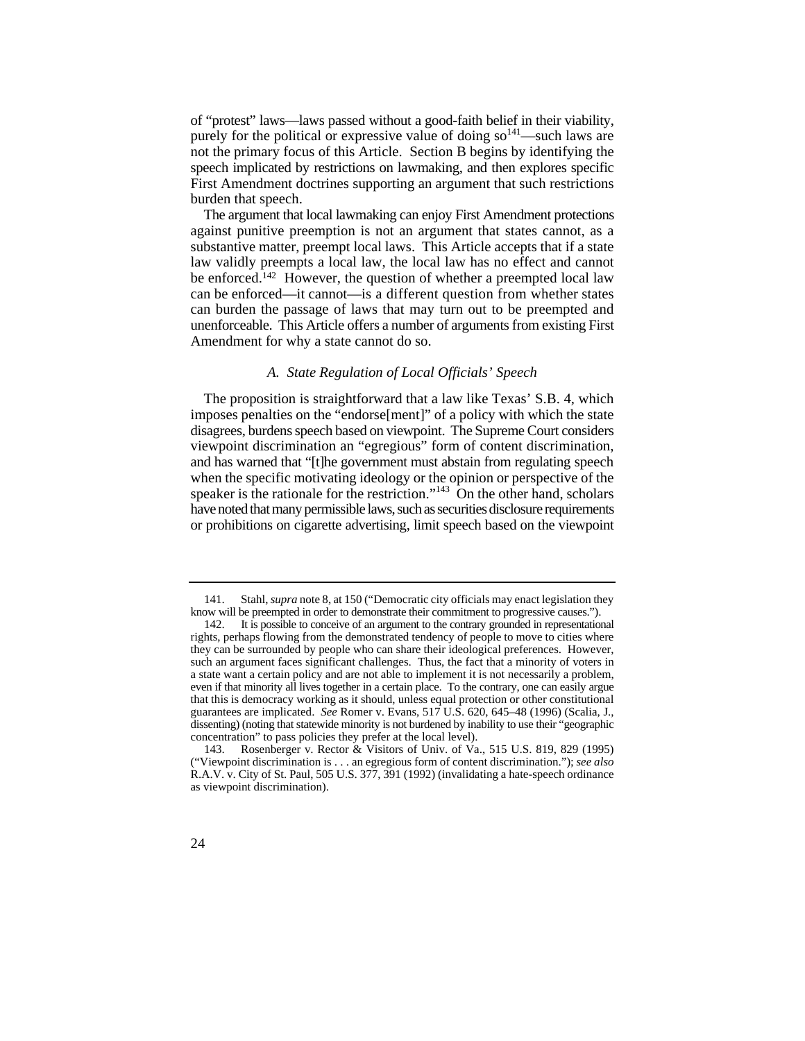of "protest" laws—laws passed without a good-faith belief in their viability, purely for the political or expressive value of doing  $so^{141}$ —such laws are not the primary focus of this Article. Section B begins by identifying the speech implicated by restrictions on lawmaking, and then explores specific First Amendment doctrines supporting an argument that such restrictions burden that speech.

 unenforceable. This Article offers a number of arguments from existing First The argument that local lawmaking can enjoy First Amendment protections against punitive preemption is not an argument that states cannot, as a substantive matter, preempt local laws. This Article accepts that if a state law validly preempts a local law, the local law has no effect and cannot be enforced.<sup>142</sup> However, the question of whether a preempted local law can be enforced—it cannot—is a different question from whether states can burden the passage of laws that may turn out to be preempted and Amendment for why a state cannot do so.

#### *A. State Regulation of Local Officials' Speech*

 and has warned that "[t]he government must abstain from regulating speech have noted that many permissible laws, such as securities disclosure requirements The proposition is straightforward that a law like Texas' S.B. 4, which imposes penalties on the "endorse[ment]" of a policy with which the state disagrees, burdens speech based on viewpoint. The Supreme Court considers viewpoint discrimination an "egregious" form of content discrimination, when the specific motivating ideology or the opinion or perspective of the speaker is the rationale for the restriction."<sup>143</sup> On the other hand, scholars or prohibitions on cigarette advertising, limit speech based on the viewpoint

<sup>141.</sup> Stahl, *supra* note 8, at 150 ("Democratic city officials may enact legislation they know will be preempted in order to demonstrate their commitment to progressive causes.").

 rights, perhaps flowing from the demonstrated tendency of people to move to cities where a state want a certain policy and are not able to implement it is not necessarily a problem, even if that minority all lives together in a certain place. To the contrary, one can easily argue guarantees are implicated. *See* Romer v. Evans, 517 U.S. 620, 645–48 (1996) (Scalia, J., concentration" to pass policies they prefer at the local level). 142. It is possible to conceive of an argument to the contrary grounded in representational they can be surrounded by people who can share their ideological preferences. However, such an argument faces significant challenges. Thus, the fact that a minority of voters in that this is democracy working as it should, unless equal protection or other constitutional dissenting) (noting that statewide minority is not burdened by inability to use their "geographic

<sup>143.</sup> Rosenberger v. Rector & Visitors of Univ. of Va., 515 U.S. 819, 829 (1995) ("Viewpoint discrimination is . . . an egregious form of content discrimination."); *see also*  R.A.V. v. City of St. Paul, 505 U.S. 377, 391 (1992) (invalidating a hate-speech ordinance as viewpoint discrimination).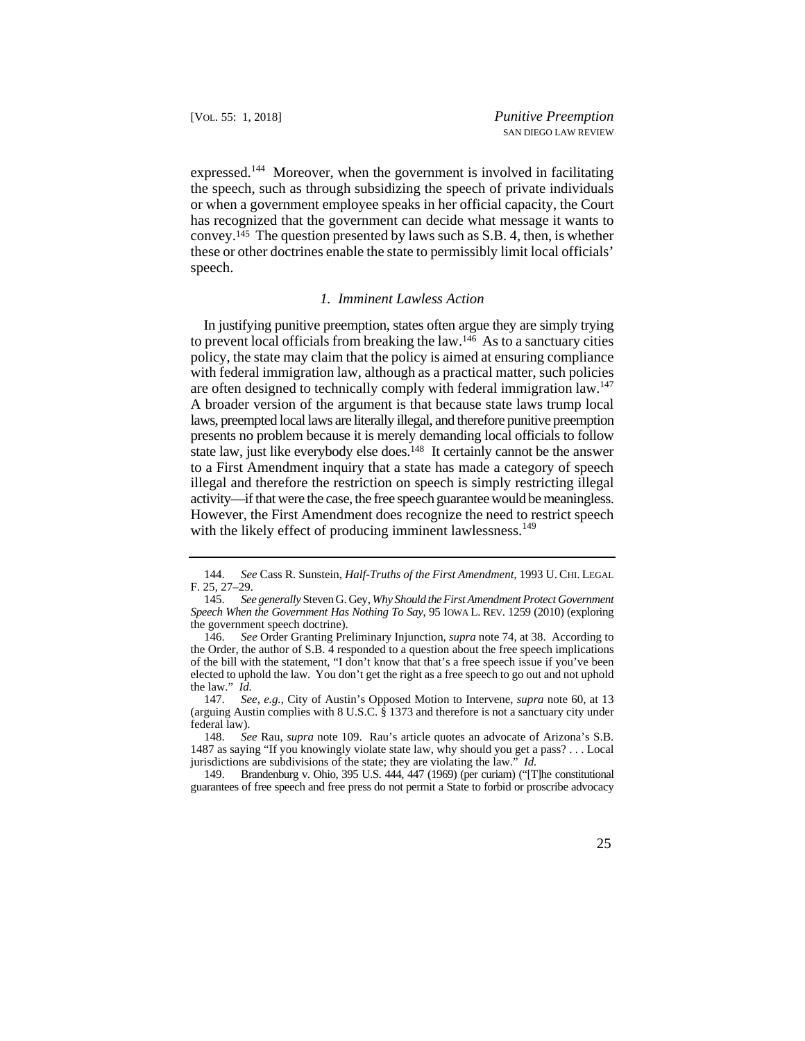expressed.<sup>144</sup> Moreover, when the government is involved in facilitating the speech, such as through subsidizing the speech of private individuals or when a government employee speaks in her official capacity, the Court has recognized that the government can decide what message it wants to convey.145 The question presented by laws such as S.B. 4, then, is whether these or other doctrines enable the state to permissibly limit local officials' speech.

### *1. Imminent Lawless Action*

 In justifying punitive preemption, states often argue they are simply trying are often designed to technically comply with federal immigration law.<sup>147</sup> to prevent local officials from breaking the law.146 As to a sanctuary cities policy, the state may claim that the policy is aimed at ensuring compliance with federal immigration law, although as a practical matter, such policies A broader version of the argument is that because state laws trump local laws, preempted local laws are literally illegal, and therefore punitive preemption presents no problem because it is merely demanding local officials to follow state law, just like everybody else does.<sup>148</sup> It certainly cannot be the answer to a First Amendment inquiry that a state has made a category of speech illegal and therefore the restriction on speech is simply restricting illegal activity—if that were the case, the free speech guarantee would be meaningless. However, the First Amendment does recognize the need to restrict speech with the likely effect of producing imminent lawlessness.<sup>149</sup>

 144. *See* Cass R. Sunstein, *Half-Truths of the First Amendment*, 1993 U. CHI. LEGAL F. 25, 27–29.

<sup>145.</sup> *See generally* Steven G. Gey, *Why Should the First Amendment Protect Government Speech When the Government Has Nothing To Say*, 95 IOWA L. REV. 1259 (2010) (exploring the government speech doctrine).

 of the bill with the statement, "I don't know that that's a free speech issue if you've been 146. *See* Order Granting Preliminary Injunction, *supra* note 74, at 38. According to the Order, the author of S.B. 4 responded to a question about the free speech implications elected to uphold the law. You don't get the right as a free speech to go out and not uphold the law." *Id.*

 (arguing Austin complies with 8 U.S.C. § 1373 and therefore is not a sanctuary city under 147. *See, e.g.*, City of Austin's Opposed Motion to Intervene, *supra* note 60, at 13 federal law).

<sup>148.</sup> *See* Rau, *supra* note 109. Rau's article quotes an advocate of Arizona's S.B. 1487 as saying "If you knowingly violate state law, why should you get a pass? . . . Local jurisdictions are subdivisions of the state; they are violating the law." *Id.*

 guarantees of free speech and free press do not permit a State to forbid or proscribe advocacy 149. Brandenburg v. Ohio, 395 U.S. 444, 447 (1969) (per curiam) ("[T]he constitutional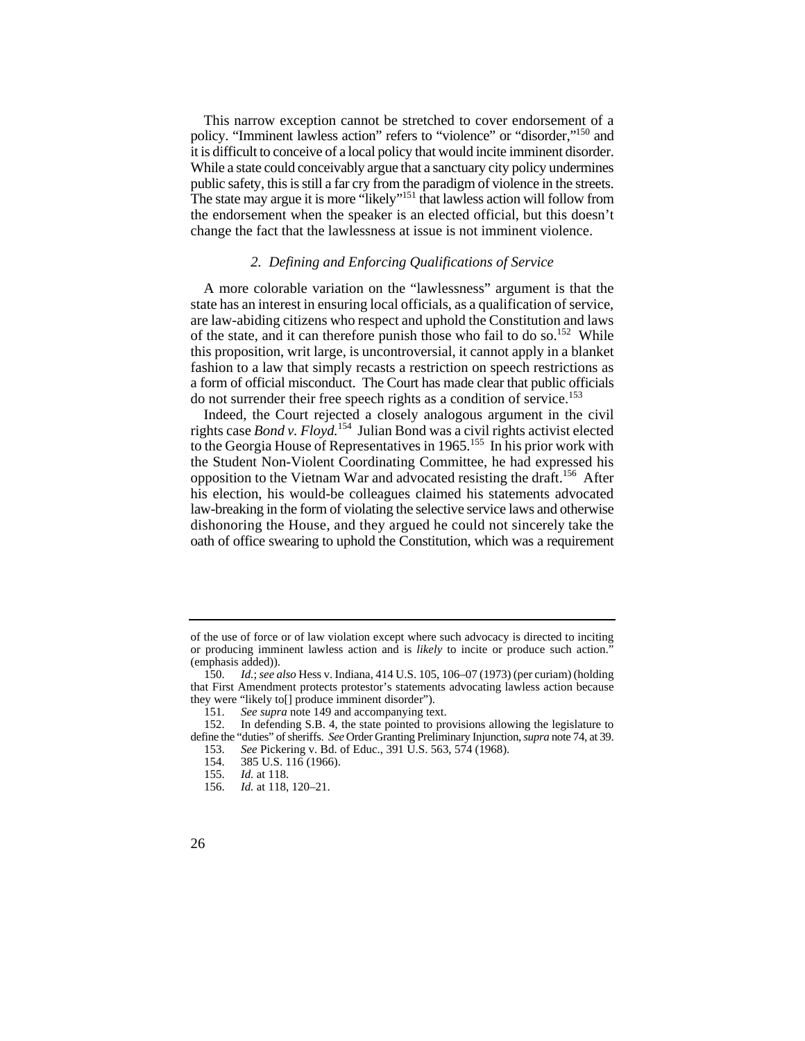it is difficult to conceive of a local policy that would incite imminent disorder. it is difficult to conceive of a local policy that would incite imminent disorder. While a state could conceivably argue that a sanctuary city policy undermines This narrow exception cannot be stretched to cover endorsement of a policy. "Imminent lawless action" refers to "violence" or "disorder,"150 and public safety, this is still a far cry from the paradigm of violence in the streets. The state may argue it is more "likely"<sup>151</sup> that lawless action will follow from the endorsement when the speaker is an elected official, but this doesn't change the fact that the lawlessness at issue is not imminent violence.

## *2. Defining and Enforcing Qualifications of Service*

A more colorable variation on the "lawlessness" argument is that the state has an interest in ensuring local officials, as a qualification of service, are law-abiding citizens who respect and uphold the Constitution and laws of the state, and it can therefore punish those who fail to do so.<sup>152</sup> While this proposition, writ large, is uncontroversial, it cannot apply in a blanket fashion to a law that simply recasts a restriction on speech restrictions as a form of official misconduct. The Court has made clear that public officials do not surrender their free speech rights as a condition of service.<sup>153</sup>

 dishonoring the House, and they argued he could not sincerely take the oath of office swearing to uphold the Constitution, which was a requirement Indeed, the Court rejected a closely analogous argument in the civil rights case *Bond v. Floyd.*154 Julian Bond was a civil rights activist elected to the Georgia House of Representatives in 1965.155 In his prior work with the Student Non-Violent Coordinating Committee, he had expressed his opposition to the Vietnam War and advocated resisting the draft.156 After his election, his would-be colleagues claimed his statements advocated law-breaking in the form of violating the selective service laws and otherwise

 of the use of force or of law violation except where such advocacy is directed to inciting or producing imminent lawless action and is *likely* to incite or produce such action." (emphasis added)).

<sup>150.</sup> *Id.*; *see also* Hess v. Indiana, 414 U.S. 105, 106–07 (1973) (per curiam) (holding that First Amendment protects protestor's statements advocating lawless action because they were "likely to[] produce imminent disorder").

<sup>151.</sup> *See supra* note 149 and accompanying text.

 define the "duties" of sheriffs. *See* Order Granting Preliminary Injunction, *supra* note 74, at 39. 152. In defending S.B. 4, the state pointed to provisions allowing the legislature to 153. *See* Pickering v. Bd. of Educ., 391 U.S. 563, 574 (1968).

<sup>154. 385</sup> U.S. 116 (1966).<br>155. *Id.* at 118. *Id.* at 118.

<sup>156.</sup> *Id.* at 118, 120–21.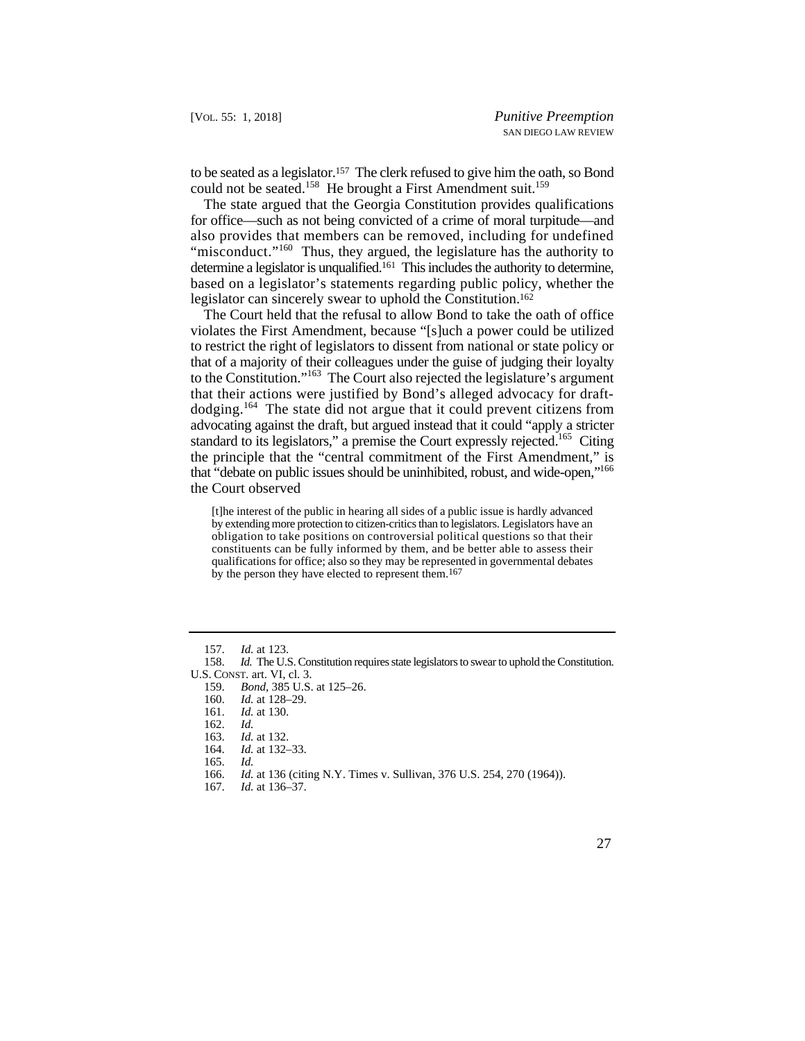to be seated as a legislator.<sup>157</sup> The clerk refused to give him the oath, so Bond could not be seated.<sup>158</sup> He brought a First Amendment suit.<sup>159</sup>

 based on a legislator's statements regarding public policy, whether the The state argued that the Georgia Constitution provides qualifications for office—such as not being convicted of a crime of moral turpitude—and also provides that members can be removed, including for undefined "misconduct."<sup>160</sup> Thus, they argued, the legislature has the authority to determine a legislator is unqualified.161 This includes the authority to determine, legislator can sincerely swear to uphold the Constitution.<sup>162</sup>

 dodging.164 The state did not argue that it could prevent citizens from The Court held that the refusal to allow Bond to take the oath of office violates the First Amendment, because "[s]uch a power could be utilized to restrict the right of legislators to dissent from national or state policy or that of a majority of their colleagues under the guise of judging their loyalty to the Constitution."163 The Court also rejected the legislature's argument that their actions were justified by Bond's alleged advocacy for draftadvocating against the draft, but argued instead that it could "apply a stricter standard to its legislators," a premise the Court expressly rejected.<sup>165</sup> Citing the principle that the "central commitment of the First Amendment," is that "debate on public issues should be uninhibited, robust, and wide-open,"<sup>166</sup> the Court observed

 by extending more protection to citizen-critics than to legislators. Legislators have an [t]he interest of the public in hearing all sides of a public issue is hardly advanced obligation to take positions on controversial political questions so that their constituents can be fully informed by them, and be better able to assess their qualifications for office; also so they may be represented in governmental debates by the person they have elected to represent them.167

161. *Id.* at 130.

164. *Id.* at 132–33.

 <sup>157.</sup> *Id.* at 123.

 158. *Id.* The U.S. Constitution requires state legislators to swear to uphold the Constitution. U.S. CONST. art. VI, cl. 3. U.S. CONST. art. VI. cl. 3.

<sup>159.</sup> *Bond*, 385 U.S. at 125–26.<br>160. *Id.* at 128–29.

*Id.* at 128-29.

<sup>162.</sup> *Id.* 

<sup>163.</sup> *Id.* at 132.

<sup>165.</sup> *Id.* 

<sup>166.</sup> *Id.* at 136 (citing N.Y. Times v. Sullivan, 376 U.S. 254, 270 (1964)).

<sup>167.</sup> *Id.* at 136–37.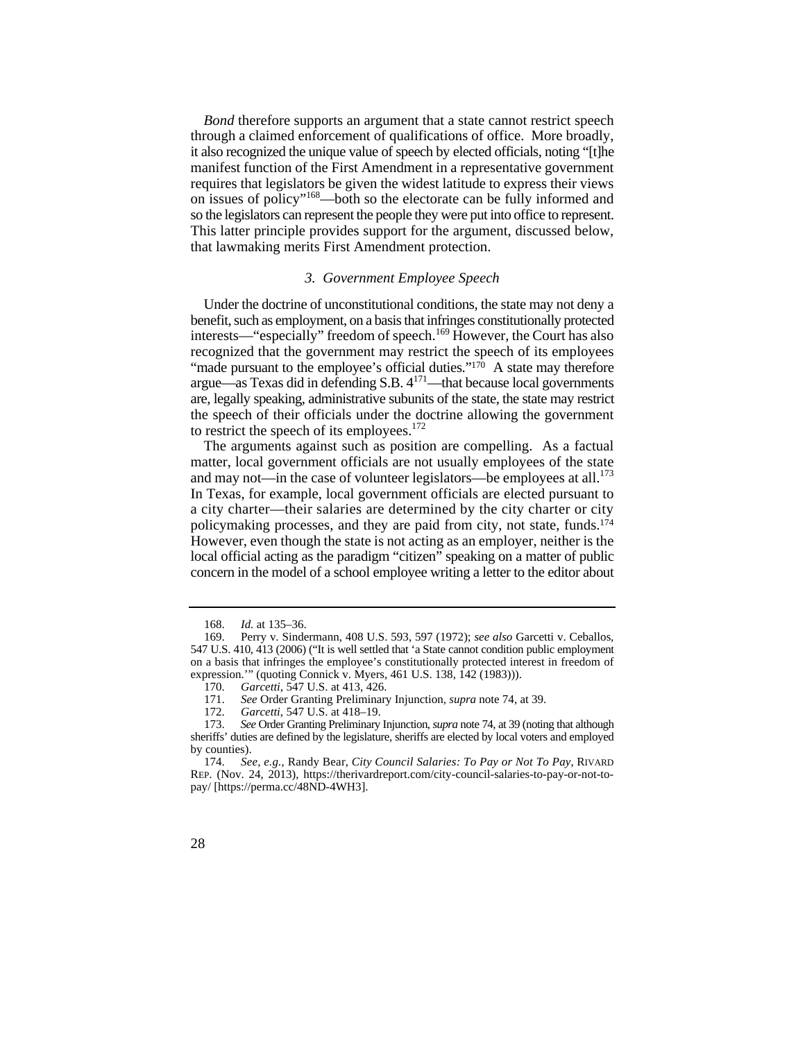*Bond* therefore supports an argument that a state cannot restrict speech through a claimed enforcement of qualifications of office. More broadly, it also recognized the unique value of speech by elected officials, noting "[t]he manifest function of the First Amendment in a representative government requires that legislators be given the widest latitude to express their views on issues of policy"168—both so the electorate can be fully informed and so the legislators can represent the people they were put into office to represent. This latter principle provides support for the argument, discussed below, that lawmaking merits First Amendment protection.

## *3. Government Employee Speech*

 Under the doctrine of unconstitutional conditions, the state may not deny a benefit, such as employment, on a basis that infringes constitutionally protected interests—"especially" freedom of speech.169 However, the Court has also recognized that the government may restrict the speech of its employees "made pursuant to the employee's official duties." $170$  A state may therefore argue—as Texas did in defending S.B.  $4^{171}$ —that because local governments are, legally speaking, administrative subunits of the state, the state may restrict the speech of their officials under the doctrine allowing the government to restrict the speech of its employees.<sup>172</sup>

and may not—in the case of volunteer legislators—be employees at all. $^{173}$ policymaking processes, and they are paid from city, not state, funds.<sup>174</sup> concern in the model of a school employee writing a letter to the editor about The arguments against such as position are compelling. As a factual matter, local government officials are not usually employees of the state In Texas, for example, local government officials are elected pursuant to a city charter—their salaries are determined by the city charter or city However, even though the state is not acting as an employer, neither is the local official acting as the paradigm "citizen" speaking on a matter of public

<sup>168.</sup> *Id.* at 135–36.

<sup>169.</sup> Perry v. Sindermann, 408 U.S. 593, 597 (1972); *see also* Garcetti v. Ceballos, 547 U.S. 410, 413 (2006) ("It is well settled that 'a State cannot condition public employment on a basis that infringes the employee's constitutionally protected interest in freedom of expression.'" (quoting Connick v. Myers, 461 U.S. 138, 142 (1983))).

<sup>170.</sup> *Garcetti*, 547 U.S. at 413, 426.<br>171. *See* Order Granting Preliminary

 171. *See* Order Granting Preliminary Injunction, *supra* note 74, at 39.

<sup>172.</sup> *Garcetti*, 547 U.S. at 418–19.

<sup>173.</sup> *See* Order Granting Preliminary Injunction, *supra* note 74, at 39 (noting that although sheriffs' duties are defined by the legislature, sheriffs are elected by local voters and employed by counties).

<sup>174.</sup> *See, e.g.*, Randy Bear, *City Council Salaries: To Pay or Not To Pay*, RIVARD REP. (Nov. 24, 2013), https://therivardreport.com/city-council-salaries-to-pay-or-not-topay/ [https://perma.cc/48ND-4WH3].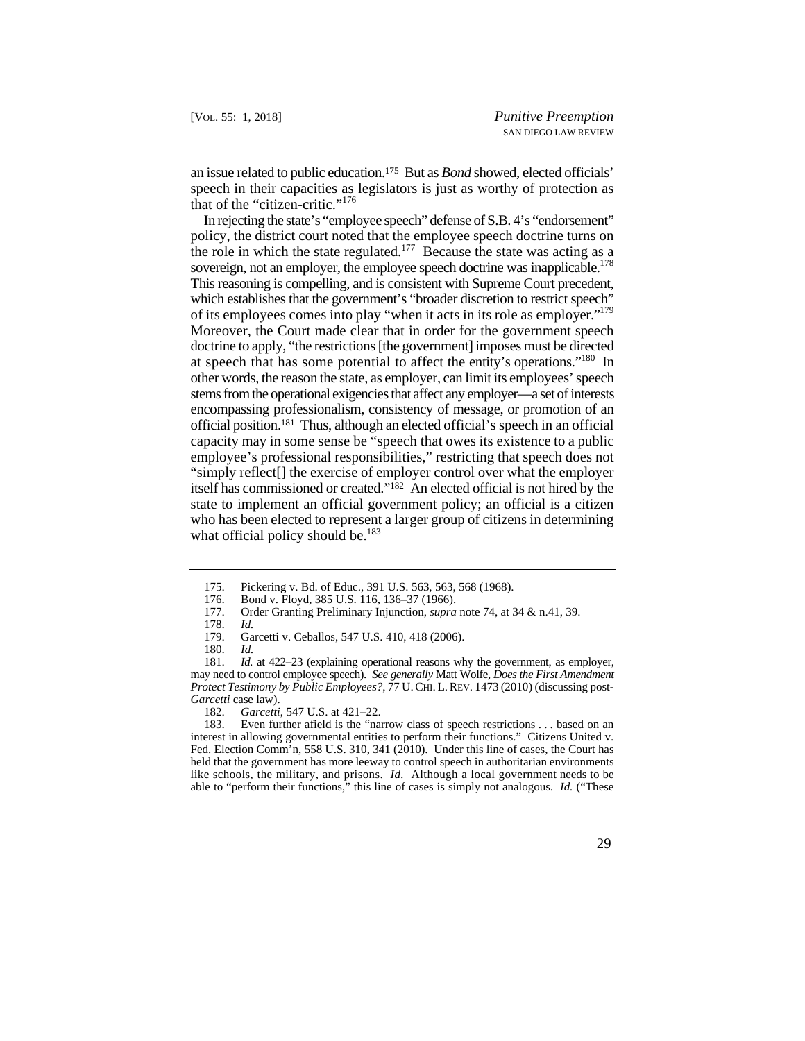an issue related to public education.175 But as *Bond* showed, elected officials' speech in their capacities as legislators is just as worthy of protection as that of the "citizen-critic."<sup>176</sup>

sovereign, not an employer, the employee speech doctrine was inapplicable.<sup>178</sup> of its employees comes into play "when it acts in its role as employer."<sup>179</sup> Moreover, the Court made clear that in order for the government speech at speech that has some potential to affect the entity's operations."<sup>180</sup> In stems from the operational exigencies that affect any employer—a set of interests official position.181 Thus, although an elected official's speech in an official In rejecting the state's "employee speech" defense of S.B. 4's "endorsement" policy, the district court noted that the employee speech doctrine turns on the role in which the state regulated.<sup>177</sup> Because the state was acting as a This reasoning is compelling, and is consistent with Supreme Court precedent, which establishes that the government's "broader discretion to restrict speech" doctrine to apply, "the restrictions [the government] imposes must be directed other words, the reason the state, as employer, can limit its employees' speech encompassing professionalism, consistency of message, or promotion of an capacity may in some sense be "speech that owes its existence to a public employee's professional responsibilities," restricting that speech does not "simply reflect[] the exercise of employer control over what the employer itself has commissioned or created."182 An elected official is not hired by the state to implement an official government policy; an official is a citizen who has been elected to represent a larger group of citizens in determining what official policy should be.<sup>183</sup>

<sup>175.</sup>  Pickering v. Bd. of Educ., 391 U.S. 563, 563, 568 (1968).

<sup>176.</sup>  Bond v. Floyd, 385 U.S. 116, 136–37 (1966).

<sup>177.</sup>  Order Granting Preliminary Injunction, *supra* note 74, at 34 & n.41, 39.

<sup>178.</sup>  *Id.* 

<sup>179.</sup>  Garcetti v. Ceballos, 547 U.S. 410, 418 (2006).

<sup>180.</sup>  *Id.*

 may need to control employee speech). *See generally* Matt Wolfe, *Does the First Amendment Protect Testimony by Public Employees?*, 77 U. CHI. L. REV. 1473 (2010) (discussing post- 181. *Id.* at 422–23 (explaining operational reasons why the government, as employer, *Garcetti* case law).

<sup>182.</sup> *Garcetti*, 547 U.S. at 421–22.

 like schools, the military, and prisons. *Id.* Although a local government needs to be 183. Even further afield is the "narrow class of speech restrictions . . . based on an interest in allowing governmental entities to perform their functions." Citizens United v. Fed. Election Comm'n, 558 U.S. 310, 341 (2010). Under this line of cases, the Court has held that the government has more leeway to control speech in authoritarian environments able to "perform their functions," this line of cases is simply not analogous. *Id.* ("These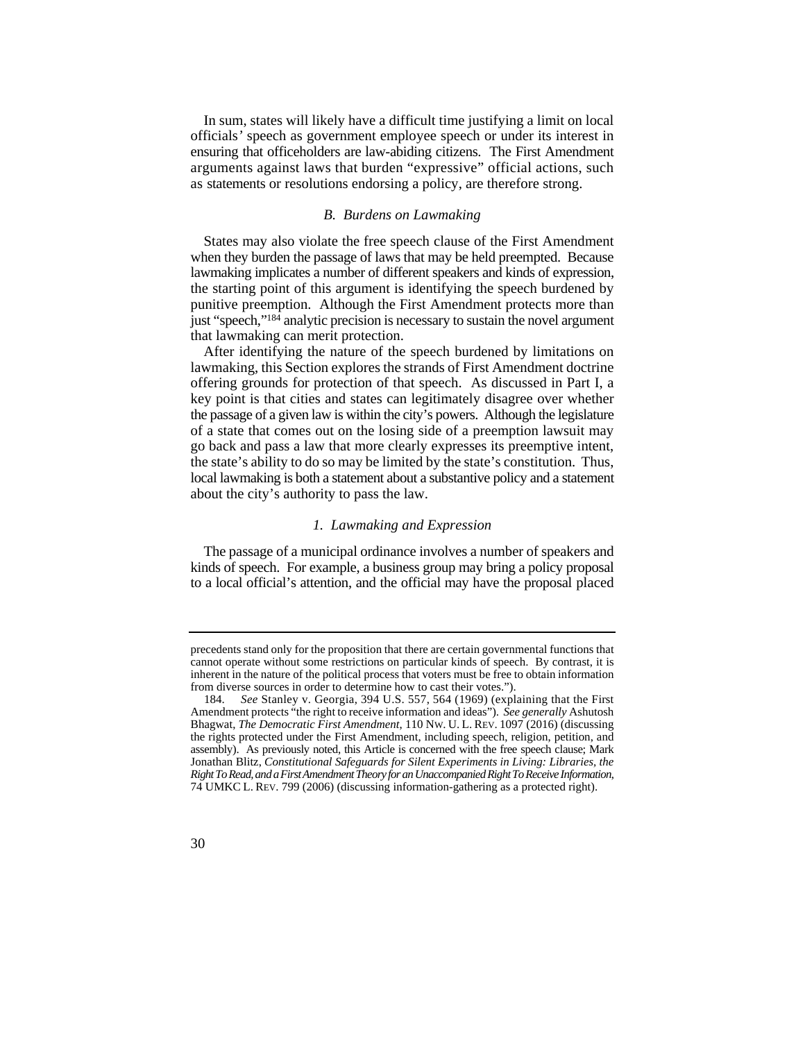In sum, states will likely have a difficult time justifying a limit on local officials*'* speech as government employee speech or under its interest in ensuring that officeholders are law-abiding citizens. The First Amendment arguments against laws that burden "expressive" official actions, such as statements or resolutions endorsing a policy, are therefore strong.

#### *B. Burdens on Lawmaking*

 when they burden the passage of laws that may be held preempted. Because States may also violate the free speech clause of the First Amendment lawmaking implicates a number of different speakers and kinds of expression, the starting point of this argument is identifying the speech burdened by punitive preemption. Although the First Amendment protects more than just "speech,"184 analytic precision is necessary to sustain the novel argument that lawmaking can merit protection.

After identifying the nature of the speech burdened by limitations on lawmaking, this Section explores the strands of First Amendment doctrine offering grounds for protection of that speech. As discussed in Part I, a key point is that cities and states can legitimately disagree over whether the passage of a given law is within the city's powers. Although the legislature of a state that comes out on the losing side of a preemption lawsuit may go back and pass a law that more clearly expresses its preemptive intent, the state's ability to do so may be limited by the state's constitution. Thus, local lawmaking is both a statement about a substantive policy and a statement about the city's authority to pass the law.

#### *1. Lawmaking and Expression*

The passage of a municipal ordinance involves a number of speakers and kinds of speech. For example, a business group may bring a policy proposal to a local official's attention, and the official may have the proposal placed

precedents stand only for the proposition that there are certain governmental functions that cannot operate without some restrictions on particular kinds of speech. By contrast, it is inherent in the nature of the political process that voters must be free to obtain information from diverse sources in order to determine how to cast their votes.").

 Bhagwat, *The Democratic First Amendment*, 110 NW. U. L. REV. 1097 (2016) (discussing 74 UMKC L. REV. 799 (2006) (discussing information-gathering as a protected right). 184. *See* Stanley v. Georgia, 394 U.S. 557, 564 (1969) (explaining that the First Amendment protects "the right to receive information and ideas"). *See generally* Ashutosh the rights protected under the First Amendment, including speech, religion, petition, and assembly). As previously noted, this Article is concerned with the free speech clause; Mark Jonathan Blitz, *Constitutional Safeguards for Silent Experiments in Living: Libraries, the Right To Read, and a First Amendment Theory for an Unaccompanied Right To Receive Information*,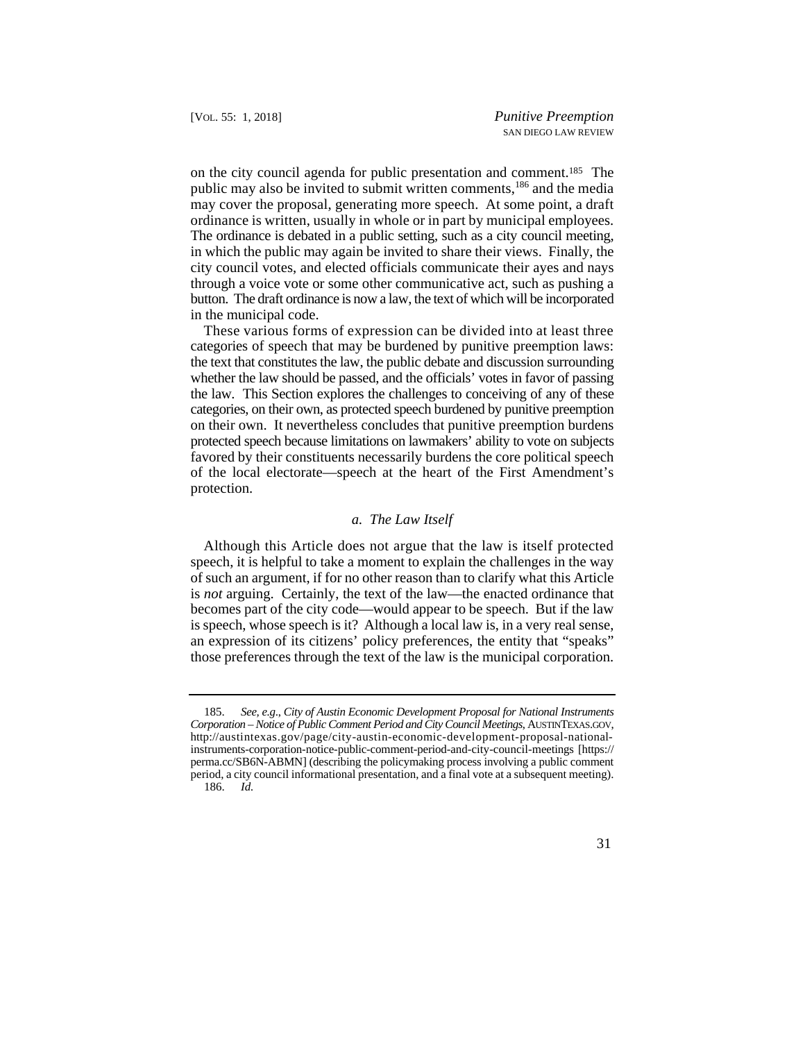ordinance is written, usually in whole or in part by municipal employees. The ordinance is debated in a public setting, such as a city council meeting, on the city council agenda for public presentation and comment.185 The public may also be invited to submit written comments,186 and the media may cover the proposal, generating more speech. At some point, a draft in which the public may again be invited to share their views. Finally, the city council votes, and elected officials communicate their ayes and nays through a voice vote or some other communicative act, such as pushing a button. The draft ordinance is now a law, the text of which will be incorporated in the municipal code.

categories of speech that may be burdened by punitive preemption laws: These various forms of expression can be divided into at least three the text that constitutes the law, the public debate and discussion surrounding whether the law should be passed, and the officials' votes in favor of passing the law. This Section explores the challenges to conceiving of any of these categories, on their own, as protected speech burdened by punitive preemption on their own. It nevertheless concludes that punitive preemption burdens protected speech because limitations on lawmakers' ability to vote on subjects favored by their constituents necessarily burdens the core political speech of the local electorate—speech at the heart of the First Amendment's protection.

## *a. The Law Itself*

Although this Article does not argue that the law is itself protected speech, it is helpful to take a moment to explain the challenges in the way of such an argument, if for no other reason than to clarify what this Article is *not* arguing. Certainly, the text of the law—the enacted ordinance that becomes part of the city code—would appear to be speech. But if the law is speech, whose speech is it? Although a local law is, in a very real sense, an expression of its citizens' policy preferences, the entity that "speaks" those preferences through the text of the law is the municipal corporation.

<sup>185.</sup> *See, e.g*., *City of Austin Economic Development Proposal for National Instruments Corporation – Notice of Public Comment Period and City Council Meetings*, AUSTINTEXAS.GOV, http://austintexas.gov/page/city-austin-economic-development-proposal-nationalinstruments-corporation-notice-public-comment-period-and-city-council-meetings [https:// perma.cc/SB6N-ABMN] (describing the policymaking process involving a public comment period, a city council informational presentation, and a final vote at a subsequent meeting). 186. *Id.*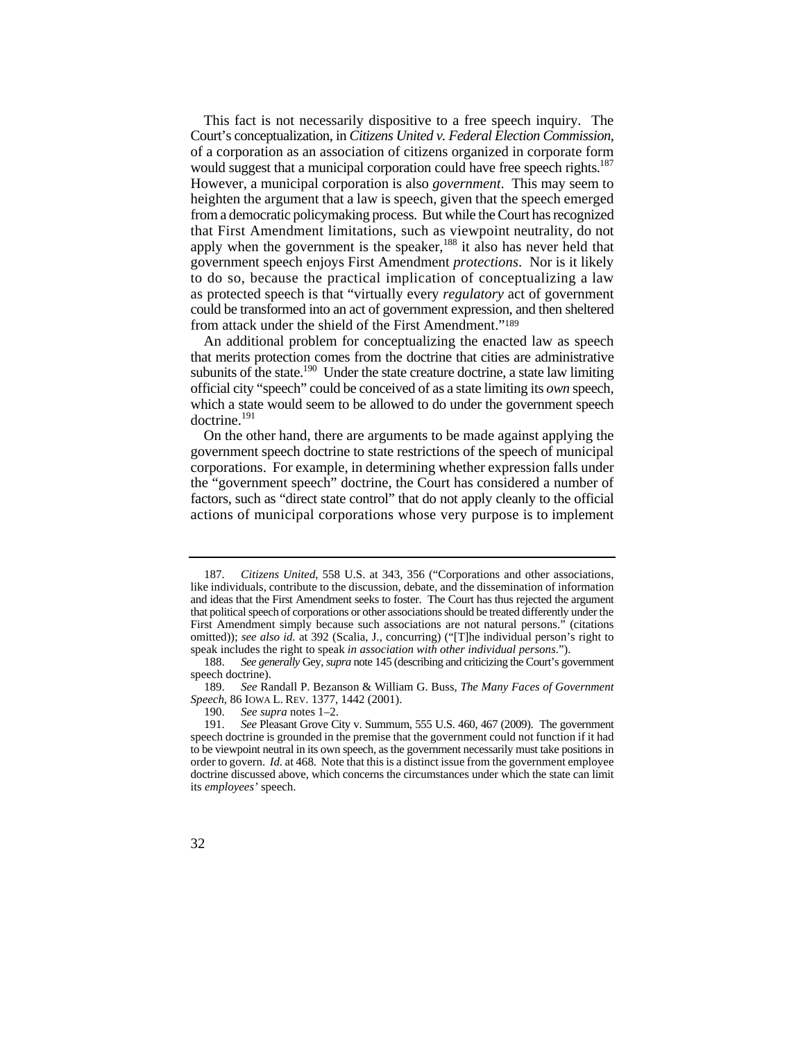would suggest that a municipal corporation could have free speech rights.<sup>187</sup> that First Amendment limitations, such as viewpoint neutrality, do not to do so, because the practical implication of conceptualizing a law This fact is not necessarily dispositive to a free speech inquiry. The Court's conceptualization, in *Citizens United v. Federal Election Commission*, of a corporation as an association of citizens organized in corporate form However, a municipal corporation is also *government*. This may seem to heighten the argument that a law is speech, given that the speech emerged from a democratic policymaking process. But while the Court has recognized apply when the government is the speaker,<sup>188</sup> it also has never held that government speech enjoys First Amendment *protections*. Nor is it likely as protected speech is that "virtually every *regulatory* act of government could be transformed into an act of government expression, and then sheltered from attack under the shield of the First Amendment."189

An additional problem for conceptualizing the enacted law as speech that merits protection comes from the doctrine that cities are administrative subunits of the state.<sup>190</sup> Under the state creature doctrine, a state law limiting official city "speech" could be conceived of as a state limiting its *own* speech, which a state would seem to be allowed to do under the government speech doctrine.191

 factors, such as "direct state control" that do not apply cleanly to the official actions of municipal corporations whose very purpose is to implement On the other hand, there are arguments to be made against applying the government speech doctrine to state restrictions of the speech of municipal corporations. For example, in determining whether expression falls under the "government speech" doctrine, the Court has considered a number of

 that political speech of corporations or other associations should be treated differently under the 187. *Citizens United*, 558 U.S. at 343, 356 ("Corporations and other associations, like individuals, contribute to the discussion, debate, and the dissemination of information and ideas that the First Amendment seeks to foster. The Court has thus rejected the argument First Amendment simply because such associations are not natural persons." (citations omitted)); see also id. at 392 (Scalia, J., concurring) ("[T]he individual person's right to speak includes the right to speak *in association with other individual persons*.").

<sup>188.</sup> *See generally* Gey, *supra* note 145 (describing and criticizing the Court's government speech doctrine).

<sup>189.</sup> *See* Randall P. Bezanson & William G. Buss, *The Many Faces of Government Speech*, 86 IOWA L. REV. 1377, 1442 (2001).

<sup>190.</sup> *See supra* notes 1–2.

 speech doctrine is grounded in the premise that the government could not function if it had 191. *See* Pleasant Grove City v. Summum, 555 U.S. 460, 467 (2009). The government to be viewpoint neutral in its own speech, as the government necessarily must take positions in order to govern. *Id.* at 468. Note that this is a distinct issue from the government employee doctrine discussed above, which concerns the circumstances under which the state can limit its *employees'* speech.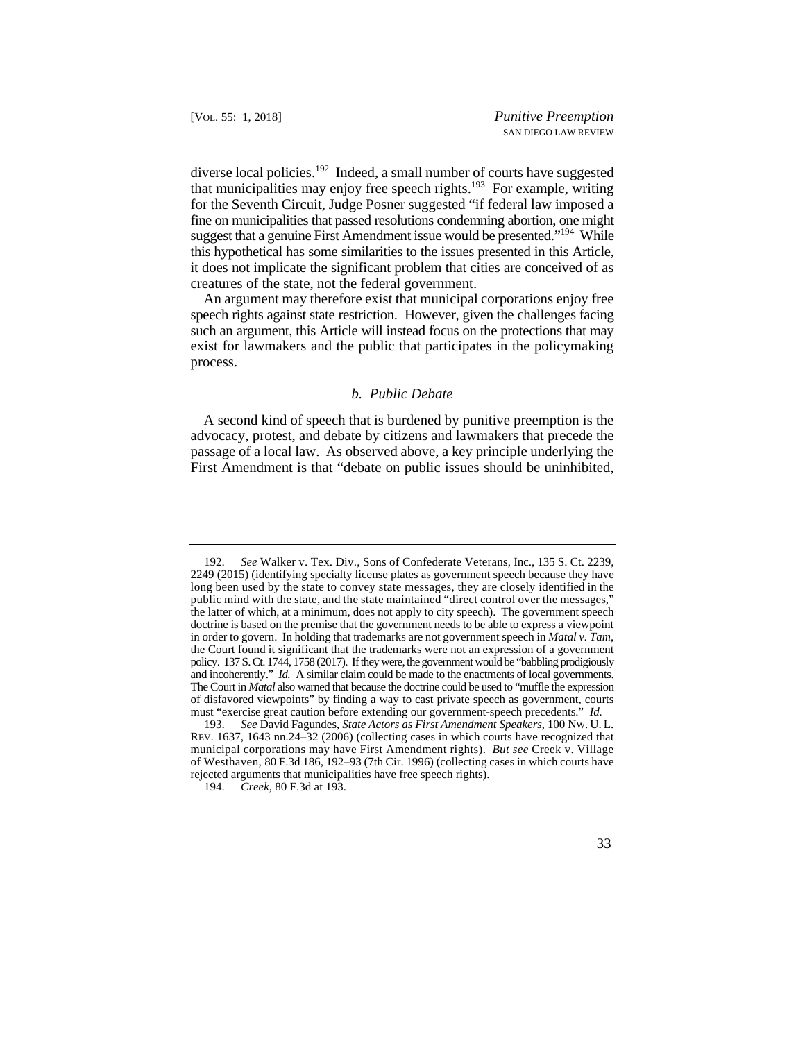suggest that a genuine First Amendment issue would be presented."<sup>194</sup> While this hypothetical has some similarities to the issues presented in this Article, diverse local policies.<sup>192</sup> Indeed, a small number of courts have suggested that municipalities may enjoy free speech rights.<sup>193</sup> For example, writing for the Seventh Circuit, Judge Posner suggested "if federal law imposed a fine on municipalities that passed resolutions condemning abortion, one might it does not implicate the significant problem that cities are conceived of as creatures of the state, not the federal government.

An argument may therefore exist that municipal corporations enjoy free speech rights against state restriction. However, given the challenges facing such an argument, this Article will instead focus on the protections that may exist for lawmakers and the public that participates in the policymaking process.

## *b. Public Debate*

A second kind of speech that is burdened by punitive preemption is the advocacy, protest, and debate by citizens and lawmakers that precede the passage of a local law. As observed above, a key principle underlying the First Amendment is that "debate on public issues should be uninhibited,

 192. *See* Walker v. Tex. Div., Sons of Confederate Veterans, Inc., 135 S. Ct. 2239, long been used by the state to convey state messages, they are closely identified in the doctrine is based on the premise that the government needs to be able to express a viewpoint and incoherently." *Id.* A similar claim could be made to the enactments of local governments. 2249 (2015) (identifying specialty license plates as government speech because they have public mind with the state, and the state maintained "direct control over the messages," the latter of which, at a minimum, does not apply to city speech). The government speech in order to govern. In holding that trademarks are not government speech in *Matal v. Tam*, the Court found it significant that the trademarks were not an expression of a government policy. 137 S. Ct. 1744, 1758 (2017). If they were, the government would be "babbling prodigiously The Court in *Matal* also warned that because the doctrine could be used to "muffle the expression of disfavored viewpoints" by finding a way to cast private speech as government, courts must "exercise great caution before extending our government-speech precedents." *Id.* 

 193. *See* David Fagundes, *State Actors as First Amendment Speakers*, 100 NW. U. L. REV. 1637, 1643 nn.24–32 (2006) (collecting cases in which courts have recognized that municipal corporations may have First Amendment rights). *But see* Creek v. Village of Westhaven, 80 F.3d 186, 192–93 (7th Cir. 1996) (collecting cases in which courts have rejected arguments that municipalities have free speech rights).

<sup>194.</sup> *Creek*, 80 F.3d at 193.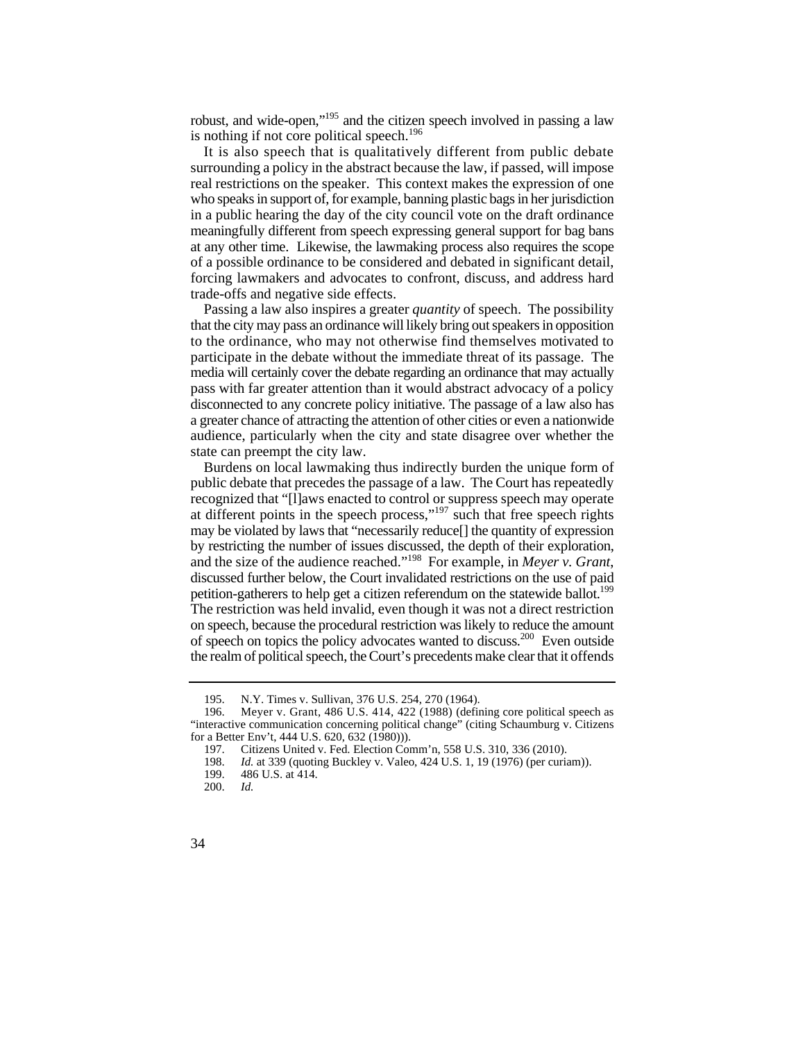robust, and wide-open,"195 and the citizen speech involved in passing a law is nothing if not core political speech.<sup>196</sup>

It is also speech that is qualitatively different from public debate surrounding a policy in the abstract because the law, if passed, will impose real restrictions on the speaker. This context makes the expression of one who speaks in support of, for example, banning plastic bags in her jurisdiction in a public hearing the day of the city council vote on the draft ordinance meaningfully different from speech expressing general support for bag bans at any other time. Likewise, the lawmaking process also requires the scope of a possible ordinance to be considered and debated in significant detail, forcing lawmakers and advocates to confront, discuss, and address hard trade-offs and negative side effects.

 to the ordinance, who may not otherwise find themselves motivated to pass with far greater attention than it would abstract advocacy of a policy a greater chance of attracting the attention of other cities or even a nationwide Passing a law also inspires a greater *quantity* of speech. The possibility that the city may pass an ordinance will likely bring out speakers in opposition participate in the debate without the immediate threat of its passage. The media will certainly cover the debate regarding an ordinance that may actually disconnected to any concrete policy initiative. The passage of a law also has audience, particularly when the city and state disagree over whether the state can preempt the city law.

 may be violated by laws that "necessarily reduce[] the quantity of expression by restricting the number of issues discussed, the depth of their exploration, petition-gatherers to help get a citizen referendum on the statewide ballot.<sup>199</sup> the realm of political speech, the Court's precedents make clear that it offends Burdens on local lawmaking thus indirectly burden the unique form of public debate that precedes the passage of a law. The Court has repeatedly recognized that "[l]aws enacted to control or suppress speech may operate at different points in the speech process,"197 such that free speech rights and the size of the audience reached."198 For example, in *Meyer v. Grant*, discussed further below, the Court invalidated restrictions on the use of paid The restriction was held invalid, even though it was not a direct restriction on speech, because the procedural restriction was likely to reduce the amount of speech on topics the policy advocates wanted to discuss.200 Even outside

<sup>195.</sup> N.Y. Times v. Sullivan, 376 U.S. 254, 270 (1964).

<sup>196.</sup> Meyer v. Grant, 486 U.S. 414, 422 (1988) (defining core political speech as "interactive communication concerning political change" (citing Schaumburg v. Citizens for a Better Env't, 444 U.S. 620, 632 (1980))).

<sup>197.</sup> Citizens United v. Fed. Election Comm'n, 558 U.S. 310, 336 (2010).

<sup>198.</sup> *Id.* at 339 (quoting Buckley v. Valeo, 424 U.S. 1, 19 (1976) (per curiam)).

<sup>486</sup> U.S. at 414.

<sup>200.</sup> *Id.*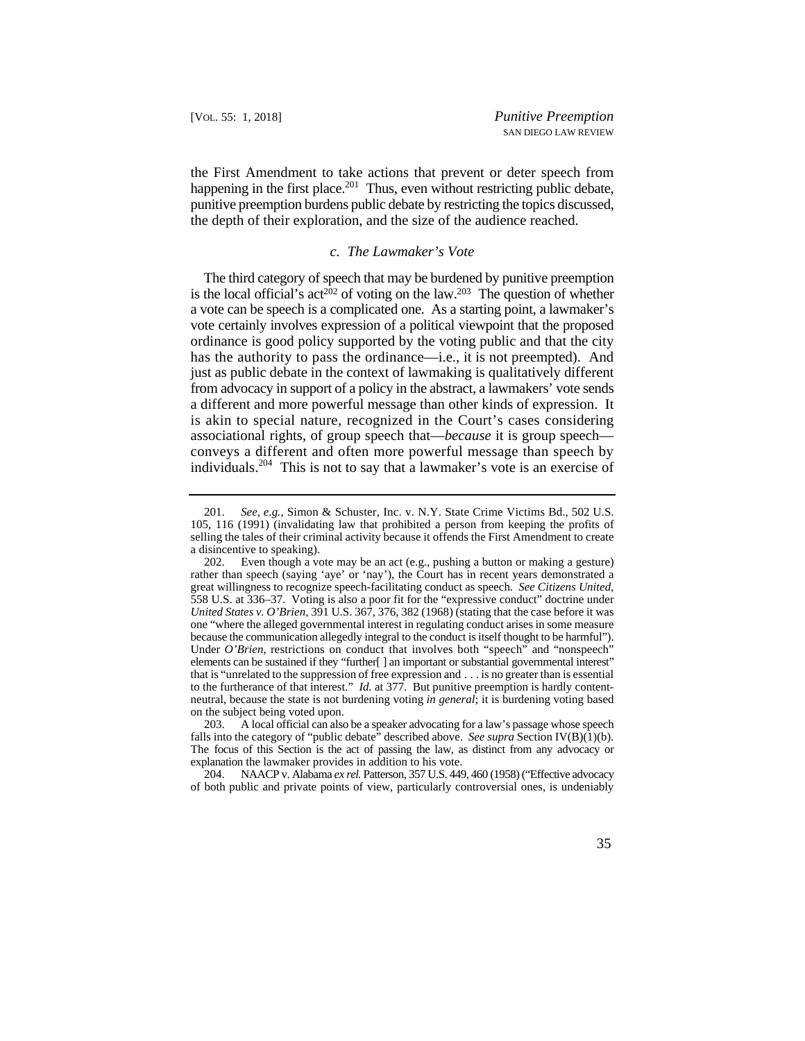the First Amendment to take actions that prevent or deter speech from happening in the first place.<sup>201</sup> Thus, even without restricting public debate, punitive preemption burdens public debate by restricting the topics discussed, the depth of their exploration, and the size of the audience reached.

## *c. The Lawmaker's Vote*

 The third category of speech that may be burdened by punitive preemption is the local official's act<sup>202</sup> of voting on the law.<sup>203</sup> The question of whether a vote can be speech is a complicated one. As a starting point, a lawmaker's vote certainly involves expression of a political viewpoint that the proposed has the authority to pass the ordinance—i.e., it is not preempted). And ordinance is good policy supported by the voting public and that the city just as public debate in the context of lawmaking is qualitatively different from advocacy in support of a policy in the abstract, a lawmakers' vote sends a different and more powerful message than other kinds of expression. It is akin to special nature, recognized in the Court's cases considering associational rights, of group speech that—*because* it is group speech conveys a different and often more powerful message than speech by individuals.204 This is not to say that a lawmaker's vote is an exercise of

204. NAACP v. Alabama *ex rel.* Patterson, 357 U.S. 449, 460 (1958) ("Effective advocacy of both public and private points of view, particularly controversial ones, is undeniably

 201. *See, e.g.*, Simon & Schuster, Inc. v. N.Y. State Crime Victims Bd., 502 U.S. selling the tales of their criminal activity because it offends the First Amendment to create 105, 116 (1991) (invalidating law that prohibited a person from keeping the profits of a disincentive to speaking).

 because the communication allegedly integral to the conduct is itself thought to be harmful"). Under O'Brien, restrictions on conduct that involves both "speech" and "nonspeech" elements can be sustained if they "further[ ] an important or substantial governmental interest" to the furtherance of that interest." *Id.* at 377. But punitive preemption is hardly content-202. Even though a vote may be an act (e.g., pushing a button or making a gesture) rather than speech (saying 'aye' or 'nay'), the Court has in recent years demonstrated a great willingness to recognize speech-facilitating conduct as speech. *See Citizens United*, 558 U.S. at 336–37. Voting is also a poor fit for the "expressive conduct" doctrine under *United States v. O'Brien*, 391 U.S. 367, 376, 382 (1968) (stating that the case before it was one "where the alleged governmental interest in regulating conduct arises in some measure that is "unrelated to the suppression of free expression and . . . is no greater than is essential neutral, because the state is not burdening voting *in general*; it is burdening voting based on the subject being voted upon.

 The focus of this Section is the act of passing the law, as distinct from any advocacy or 203. A local official can also be a speaker advocating for a law's passage whose speech falls into the category of "public debate" described above. *See supra* Section IV(B)(1)(b). explanation the lawmaker provides in addition to his vote.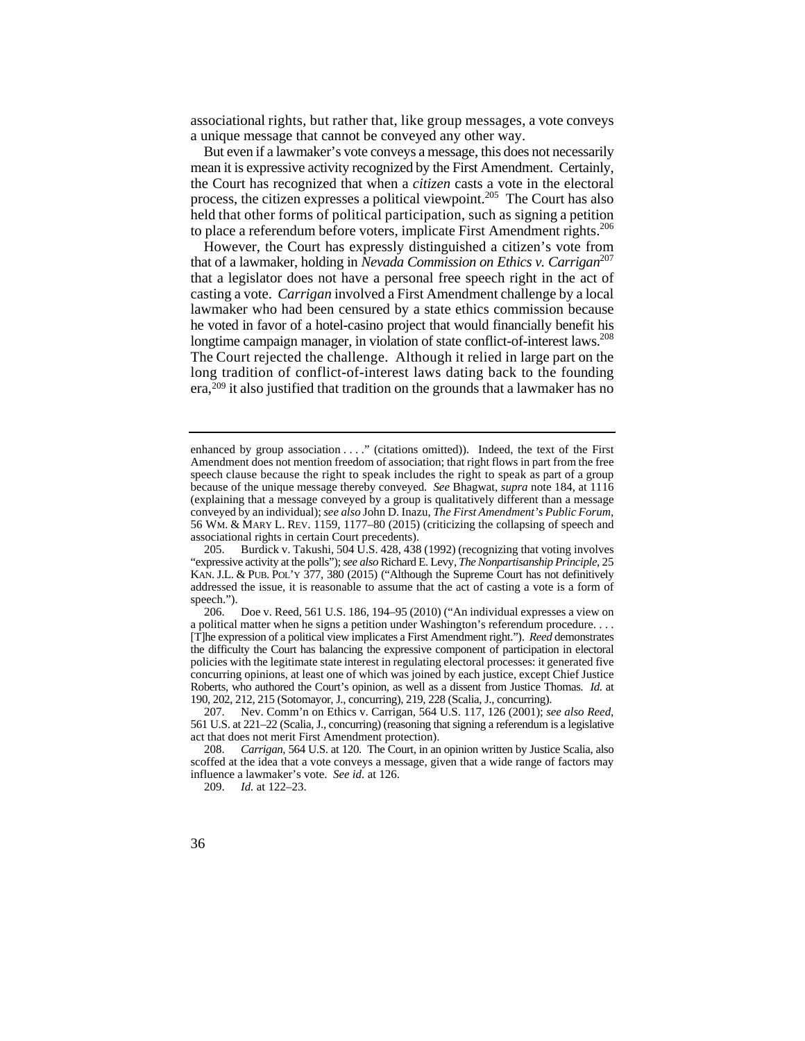associational rights, but rather that, like group messages, a vote conveys a unique message that cannot be conveyed any other way.

But even if a lawmaker's vote conveys a message, this does not necessarily mean it is expressive activity recognized by the First Amendment. Certainly, the Court has recognized that when a *citizen* casts a vote in the electoral process, the citizen expresses a political viewpoint.<sup>205</sup> The Court has also held that other forms of political participation, such as signing a petition to place a referendum before voters, implicate First Amendment rights.<sup>206</sup>

 casting a vote. *Carrigan* involved a First Amendment challenge by a local longtime campaign manager, in violation of state conflict-of-interest laws.<sup>208</sup> The Court rejected the challenge. Although it relied in large part on the However, the Court has expressly distinguished a citizen's vote from that of a lawmaker, holding in *Nevada Commission on Ethics v. Carrigan*<sup>207</sup> that a legislator does not have a personal free speech right in the act of lawmaker who had been censured by a state ethics commission because he voted in favor of a hotel-casino project that would financially benefit his long tradition of conflict-of-interest laws dating back to the founding era,209 it also justified that tradition on the grounds that a lawmaker has no

 speech clause because the right to speak includes the right to speak as part of a group because of the unique message thereby conveyed. *See* Bhagwat, *supra* note 184, at 1116 56 WM. & MARY L. REV. 1159, 1177–80 (2015) (criticizing the collapsing of speech and enhanced by group association . . . ." (citations omitted)). Indeed, the text of the First Amendment does not mention freedom of association; that right flows in part from the free (explaining that a message conveyed by a group is qualitatively different than a message conveyed by an individual); *see also* John D. Inazu, *The First Amendment's Public Forum*, associational rights in certain Court precedents).

 205. Burdick v. Takushi, 504 U.S. 428, 438 (1992) (recognizing that voting involves KAN. J.L. & PUB. POL'Y 377, 380 (2015) ("Although the Supreme Court has not definitively addressed the issue, it is reasonable to assume that the act of casting a vote is a form of "expressive activity at the polls"); *see also* Richard E. Levy, *The Nonpartisanship Principle*, 25 speech.").

 [T]he expression of a political view implicates a First Amendment right."). *Reed* demonstrates concurring opinions, at least one of which was joined by each justice, except Chief Justice Roberts, who authored the Court's opinion, as well as a dissent from Justice Thomas. *Id.* at 190, 202, 212, 215 (Sotomayor, J., concurring), 219, 228 (Scalia, J., concurring). 206. Doe v. Reed, 561 U.S. 186, 194–95 (2010) ("An individual expresses a view on a political matter when he signs a petition under Washington's referendum procedure. . . . the difficulty the Court has balancing the expressive component of participation in electoral policies with the legitimate state interest in regulating electoral processes: it generated five

<sup>207.</sup> Nev. Comm'n on Ethics v. Carrigan, 564 U.S. 117, 126 (2001); *see also Reed*, 561 U.S. at 221–22 (Scalia, J., concurring) (reasoning that signing a referendum is a legislative act that does not merit First Amendment protection).

 influence a lawmaker's vote. *See id.* at 126. 208. *Carrigan*, 564 U.S. at 120. The Court, in an opinion written by Justice Scalia, also scoffed at the idea that a vote conveys a message, given that a wide range of factors may

<sup>209.</sup> *Id.* at 122–23.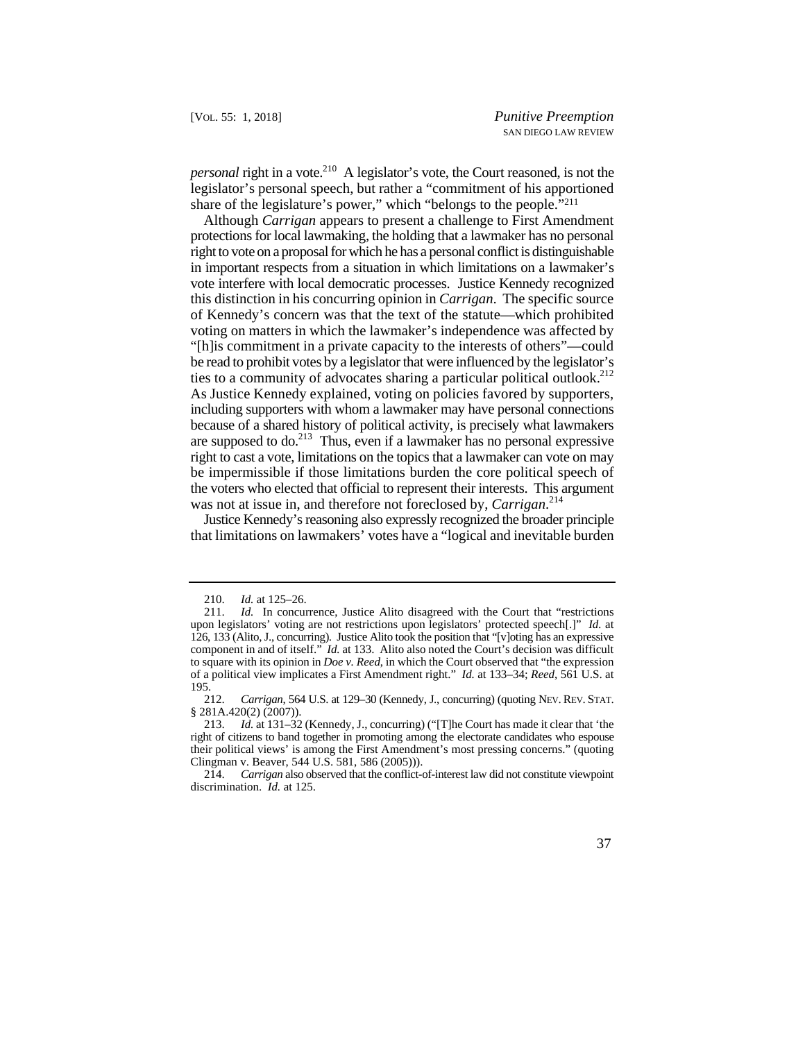*personal* right in a vote.<sup>210</sup> A legislator's vote, the Court reasoned, is not the legislator's personal speech, but rather a "commitment of his apportioned share of the legislature's power," which "belongs to the people."211

ties to a community of advocates sharing a particular political outlook.<sup>212</sup> right to cast a vote, limitations on the topics that a lawmaker can vote on may the voters who elected that official to represent their interests. This argument Although *Carrigan* appears to present a challenge to First Amendment protections for local lawmaking, the holding that a lawmaker has no personal right to vote on a proposal for which he has a personal conflict is distinguishable in important respects from a situation in which limitations on a lawmaker's vote interfere with local democratic processes. Justice Kennedy recognized this distinction in his concurring opinion in *Carrigan*. The specific source of Kennedy's concern was that the text of the statute—which prohibited voting on matters in which the lawmaker's independence was affected by "[h]is commitment in a private capacity to the interests of others"—could be read to prohibit votes by a legislator that were influenced by the legislator's As Justice Kennedy explained, voting on policies favored by supporters, including supporters with whom a lawmaker may have personal connections because of a shared history of political activity, is precisely what lawmakers are supposed to  $\omega$ <sup>213</sup>. Thus, even if a lawmaker has no personal expressive be impermissible if those limitations burden the core political speech of was not at issue in, and therefore not foreclosed by, *Carrigan*. 214

Justice Kennedy's reasoning also expressly recognized the broader principle that limitations on lawmakers' votes have a "logical and inevitable burden

 <sup>210.</sup> *Id.* at 125–26.

 upon legislators' voting are not restrictions upon legislators' protected speech[.]" *Id.* at 126, 133 (Alito, J., concurring). Justice Alito took the position that "[v]oting has an expressive of a political view implicates a First Amendment right." *Id.* at 133–34; *Reed*, 561 U.S. at 211. *Id.* In concurrence, Justice Alito disagreed with the Court that "restrictions component in and of itself." *Id.* at 133. Alito also noted the Court's decision was difficult to square with its opinion in *Doe v. Reed*, in which the Court observed that "the expression  $\frac{195}{212}$ .

 212. *Carrigan*, 564 U.S. at 129–30 (Kennedy, J., concurring) (quoting NEV. REV. STAT. § 281A.420(2) (2007)).

<sup>213.</sup> *Id.* at 131–32 (Kennedy, J., concurring) ("[T]he Court has made it clear that 'the right of citizens to band together in promoting among the electorate candidates who espouse their political views' is among the First Amendment's most pressing concerns." (quoting Clingman v. Beaver, 544 U.S. 581, 586 (2005))).

<sup>214.</sup> *Carrigan* also observed that the conflict-of-interest law did not constitute viewpoint discrimination. *Id.* at 125.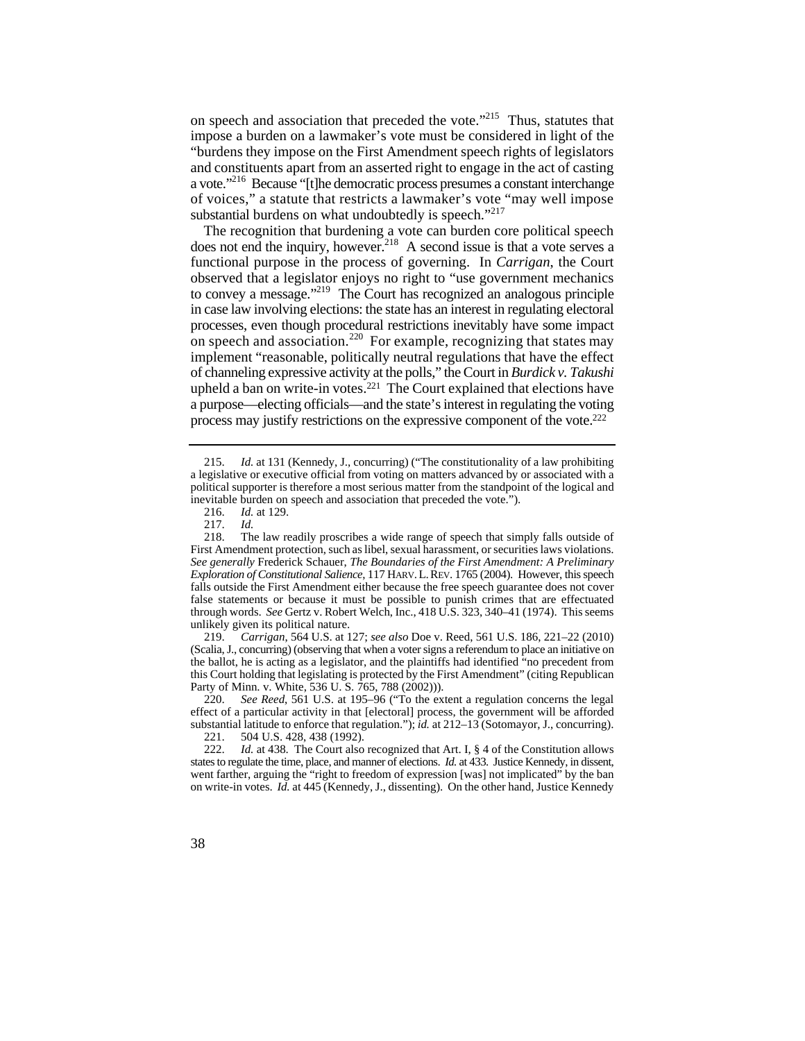on speech and association that preceded the vote."<sup>215</sup> Thus, statutes that impose a burden on a lawmaker's vote must be considered in light of the "burdens they impose on the First Amendment speech rights of legislators and constituents apart from an asserted right to engage in the act of casting a vote."216 Because "[t]he democratic process presumes a constant interchange of voices," a statute that restricts a lawmaker's vote "may well impose substantial burdens on what undoubtedly is speech."<sup>217</sup>

to convey a message."<sup>219</sup> The Court has recognized an analogous principle on speech and association.<sup>220</sup> For example, recognizing that states may The recognition that burdening a vote can burden core political speech does not end the inquiry, however.<sup>218</sup> A second issue is that a vote serves a functional purpose in the process of governing. In *Carrigan*, the Court observed that a legislator enjoys no right to "use government mechanics in case law involving elections: the state has an interest in regulating electoral processes, even though procedural restrictions inevitably have some impact implement "reasonable, politically neutral regulations that have the effect of channeling expressive activity at the polls," the Court in *Burdick v. Takushi*  upheld a ban on write-in votes.<sup>221</sup> The Court explained that elections have a purpose—electing officials—and the state's interest in regulating the voting process may justify restrictions on the expressive component of the vote.222

 (Scalia, J., concurring) (observing that when a voter signs a referendum to place an initiative on 219. *Carrigan*, 564 U.S. at 127; *see also* Doe v. Reed, 561 U.S. 186, 221–22 (2010) the ballot, he is acting as a legislator, and the plaintiffs had identified "no precedent from this Court holding that legislating is protected by the First Amendment" (citing Republican Party of Minn. v. White, 536 U. S. 765, 788 (2002))).

220. *See Reed*, 561 U.S. at 195–96 ("To the extent a regulation concerns the legal effect of a particular activity in that [electoral] process, the government will be afforded substantial latitude to enforce that regulation."); *id.* at 212–13 (Sotomayor, J., concurring).<br>221. 504 U.S. 428, 438 (1992).

<sup>215.</sup> *Id.* at 131 (Kennedy, J., concurring) ("The constitutionality of a law prohibiting a legislative or executive official from voting on matters advanced by or associated with a political supporter is therefore a most serious matter from the standpoint of the logical and inevitable burden on speech and association that preceded the vote.").

<sup>216.</sup> *Id.* at 129.

<sup>217.</sup> *Id.* 

 *Exploration of Constitutional Salience*, 117 HARV. L. REV. 1765 (2004). However, this speech First Amendment protection, such as libel, sexual harassment, or securities laws violations. 218. The law readily proscribes a wide range of speech that simply falls outside of *See generally* Frederick Schauer, *The Boundaries of the First Amendment: A Preliminary*  falls outside the First Amendment either because the free speech guarantee does not cover false statements or because it must be possible to punish crimes that are effectuated through words. *See* Gertz v. Robert Welch, Inc., 418 U.S. 323, 340–41 (1974). This seems unlikely given its political nature.<br>219. Carrigan, 564 U.S. at 1

<sup>504</sup> U.S. 428, 438 (1992).

 222. *Id.* at 438. The Court also recognized that Art. I, § 4 of the Constitution allows states to regulate the time, place, and manner of elections. *Id.* at 433. Justice Kennedy, in dissent, went farther, arguing the "right to freedom of expression [was] not implicated" by the ban on write-in votes. *Id.* at 445 (Kennedy, J., dissenting). On the other hand, Justice Kennedy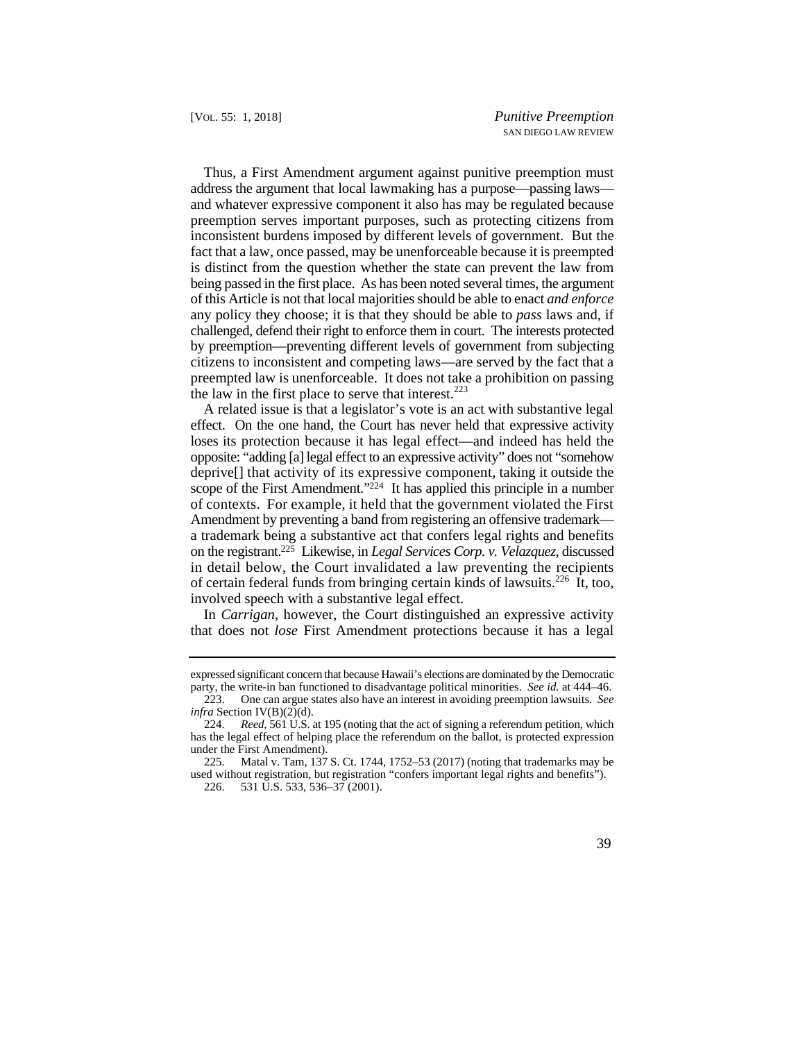being passed in the first place. As has been noted several times, the argument Thus, a First Amendment argument against punitive preemption must address the argument that local lawmaking has a purpose—passing laws and whatever expressive component it also has may be regulated because preemption serves important purposes, such as protecting citizens from inconsistent burdens imposed by different levels of government. But the fact that a law, once passed, may be unenforceable because it is preempted is distinct from the question whether the state can prevent the law from of this Article is not that local majorities should be able to enact *and enforce*  any policy they choose; it is that they should be able to *pass* laws and, if challenged, defend their right to enforce them in court. The interests protected by preemption—preventing different levels of government from subjecting citizens to inconsistent and competing laws—are served by the fact that a preempted law is unenforceable. It does not take a prohibition on passing the law in the first place to serve that interest. $223$ 

 deprive[] that activity of its expressive component, taking it outside the A related issue is that a legislator's vote is an act with substantive legal effect. On the one hand, the Court has never held that expressive activity loses its protection because it has legal effect—and indeed has held the opposite: "adding [a] legal effect to an expressive activity" does not "somehow scope of the First Amendment."224 It has applied this principle in a number of contexts. For example, it held that the government violated the First Amendment by preventing a band from registering an offensive trademark a trademark being a substantive act that confers legal rights and benefits on the registrant.225 Likewise, in *Legal Services Corp. v. Velazquez*, discussed in detail below, the Court invalidated a law preventing the recipients of certain federal funds from bringing certain kinds of lawsuits.226 It, too, involved speech with a substantive legal effect.

In *Carrigan*, however, the Court distinguished an expressive activity that does not *lose* First Amendment protections because it has a legal

 expressed significant concern that because Hawaii's elections are dominated by the Democratic party, the write-in ban functioned to disadvantage political minorities. *See id.* at 444–46.

<sup>223.</sup> One can argue states also have an interest in avoiding preemption lawsuits. *See infra* Section IV(B)(2)(d).

<sup>224.</sup> *Reed*, 561 U.S. at 195 (noting that the act of signing a referendum petition, which has the legal effect of helping place the referendum on the ballot, is protected expression under the First Amendment).

<sup>225.</sup> Matal v. Tam, 137 S. Ct. 1744, 1752–53 (2017) (noting that trademarks may be used without registration, but registration "confers important legal rights and benefits").

<sup>226. 531</sup> U.S. 533, 536–37 (2001).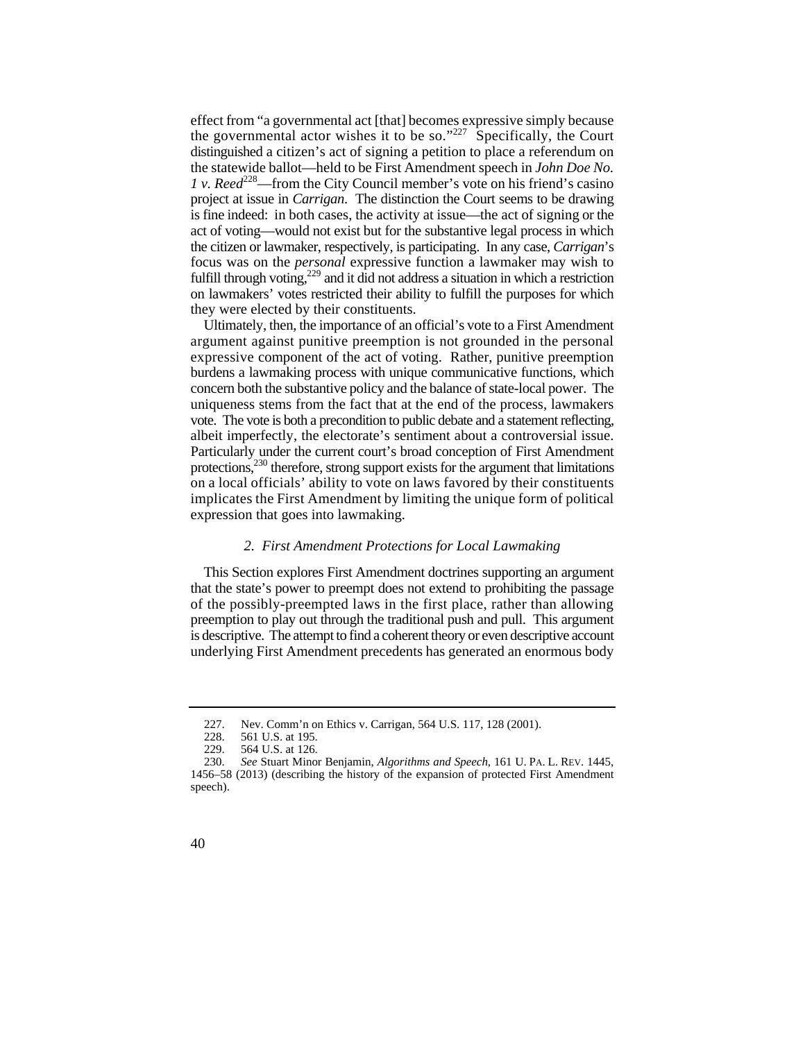the governmental actor wishes it to be so." $227$  Specifically, the Court is fine indeed: in both cases, the activity at issue—the act of signing or the effect from "a governmental act [that] becomes expressive simply because distinguished a citizen's act of signing a petition to place a referendum on the statewide ballot—held to be First Amendment speech in *John Doe No. 1 v. Reed*<sup>228</sup>—from the City Council member's vote on his friend's casino project at issue in *Carrigan*. The distinction the Court seems to be drawing act of voting—would not exist but for the substantive legal process in which the citizen or lawmaker, respectively, is participating. In any case, *Carrigan*'s focus was on the *personal* expressive function a lawmaker may wish to fulfill through voting, $229$  and it did not address a situation in which a restriction on lawmakers' votes restricted their ability to fulfill the purposes for which they were elected by their constituents.

Ultimately, then, the importance of an official's vote to a First Amendment argument against punitive preemption is not grounded in the personal expressive component of the act of voting. Rather, punitive preemption burdens a lawmaking process with unique communicative functions, which concern both the substantive policy and the balance of state-local power. The uniqueness stems from the fact that at the end of the process, lawmakers vote. The vote is both a precondition to public debate and a statement reflecting, albeit imperfectly, the electorate's sentiment about a controversial issue. Particularly under the current court's broad conception of First Amendment protections,<sup>230</sup> therefore, strong support exists for the argument that limitations on a local officials' ability to vote on laws favored by their constituents implicates the First Amendment by limiting the unique form of political expression that goes into lawmaking.

#### *2. First Amendment Protections for Local Lawmaking*

This Section explores First Amendment doctrines supporting an argument that the state's power to preempt does not extend to prohibiting the passage of the possibly-preempted laws in the first place, rather than allowing preemption to play out through the traditional push and pull. This argument is descriptive. The attempt to find a coherent theory or even descriptive account underlying First Amendment precedents has generated an enormous body

<sup>227.</sup>  Nev. Comm'n on Ethics v. Carrigan, 564 U.S. 117, 128 (2001).

<sup>228.</sup>  561 U.S. at 195.

<sup>229. 564</sup> U.S. at 126.

 230. *See* Stuart Minor Benjamin, *Algorithms and Speech*, 161 U. PA. L. REV. 1445, 1456–58 (2013) (describing the history of the expansion of protected First Amendment speech).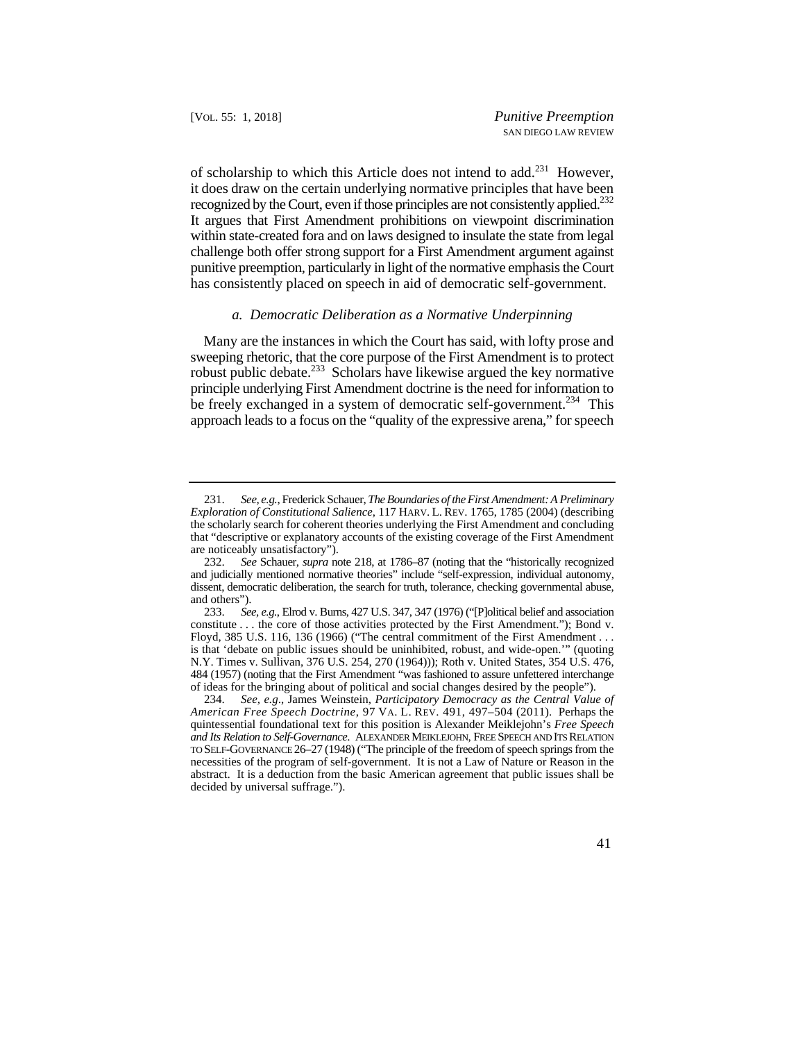recognized by the Court, even if those principles are not consistently applied.<sup>232</sup> of scholarship to which this Article does not intend to add.<sup>231</sup> However, it does draw on the certain underlying normative principles that have been It argues that First Amendment prohibitions on viewpoint discrimination within state-created fora and on laws designed to insulate the state from legal challenge both offer strong support for a First Amendment argument against punitive preemption, particularly in light of the normative emphasis the Court has consistently placed on speech in aid of democratic self-government.

### *a. Democratic Deliberation as a Normative Underpinning*

be freely exchanged in a system of democratic self-government.<sup>234</sup> This Many are the instances in which the Court has said, with lofty prose and sweeping rhetoric, that the core purpose of the First Amendment is to protect robust public debate.233 Scholars have likewise argued the key normative principle underlying First Amendment doctrine is the need for information to approach leads to a focus on the "quality of the expressive arena," for speech

 *Exploration of Constitutional Salience*, 117 HARV. L. REV. 1765, 1785 (2004) (describing that "descriptive or explanatory accounts of the existing coverage of the First Amendment 231. *See, e.g.*, Frederick Schauer, *The Boundaries of the First Amendment: A Preliminary*  the scholarly search for coherent theories underlying the First Amendment and concluding are noticeably unsatisfactory").

 and judicially mentioned normative theories" include "self-expression, individual autonomy, 232. *See* Schauer, *supra* note 218, at 1786–87 (noting that the "historically recognized dissent, democratic deliberation, the search for truth, tolerance, checking governmental abuse, and others").

<sup>233.</sup> *See, e.g.*, Elrod v. Burns, 427 U.S. 347, 347 (1976) ("[P]olitical belief and association constitute . . . the core of those activities protected by the First Amendment."); Bond v. Floyd, 385 U.S. 116, 136 (1966) ("The central commitment of the First Amendment . . . is that 'debate on public issues should be uninhibited, robust, and wide-open.'" (quoting N.Y. Times v. Sullivan, 376 U.S. 254, 270 (1964))); Roth v. United States, 354 U.S. 476, 484 (1957) (noting that the First Amendment "was fashioned to assure unfettered interchange of ideas for the bringing about of political and social changes desired by the people").

 *American Free Speech Doctrine*, 97 VA. L. REV. 491, 497–504 (2011). Perhaps the TO SELF-GOVERNANCE 26–27 (1948) ("The principle of the freedom of speech springs from the 234. *See, e.g*., James Weinstein, *Participatory Democracy as the Central Value of*  quintessential foundational text for this position is Alexander Meiklejohn's *Free Speech and Its Relation to Self-Governance*. ALEXANDER MEIKLEJOHN, FREE SPEECH AND ITS RELATION necessities of the program of self-government. It is not a Law of Nature or Reason in the abstract. It is a deduction from the basic American agreement that public issues shall be decided by universal suffrage.").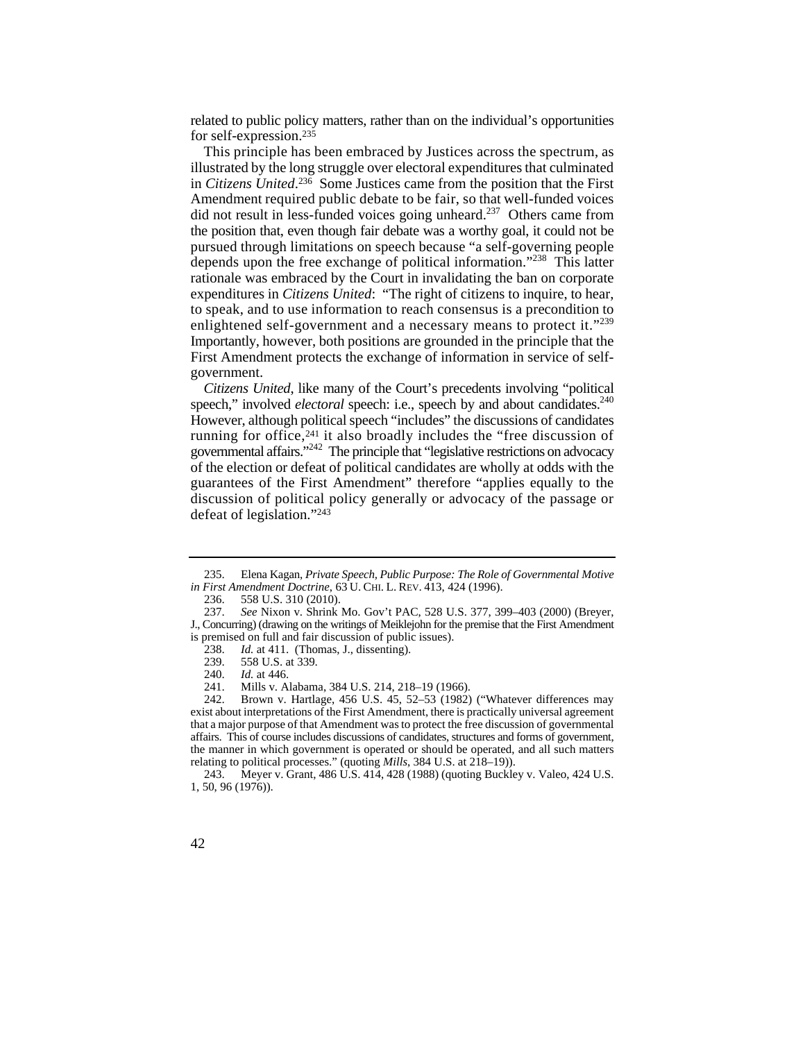related to public policy matters, rather than on the individual's opportunities for self-expression.235

 Amendment required public debate to be fair, so that well-funded voices depends upon the free exchange of political information."<sup>238</sup> This latter to speak, and to use information to reach consensus is a precondition to enlightened self-government and a necessary means to protect it."<sup>239</sup> This principle has been embraced by Justices across the spectrum, as illustrated by the long struggle over electoral expenditures that culminated in *Citizens United*. 236 Some Justices came from the position that the First did not result in less-funded voices going unheard.<sup>237</sup> Others came from the position that, even though fair debate was a worthy goal, it could not be pursued through limitations on speech because "a self-governing people rationale was embraced by the Court in invalidating the ban on corporate expenditures in *Citizens United*: "The right of citizens to inquire, to hear, Importantly, however, both positions are grounded in the principle that the First Amendment protects the exchange of information in service of selfgovernment.

speech," involved *electoral* speech: i.e., speech by and about candidates.<sup>240</sup> However, although political speech "includes" the discussions of candidates *Citizens United*, like many of the Court's precedents involving "political running for office, $241$  it also broadly includes the "free discussion of governmental affairs."242 The principle that "legislative restrictions on advocacy of the election or defeat of political candidates are wholly at odds with the guarantees of the First Amendment" therefore "applies equally to the discussion of political policy generally or advocacy of the passage or defeat of legislation."243

 235. Elena Kagan, *Private Speech, Public Purpose: The Role of Governmental Motive in First Amendment Doctrine*, 63 U. CHI. L. REV. 413, 424 (1996).

<sup>236. 558</sup> U.S. 310 (2010).

<sup>237.</sup> *See* Nixon v. Shrink Mo. Gov't PAC, 528 U.S. 377, 399–403 (2000) (Breyer,

J., Concurring) (drawing on the writings of Meiklejohn for the premise that the First Amendment is premised on full and fair discussion of public issues).

<sup>238.</sup>  Id. at 411. (Thomas, J., dissenting).

<sup>239.</sup>  558 U.S. at 339.

<sup>240.</sup> *Id.* at 446.

<sup>241.</sup>  Mills v. Alabama, 384 U.S. 214, 218–19 (1966).

exist about interpretations of the First Amendment, there is practically universal agreement 242. Brown v. Hartlage, 456 U.S. 45, 52–53 (1982) ("Whatever differences may that a major purpose of that Amendment was to protect the free discussion of governmental affairs. This of course includes discussions of candidates, structures and forms of government, the manner in which government is operated or should be operated, and all such matters relating to political processes." (quoting *Mills*, 384 U.S. at 218–19)).

<sup>243.</sup> Meyer v. Grant, 486 U.S. 414, 428 (1988) (quoting Buckley v. Valeo, 424 U.S. 1, 50, 96 (1976)).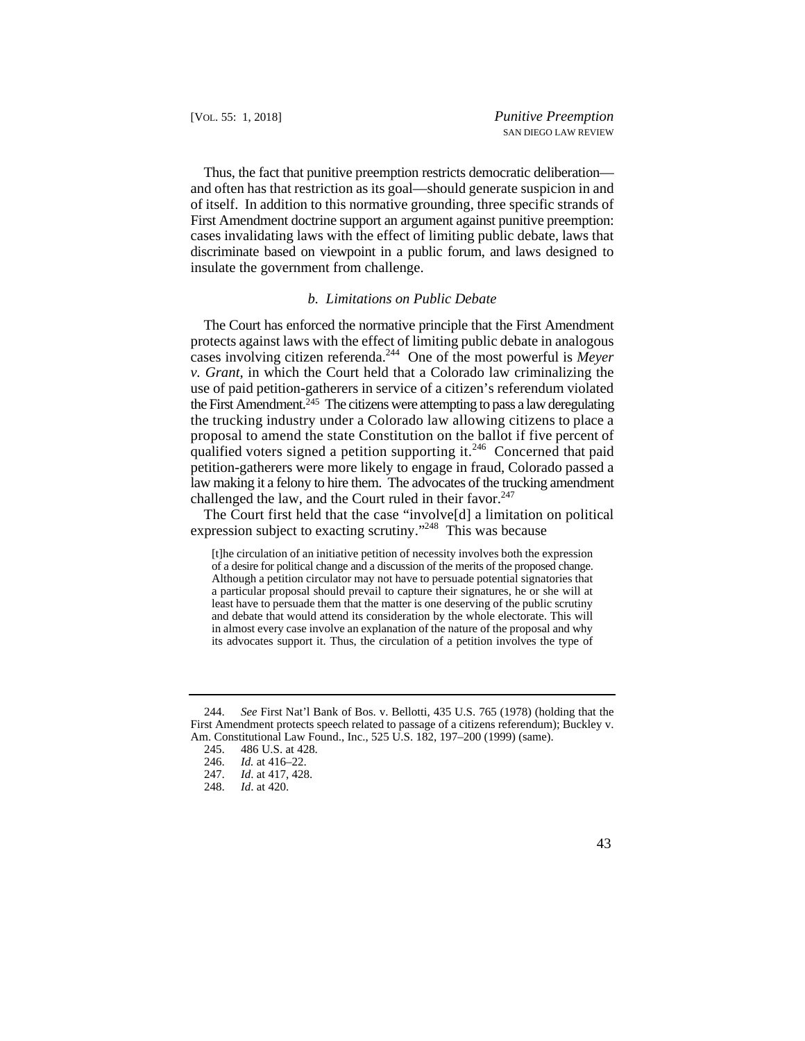discriminate based on viewpoint in a public forum, and laws designed to Thus, the fact that punitive preemption restricts democratic deliberation and often has that restriction as its goal—should generate suspicion in and of itself. In addition to this normative grounding, three specific strands of First Amendment doctrine support an argument against punitive preemption: cases invalidating laws with the effect of limiting public debate, laws that insulate the government from challenge.

#### *b. Limitations on Public Debate*

 the trucking industry under a Colorado law allowing citizens to place a proposal to amend the state Constitution on the ballot if five percent of qualified voters signed a petition supporting it.<sup>246</sup> Concerned that paid The Court has enforced the normative principle that the First Amendment protects against laws with the effect of limiting public debate in analogous cases involving citizen referenda.244 One of the most powerful is *Meyer v. Grant*, in which the Court held that a Colorado law criminalizing the use of paid petition-gatherers in service of a citizen's referendum violated the First Amendment.<sup>245</sup> The citizens were attempting to pass a law deregulating petition-gatherers were more likely to engage in fraud, Colorado passed a law making it a felony to hire them. The advocates of the trucking amendment challenged the law, and the Court ruled in their favor. $247$ 

The Court first held that the case "involve[d] a limitation on political expression subject to exacting scrutiny."<sup>248</sup> This was because

[t]he circulation of an initiative petition of necessity involves both the expression of a desire for political change and a discussion of the merits of the proposed change. Although a petition circulator may not have to persuade potential signatories that a particular proposal should prevail to capture their signatures, he or she will at least have to persuade them that the matter is one deserving of the public scrutiny and debate that would attend its consideration by the whole electorate. This will in almost every case involve an explanation of the nature of the proposal and why its advocates support it. Thus, the circulation of a petition involves the type of

 <sup>244.</sup> *See* First Nat'l Bank of Bos. v. Bellotti, 435 U.S. 765 (1978) (holding that the First Amendment protects speech related to passage of a citizens referendum); Buckley v. Am. Constitutional Law Found., Inc., 525 U.S. 182, 197–200 (1999) (same).

<sup>245. 486</sup> U.S. at 428.<br>246. *Id.* at 416–22.

<sup>246.</sup> *Id.* at 416–22.

*Id.* at 417, 428.

<sup>248.</sup> *Id*. at 420.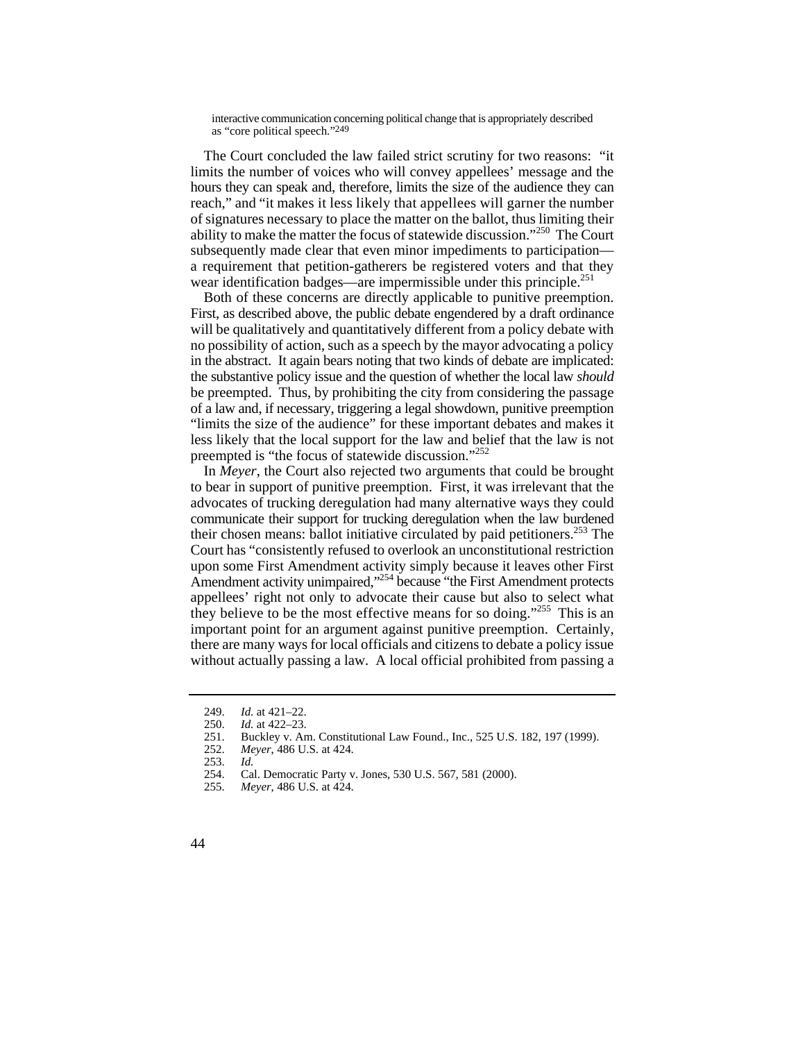i nte ract ive communicat ion c oncerning political change that is appropriately described as " core po litical speech ."249

 reach," and "it makes it less likely that appellees will garner the number The Court concluded the law failed strict scrutiny for two reasons: "it limits the number of voices who will convey appellees' message and the hours they can speak and, therefore, limits the size of the audience they can of signatures necessary to place the matter on the ballot, thus limiting their ability to make the matter the focus of statewide discussion."250 The Court subsequently made clear that even minor impediments to participation a requirement that petition-gatherers be registered voters and that they wear identification badges—are impermissible under this principle.<sup>251</sup>

 will be qualitatively and quantitatively different from a policy debate with Both of these concerns are directly applicable to punitive preemption. First, as described above, the public debate engendered by a draft ordinance no possibility of action, such as a speech by the mayor advocating a policy in the abstract. It again bears noting that two kinds of debate are implicated: the substantive policy issue and the question of whether the local law *should*  be preempted. Thus, by prohibiting the city from considering the passage of a law and, if necessary, triggering a legal showdown, punitive preemption "limits the size of the audience" for these important debates and makes it less likely that the local support for the law and belief that the law is not preempted is "the focus of statewide discussion."<sup>252</sup>

In *Meyer*, the Court also rejected two arguments that could be brought to bear in support of punitive preemption. First, it was irrelevant that the advocates of trucking deregulation had many alternative ways they could communicate their support for trucking deregulation when the law burdened their chosen means: ballot initiative circulated by paid petitioners.<sup>253</sup> The Court has "consistently refused to overlook an unconstitutional restriction upon some First Amendment activity simply because it leaves other First Amendment activity unimpaired,"<sup>254</sup> because "the First Amendment protects appellees' right not only to advocate their cause but also to select what they believe to be the most effective means for so doing."255 This is an important point for an argument against punitive preemption. Certainly, there are many ways for local officials and citizens to debate a policy issue without actually passing a law. A local official prohibited from passing a

 <sup>249.</sup> *Id.* at 421–22.

<sup>250.</sup> *Id.* at 422–23.

<sup>251.</sup>  Buckley v. Am. Constitutional Law Found., Inc., 525 U.S. 182, 197 (1999).

<sup>252.</sup>  *Meyer*, 486 U.S. at 424.

<sup>253.</sup>  *Id.* 

<sup>254.</sup>  Cal. Democratic Party v. Jones, 530 U.S. 567, 581 (2000).

<sup>255.</sup>  *Meyer*, 486 U.S. at 424.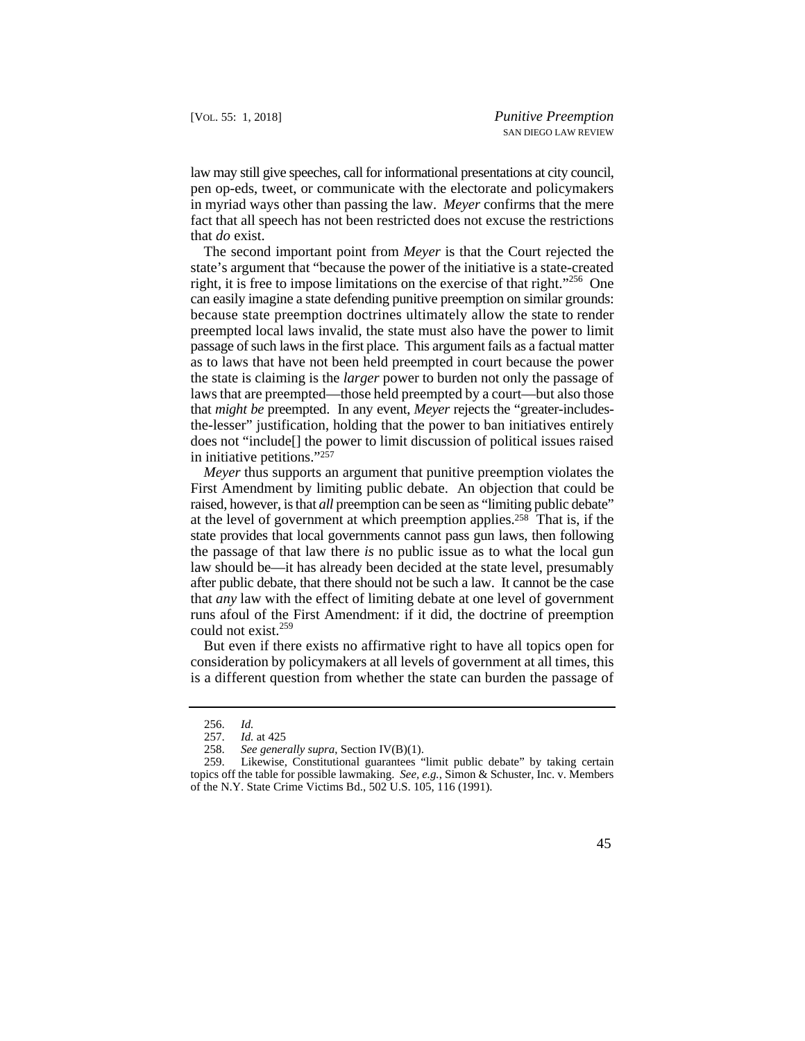law may still give speeches, call for informational presentations at city council, pen op-eds, tweet, or communicate with the electorate and policymakers in myriad ways other than passing the law. *Meyer* confirms that the mere fact that all speech has not been restricted does not excuse the restrictions that *do* exist.

 because state preemption doctrines ultimately allow the state to render passage of such laws in the first place. This argument fails as a factual matter The second important point from *Meyer* is that the Court rejected the state's argument that "because the power of the initiative is a state-created right, it is free to impose limitations on the exercise of that right."256 One can easily imagine a state defending punitive preemption on similar grounds: preempted local laws invalid, the state must also have the power to limit as to laws that have not been held preempted in court because the power the state is claiming is the *larger* power to burden not only the passage of laws that are preempted—those held preempted by a court—but also those that *might be* preempted. In any event, *Meyer* rejects the "greater-includesthe-lesser" justification, holding that the power to ban initiatives entirely does not "include[] the power to limit discussion of political issues raised in initiative petitions."257

*Meyer* thus supports an argument that punitive preemption violates the First Amendment by limiting public debate. An objection that could be raised, however, is that *all* preemption can be seen as "limiting public debate" at the level of government at which preemption applies.258 That is, if the state provides that local governments cannot pass gun laws, then following the passage of that law there *is* no public issue as to what the local gun law should be—it has already been decided at the state level, presumably after public debate, that there should not be such a law. It cannot be the case that *any* law with the effect of limiting debate at one level of government runs afoul of the First Amendment: if it did, the doctrine of preemption could not exist.<sup>259</sup>

But even if there exists no affirmative right to have all topics open for consideration by policymakers at all levels of government at all times, this is a different question from whether the state can burden the passage of

<sup>256.</sup> *Id.*

*Id.* at 425

 <sup>258.</sup>  *See generally supra*, Section IV(B)(1).

<sup>259.</sup>  Likewise, Constitutional guarantees "limit public debate" by taking certain topics off the table for possible lawmaking. *See, e.g.*, Simon & Schuster, Inc. v. Members of the N.Y. State Crime Victims Bd., 502 U.S. 105, 116 (1991).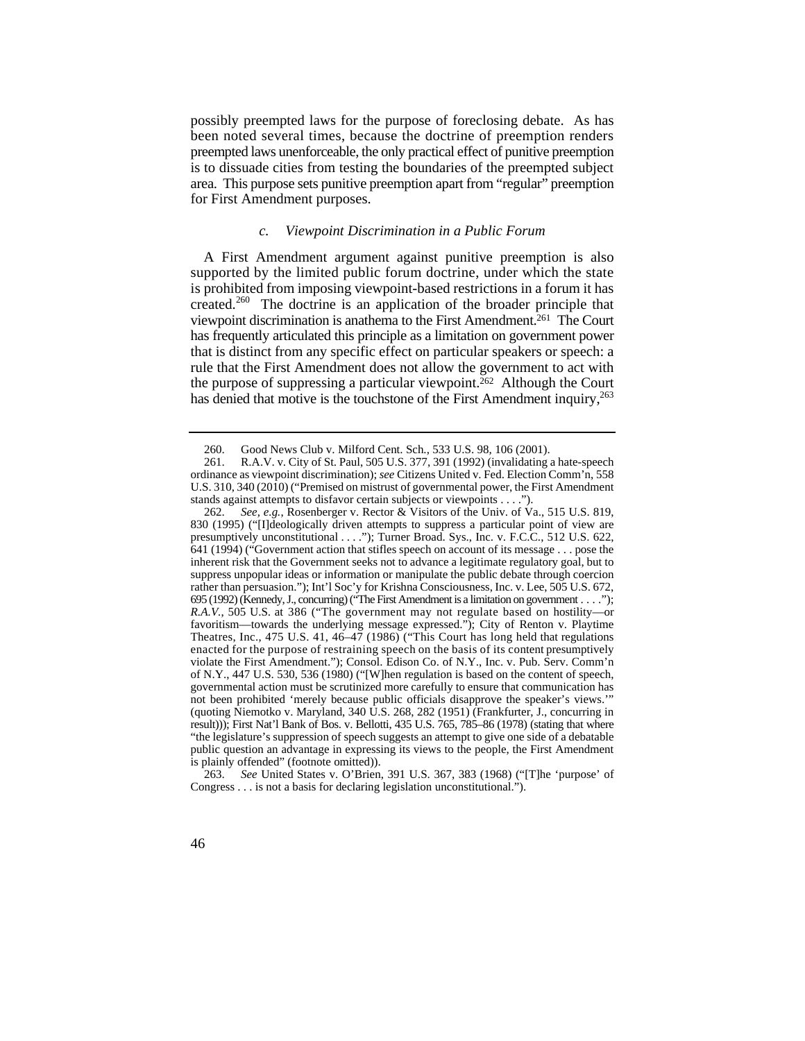possibly preempted laws for the purpose of foreclosing debate. As has been noted several times, because the doctrine of preemption renders preempted laws unenforceable, the only practical effect of punitive preemption is to dissuade cities from testing the boundaries of the preempted subject area. This purpose sets punitive preemption apart from "regular" preemption for First Amendment purposes.

#### *c. Viewpoint Discrimination in a Public Forum*

 is prohibited from imposing viewpoint-based restrictions in a forum it has viewpoint discrimination is anathema to the First Amendment.261 The Court has denied that motive is the touchstone of the First Amendment inquiry,<sup>263</sup> A First Amendment argument against punitive preemption is also supported by the limited public forum doctrine, under which the state created.<sup>260</sup> The doctrine is an application of the broader principle that has frequently articulated this principle as a limitation on government power that is distinct from any specific effect on particular speakers or speech: a rule that the First Amendment does not allow the government to act with the purpose of suppressing a particular viewpoint.<sup>262</sup> Although the Court

<sup>260.</sup> Good News Club v. Milford Cent. Sch., 533 U.S. 98, 106 (2001).

<sup>261.</sup> R.A.V. v. City of St. Paul, 505 U.S. 377, 391 (1992) (invalidating a hate-speech ordinance as viewpoint discrimination); *see* Citizens United v. Fed. Election Comm'n, 558 U.S. 310, 340 (2010) ("Premised on mistrust of governmental power, the First Amendment stands against attempts to disfavor certain subjects or viewpoints . . . .").

 presumptively unconstitutional . . . ."); Turner Broad. Sys., Inc. v. F.C.C., 512 U.S. 622, suppress unpopular ideas or information or manipulate the public debate through coercion 695 (1992) (Kennedy, J., concurring) ("The First Amendment is a limitation on government . . . ."); *R.A.V.*, 505 U.S. at 386 ("The government may not regulate based on hostility—or Theatres, Inc., 475 U.S. 41, 46–47 (1986) ("This Court has long held that regulations governmental action must be scrutinized more carefully to ensure that communication has 262. *See, e.g.*, Rosenberger v. Rector & Visitors of the Univ. of Va., 515 U.S. 819, 830 (1995) ("[I]deologically driven attempts to suppress a particular point of view are 641 (1994) ("Government action that stifles speech on account of its message . . . pose the inherent risk that the Government seeks not to advance a legitimate regulatory goal, but to rather than persuasion."); Int'l Soc'y for Krishna Consciousness, Inc. v. Lee, 505 U.S. 672, favoritism—towards the underlying message expressed."); City of Renton v. Playtime enacted for the purpose of restraining speech on the basis of its content presumptively violate the First Amendment."); Consol. Edison Co. of N.Y., Inc. v. Pub. Serv. Comm'n of N.Y., 447 U.S. 530, 536 (1980) ("[W]hen regulation is based on the content of speech, not been prohibited 'merely because public officials disapprove the speaker's views.' (quoting Niemotko v. Maryland, 340 U.S. 268, 282 (1951) (Frankfurter, J., concurring in result))); First Nat'l Bank of Bos. v. Bellotti, 435 U.S. 765, 785–86 (1978) (stating that where "the legislature's suppression of speech suggests an attempt to give one side of a debatable public question an advantage in expressing its views to the people, the First Amendment is plainly offended" (footnote omitted)).

<sup>263.</sup> *See* United States v. O'Brien, 391 U.S. 367, 383 (1968) ("[T]he 'purpose' of Congress . . . is not a basis for declaring legislation unconstitutional.").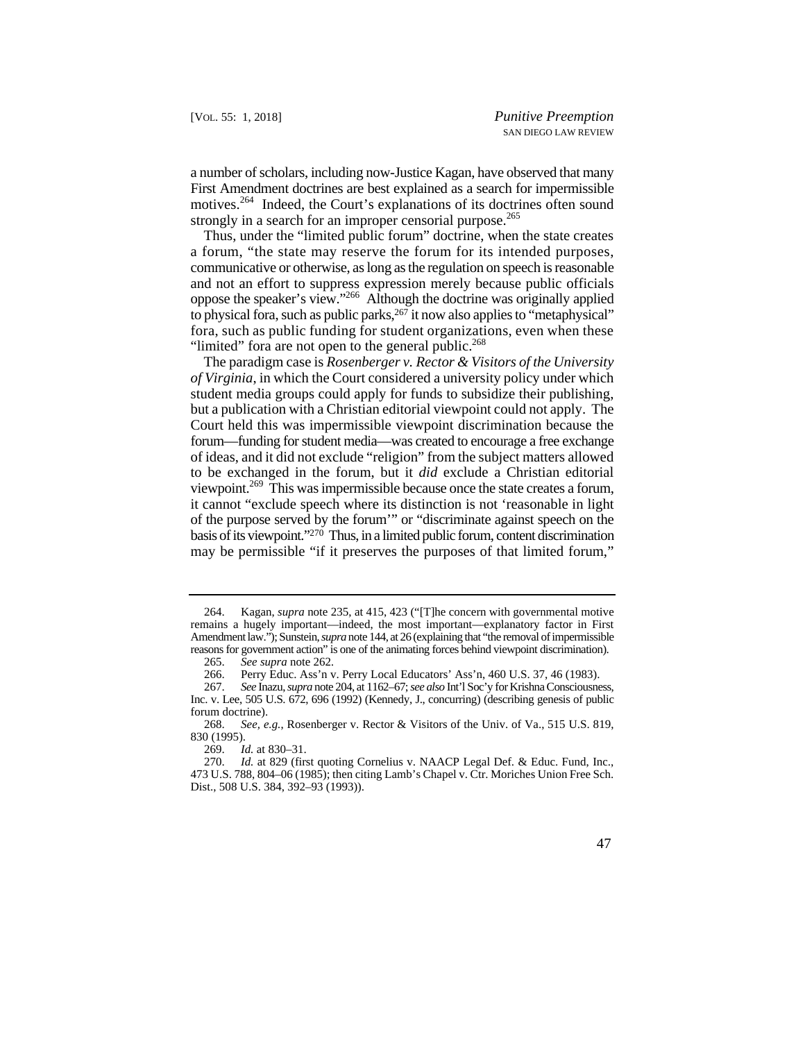a number of scholars, including now-Justice Kagan, have observed that many First Amendment doctrines are best explained as a search for impermissible motives.<sup>264</sup> Indeed, the Court's explanations of its doctrines often sound strongly in a search for an improper censorial purpose.<sup>265</sup>

Thus, under the "limited public forum" doctrine, when the state creates a forum, "the state may reserve the forum for its intended purposes, communicative or otherwise, as long as the regulation on speech is reasonable and not an effort to suppress expression merely because public officials oppose the speaker's view."266 Although the doctrine was originally applied to physical fora, such as public parks,  $267$  it now also applies to "metaphysical" fora, such as public funding for student organizations, even when these "limited" fora are not open to the general public.<sup>268</sup>

 *of Virginia*, in which the Court considered a university policy under which basis of its viewpoint."270 Thus, in a limited public forum, content discrimination The paradigm case is *Rosenberger v. Rector & Visitors of the University*  student media groups could apply for funds to subsidize their publishing, but a publication with a Christian editorial viewpoint could not apply. The Court held this was impermissible viewpoint discrimination because the forum—funding for student media—was created to encourage a free exchange of ideas, and it did not exclude "religion" from the subject matters allowed to be exchanged in the forum, but it *did* exclude a Christian editorial viewpoint.269 This was impermissible because once the state creates a forum, it cannot "exclude speech where its distinction is not 'reasonable in light of the purpose served by the forum'" or "discriminate against speech on the may be permissible "if it preserves the purposes of that limited forum,"

 264. Kagan, *supra* note 235, at 415, 423 ("[T]he concern with governmental motive remains a hugely important—indeed, the most important—explanatory factor in First Amendment law."); Sunstein, *supra* note 144, at 26 (explaining that "the removal of impermissible reasons for government action" is one of the animating forces behind viewpoint discrimination).

<sup>265.</sup> *See supra* note 262*.* 

<sup>266.</sup> Perry Educ. Ass'n v. Perry Local Educators' Ass'n, 460 U.S. 37, 46 (1983).

<sup>267.</sup> *See* Inazu, *supra* note 204, at 1162–67; *see also* Int'l Soc'y for Krishna Consciousness, Inc. v. Lee, 505 U.S. 672, 696 (1992) (Kennedy, J., concurring) (describing genesis of public forum doctrine).

<sup>268.</sup> *See, e.g.*, Rosenberger v. Rector & Visitors of the Univ. of Va., 515 U.S. 819, 830 (1995).

<sup>269.</sup> *Id.* at 830–31.

Id. at 829 (first quoting Cornelius v. NAACP Legal Def. & Educ. Fund, Inc., 473 U.S. 788, 804–06 (1985); then citing Lamb's Chapel v. Ctr. Moriches Union Free Sch. Dist., 508 U.S. 384, 392–93 (1993)).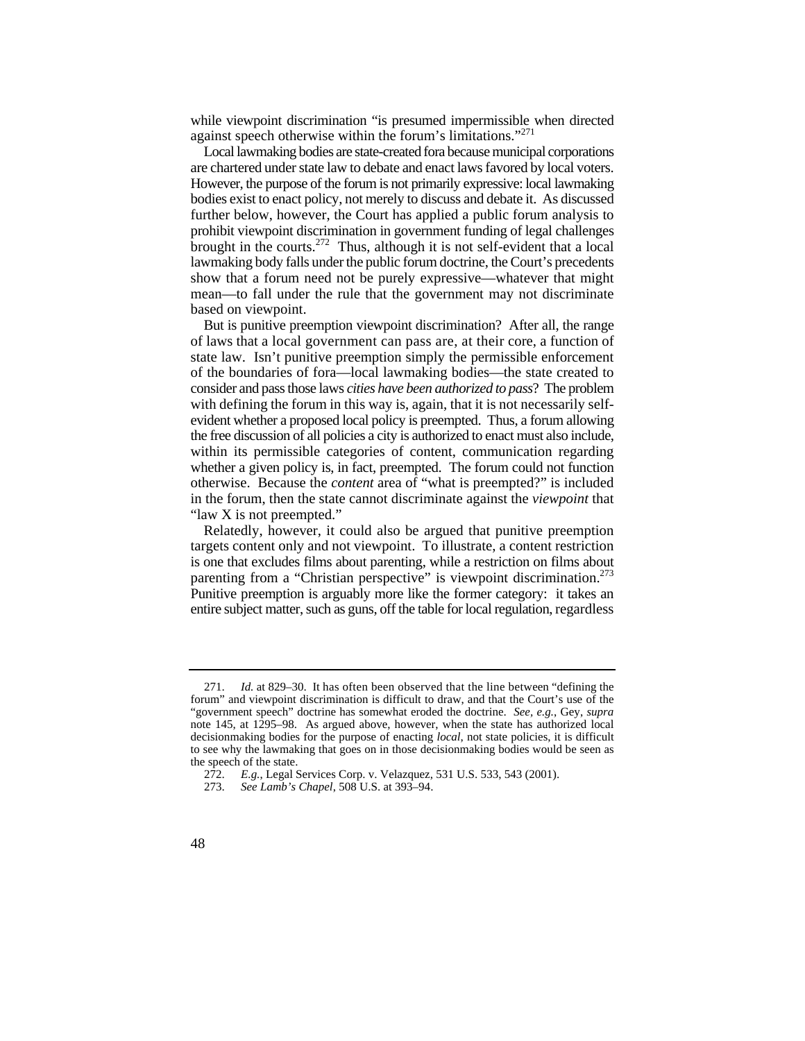while viewpoint discrimination "is presumed impermissible when directed against speech otherwise within the forum's limitations."<sup>271</sup>

 further below, however, the Court has applied a public forum analysis to Local lawmaking bodies are state-created fora because municipal corporations are chartered under state law to debate and enact laws favored by local voters. However, the purpose of the forum is not primarily expressive: local lawmaking bodies exist to enact policy, not merely to discuss and debate it. As discussed prohibit viewpoint discrimination in government funding of legal challenges brought in the courts.<sup>272</sup> Thus, although it is not self-evident that a local lawmaking body falls under the public forum doctrine, the Court's precedents show that a forum need not be purely expressive—whatever that might mean—to fall under the rule that the government may not discriminate based on viewpoint.

 whether a given policy is, in fact, preempted. The forum could not function But is punitive preemption viewpoint discrimination? After all, the range of laws that a local government can pass are, at their core, a function of state law. Isn't punitive preemption simply the permissible enforcement of the boundaries of fora—local lawmaking bodies—the state created to consider and pass those laws *cities have been authorized to pass*? The problem with defining the forum in this way is, again, that it is not necessarily selfevident whether a proposed local policy is preempted. Thus, a forum allowing the free discussion of all policies a city is authorized to enact must also include, within its permissible categories of content, communication regarding otherwise. Because the *content* area of "what is preempted?" is included in the forum, then the state cannot discriminate against the *viewpoint* that "law X is not preempted."

parenting from a "Christian perspective" is viewpoint discrimination.<sup>273</sup> Relatedly, however, it could also be argued that punitive preemption targets content only and not viewpoint. To illustrate, a content restriction is one that excludes films about parenting, while a restriction on films about Punitive preemption is arguably more like the former category: it takes an entire subject matter, such as guns, off the table for local regulation, regardless

 271. *Id.* at 829–30. It has often been observed that the line between "defining the "government speech" doctrine has somewhat eroded the doctrine. *See, e.g.*, Gey, *supra* forum" and viewpoint discrimination is difficult to draw, and that the Court's use of the note 145, at 1295–98. As argued above, however, when the state has authorized local decisionmaking bodies for the purpose of enacting *local*, not state policies, it is difficult to see why the lawmaking that goes on in those decisionmaking bodies would be seen as the speech of the state.

<sup>272.</sup> *E.g.*, Legal Services Corp. v. Velazquez, 531 U.S. 533, 543 (2001).

<sup>273.</sup> *See Lamb's Chapel*, 508 U.S. at 393–94.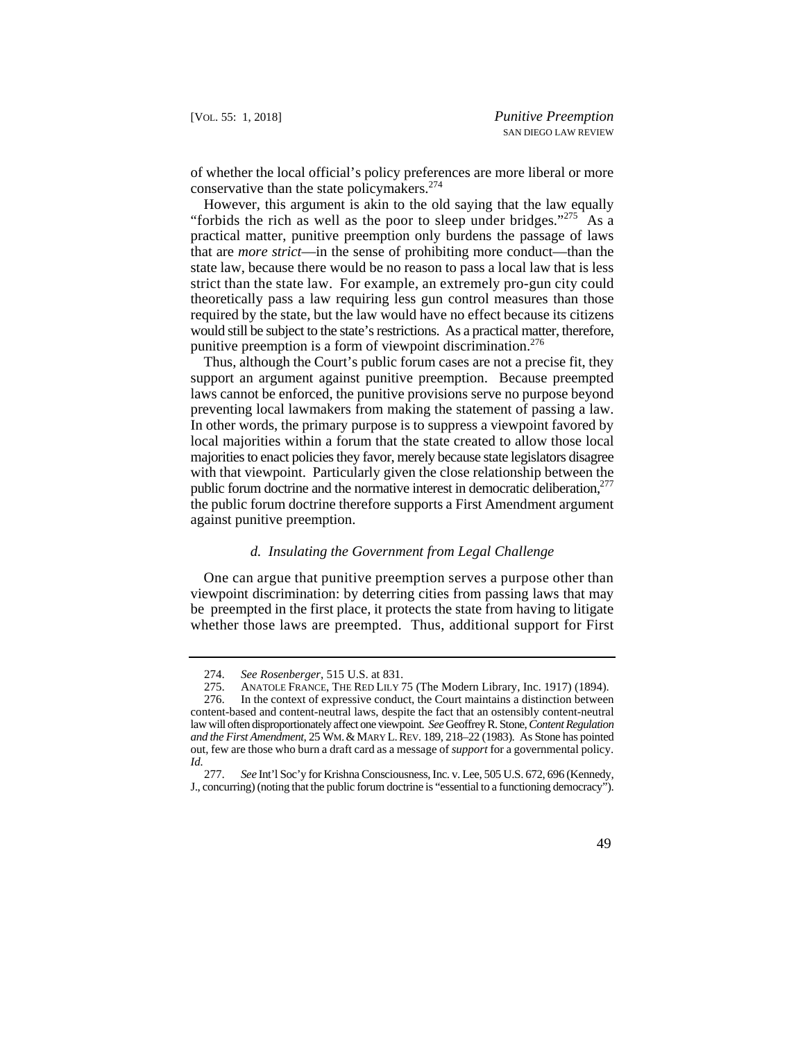of whether the local official's policy preferences are more liberal or more conservative than the state policymakers.<sup>274</sup>

However, this argument is akin to the old saying that the law equally "forbids the rich as well as the poor to sleep under bridges."<sup>275</sup> As a practical matter, punitive preemption only burdens the passage of laws that are *more strict*—in the sense of prohibiting more conduct—than the state law, because there would be no reason to pass a local law that is less strict than the state law. For example, an extremely pro-gun city could theoretically pass a law requiring less gun control measures than those required by the state, but the law would have no effect because its citizens would still be subject to the state's restrictions. As a practical matter, therefore, punitive preemption is a form of viewpoint discrimination.<sup>276</sup>

Thus, although the Court's public forum cases are not a precise fit, they support an argument against punitive preemption. Because preempted laws cannot be enforced, the punitive provisions serve no purpose beyond preventing local lawmakers from making the statement of passing a law. In other words, the primary purpose is to suppress a viewpoint favored by local majorities within a forum that the state created to allow those local majorities to enact policies they favor, merely because state legislators disagree with that viewpoint. Particularly given the close relationship between the public forum doctrine and the normative interest in democratic deliberation, $277$ the public forum doctrine therefore supports a First Amendment argument against punitive preemption.

## *d. Insulating the Government from Legal Challenge*

One can argue that punitive preemption serves a purpose other than viewpoint discrimination: by deterring cities from passing laws that may be preempted in the first place, it protects the state from having to litigate whether those laws are preempted. Thus, additional support for First

 <sup>274.</sup> *See Rosenberger*, 515 U.S. at 831.

<sup>275.</sup> ANATOLE FRANCE, THE RED LILY 75 (The Modern Library, Inc. 1917) (1894).<br>276. In the context of expressive conduct, the Court maintains a distinction between

 *and the First Amendment*, 25 WM. & MARY L. REV. 189, 218–22 (1983). As Stone has pointed out, few are those who burn a draft card as a message of *support* for a governmental policy. In the context of expressive conduct, the Court maintains a distinction between content-based and content-neutral laws, despite the fact that an ostensibly content-neutral law will often disproportionately affect one viewpoint. *See* Geoffrey R. Stone, *Content Regulation* 

*Id.* 277. *See* Int'l Soc'y for Krishna Consciousness, Inc. v. Lee, 505 U.S. 672, 696 (Kennedy, J., concurring) (noting that the public forum doctrine is "essential to a functioning democracy").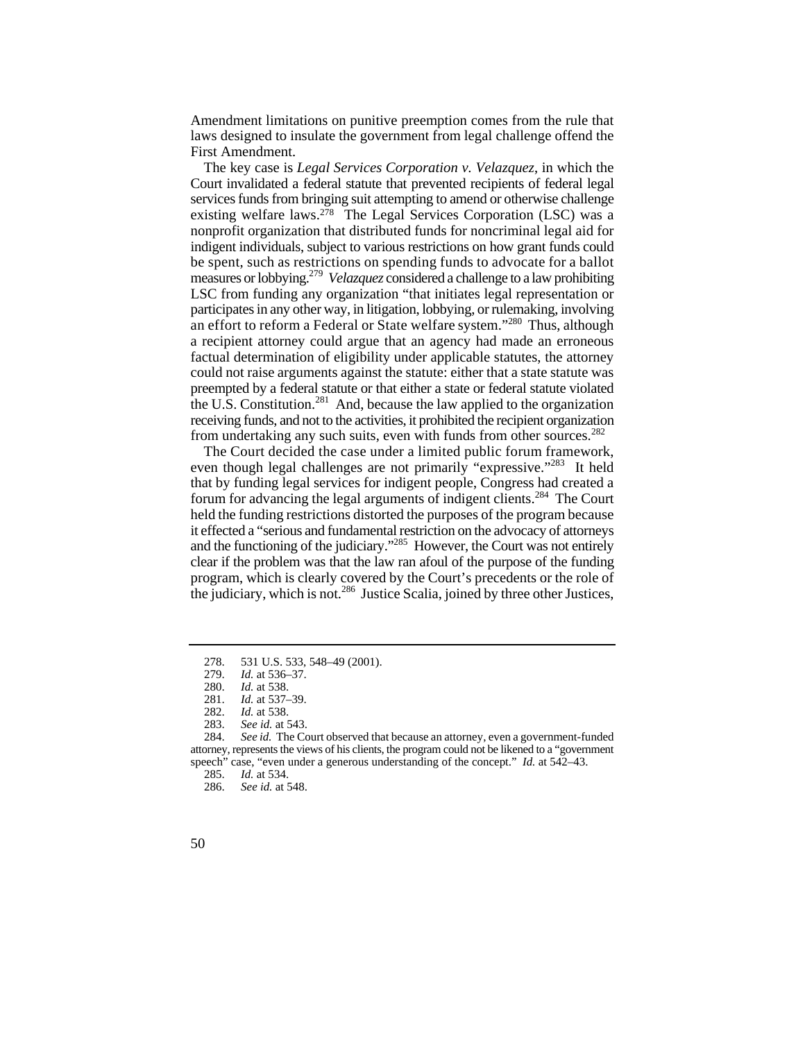Amendment limitations on punitive preemption comes from the rule that laws designed to insulate the government from legal challenge offend the First Amendment.

 measures or lobbying.279 *Velazquez* considered a challenge to a law prohibiting participates in any other way, in litigation, lobbying, or rulemaking, involving The key case is *Legal Services Corporation v. Velazquez*, in which the Court invalidated a federal statute that prevented recipients of federal legal services funds from bringing suit attempting to amend or otherwise challenge existing welfare laws.278 The Legal Services Corporation (LSC) was a nonprofit organization that distributed funds for noncriminal legal aid for indigent individuals, subject to various restrictions on how grant funds could be spent, such as restrictions on spending funds to advocate for a ballot LSC from funding any organization "that initiates legal representation or an effort to reform a Federal or State welfare system."<sup>280</sup> Thus, although a recipient attorney could argue that an agency had made an erroneous factual determination of eligibility under applicable statutes, the attorney could not raise arguments against the statute: either that a state statute was preempted by a federal statute or that either a state or federal statute violated the U.S. Constitution.<sup>281</sup> And, because the law applied to the organization receiving funds, and not to the activities, it prohibited the recipient organization from undertaking any such suits, even with funds from other sources.<sup>282</sup>

even though legal challenges are not primarily "expressive."<sup>283</sup> It held clear if the problem was that the law ran afoul of the purpose of the funding the judiciary, which is not.<sup>286</sup> Justice Scalia, joined by three other Justices, The Court decided the case under a limited public forum framework, that by funding legal services for indigent people, Congress had created a forum for advancing the legal arguments of indigent clients.284 The Court held the funding restrictions distorted the purposes of the program because it effected a "serious and fundamental restriction on the advocacy of attorneys and the functioning of the judiciary."285 However, the Court was not entirely program, which is clearly covered by the Court's precedents or the role of

<sup>278.</sup>  531 U.S. 533, 548–49 (2001).

<sup>279.</sup>  *Id.* at 536–37.

<sup>280.</sup> *Id.* at 538.

*Id.* at 537–39.

<sup>282.</sup> *Id.* at 538.

<sup>283.</sup> *See id.* at 543.

 speech" case, "even under a generous understanding of the concept." *Id.* at 542–43. See id. The Court observed that because an attorney, even a government-funded attorney, represents the views of his clients, the program could not be likened to a "government

<sup>285.</sup> *Id.* at 534.

See id. at 548.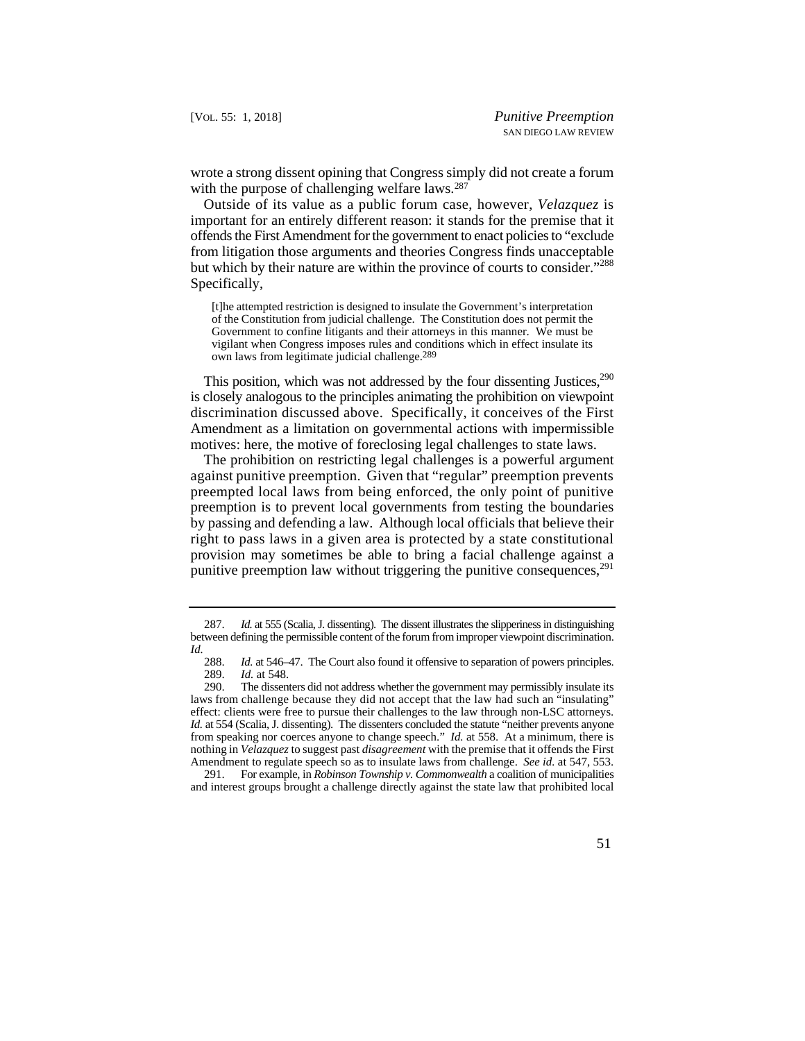wrote a strong dissent opining that Congress simply did not create a forum with the purpose of challenging welfare laws.<sup>287</sup>

but which by their nature are within the province of courts to consider."<sup>288</sup> Outside of its value as a public forum case, however, *Velazquez* is important for an entirely different reason: it stands for the premise that it offends the First Amendment for the government to enact policies to "exclude from litigation those arguments and theories Congress finds unacceptable Specifically,

[t]he attempted restriction is designed to insulate the Government's interpretation of the Constitution from judicial challenge. The Constitution does not permit the Government to confine litigants and their attorneys in this manner. We must be vigilant when Congress imposes rules and conditions which in effect insulate its own laws from legitimate judicial challenge.289

This position, which was not addressed by the four dissenting Justices, $290$ is closely analogous to the principles animating the prohibition on viewpoint discrimination discussed above. Specifically, it conceives of the First Amendment as a limitation on governmental actions with impermissible motives: here, the motive of foreclosing legal challenges to state laws.

The prohibition on restricting legal challenges is a powerful argument against punitive preemption. Given that "regular" preemption prevents preempted local laws from being enforced, the only point of punitive preemption is to prevent local governments from testing the boundaries by passing and defending a law. Although local officials that believe their right to pass laws in a given area is protected by a state constitutional provision may sometimes be able to bring a facial challenge against a punitive preemption law without triggering the punitive consequences,  $291$ 

 291. For example, in *Robinson Township v. Commonwealth* a coalition of municipalities and interest groups brought a challenge directly against the state law that prohibited local

 <sup>287.</sup> *Id.* at 555 (Scalia, J. dissenting). The dissent illustrates the slipperiness in distinguishing between defining the permissible content of the forum from improper viewpoint discrimination. *Id.*

 *Id.* at 546–47. The Court also found it offensive to separation of powers principles. 288. 289. *Id.* at 548.

 laws from challenge because they did not accept that the law had such an "insulating" effect: clients were free to pursue their challenges to the law through non-LSC attorneys. from speaking nor coerces anyone to change speech." *Id.* at 558. At a minimum, there is 290. The dissenters did not address whether the government may permissibly insulate its *Id.* at 554 (Scalia, J. dissenting). The dissenters concluded the statute "neither prevents anyone nothing in *Velazquez* to suggest past *disagreement* with the premise that it offends the First Amendment to regulate speech so as to insulate laws from challenge. *See id.* at 547, 553.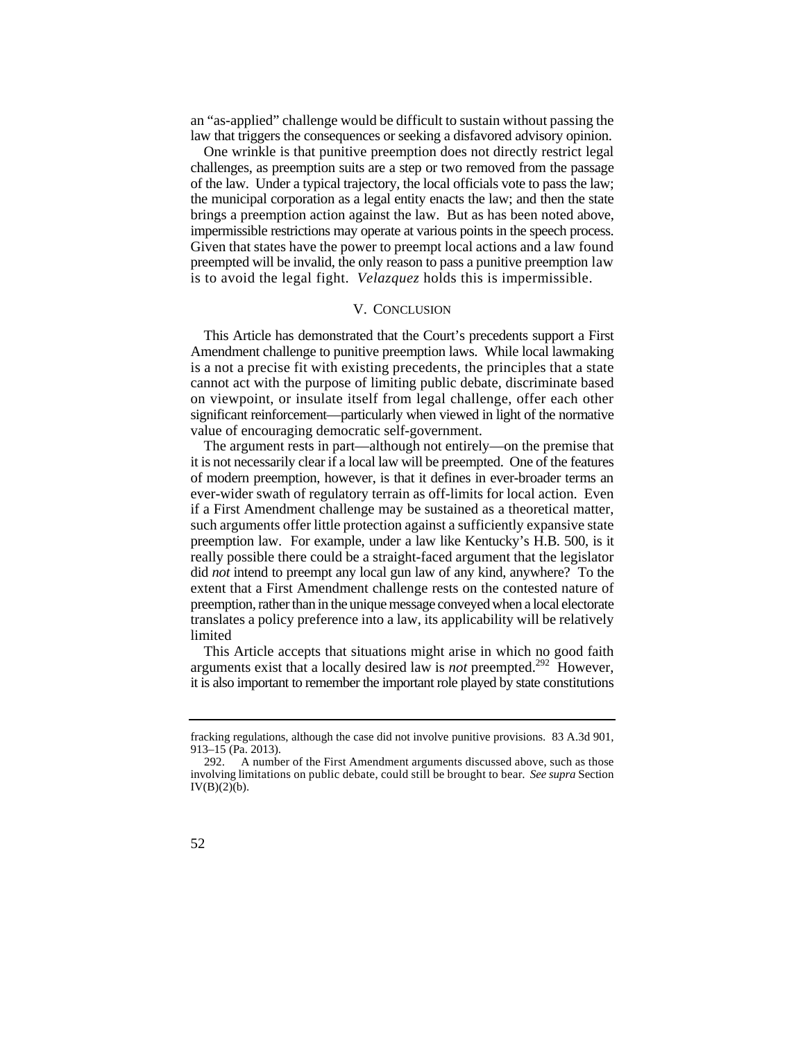an "as-applied" challenge would be difficult to sustain without passing the law that triggers the consequences or seeking a disfavored advisory opinion.

 impermissible restrictions may operate at various points in the speech process. Given that states have the power to preempt local actions and a law found is to avoid the legal fight. *Velazquez* holds this is impermissible. One wrinkle is that punitive preemption does not directly restrict legal challenges, as preemption suits are a step or two removed from the passage of the law. Under a typical trajectory, the local officials vote to pass the law; the municipal corporation as a legal entity enacts the law; and then the state brings a preemption action against the law. But as has been noted above, preempted will be invalid, the only reason to pass a punitive preemption law

### V. CONCLUSION

This Article has demonstrated that the Court's precedents support a First Amendment challenge to punitive preemption laws. While local lawmaking is a not a precise fit with existing precedents, the principles that a state cannot act with the purpose of limiting public debate, discriminate based on viewpoint, or insulate itself from legal challenge, offer each other significant reinforcement—particularly when viewed in light of the normative value of encouraging democratic self-government.

 preemption law. For example, under a law like Kentucky's H.B. 500, is it did *not* intend to preempt any local gun law of any kind, anywhere? To the The argument rests in part—although not entirely—on the premise that it is not necessarily clear if a local law will be preempted. One of the features of modern preemption, however, is that it defines in ever-broader terms an ever-wider swath of regulatory terrain as off-limits for local action. Even if a First Amendment challenge may be sustained as a theoretical matter, such arguments offer little protection against a sufficiently expansive state really possible there could be a straight-faced argument that the legislator extent that a First Amendment challenge rests on the contested nature of preemption, rather than in the unique message conveyed when a local electorate translates a policy preference into a law, its applicability will be relatively limited

This Article accepts that situations might arise in which no good faith arguments exist that a locally desired law is *not* preempted.292 However, it is also important to remember the important role played by state constitutions

fracking regulations, although the case did not involve punitive provisions. 83 A.3d 901, 913–15 (Pa. 2013).

 involving limitations on public debate, could still be brought to bear. *See supra* Section 292. A number of the First Amendment arguments discussed above, such as those IV(B)(2)(b).